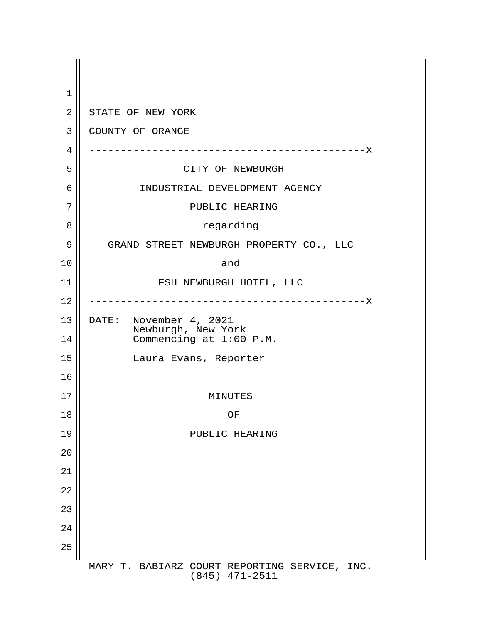| 1              |                                                                           |
|----------------|---------------------------------------------------------------------------|
| $\overline{2}$ | STATE OF NEW YORK                                                         |
| 3              | COUNTY OF ORANGE                                                          |
| 4              | -----------------------------X                                            |
| 5              | CITY OF NEWBURGH                                                          |
| 6              | INDUSTRIAL DEVELOPMENT AGENCY                                             |
| 7              | PUBLIC HEARING                                                            |
| 8              | regarding                                                                 |
| 9              | GRAND STREET NEWBURGH PROPERTY CO., LLC                                   |
| 10             | and                                                                       |
| 11             | FSH NEWBURGH HOTEL, LLC                                                   |
| 12             | ----------------------------X                                             |
| 13<br>14       | DATE: November 4, 2021<br>Newburgh, New York<br>Commencing at $1:00$ P.M. |
| 15             | Laura Evans, Reporter                                                     |
| 16             |                                                                           |
| 17             | MINUTES                                                                   |
| 18             | OF                                                                        |
| 19             | PUBLIC HEARING                                                            |
| 20             |                                                                           |
| 21             |                                                                           |
| 22             |                                                                           |
| 23             |                                                                           |
| 24             |                                                                           |
| 25             |                                                                           |
|                | MARY T. BABIARZ COURT REPORTING SERVICE, INC.<br>$(845)$ $471-2511$       |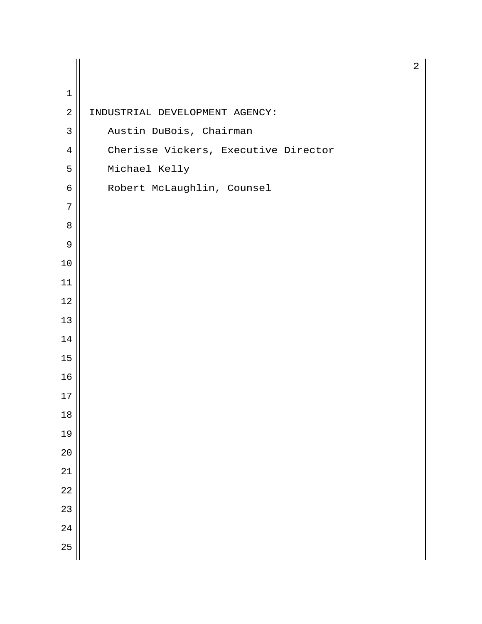| $1\,$          |                                      |
|----------------|--------------------------------------|
| $\sqrt{2}$     | INDUSTRIAL DEVELOPMENT AGENCY:       |
| $\mathfrak{Z}$ | Austin DuBois, Chairman              |
| $\overline{4}$ | Cherisse Vickers, Executive Director |
| 5              | Michael Kelly                        |
| 6              | Robert McLaughlin, Counsel           |
| 7              |                                      |
| 8              |                                      |
| 9              |                                      |
| 10             |                                      |
| 11             |                                      |
| 12             |                                      |
| 13             |                                      |
| 14             |                                      |
| 15             |                                      |
| 16             |                                      |
| 17             |                                      |
| $18$           |                                      |
| 19             |                                      |
| 20             |                                      |
| 21             |                                      |
| 22             |                                      |
| 23             |                                      |
| 24             |                                      |
| 25             |                                      |
|                |                                      |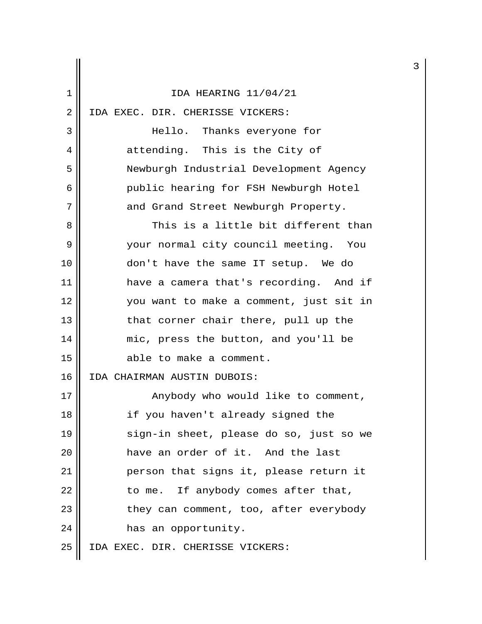| 1  | IDA HEARING 11/04/21                    |
|----|-----------------------------------------|
| 2  | IDA EXEC. DIR. CHERISSE VICKERS:        |
| 3  | Hello. Thanks everyone for              |
| 4  | attending. This is the City of          |
| 5  | Newburgh Industrial Development Agency  |
| 6  | public hearing for FSH Newburgh Hotel   |
| 7  | and Grand Street Newburgh Property.     |
| 8  | This is a little bit different than     |
| 9  | your normal city council meeting. You   |
| 10 | don't have the same IT setup. We do     |
| 11 | have a camera that's recording. And if  |
| 12 | you want to make a comment, just sit in |
| 13 | that corner chair there, pull up the    |
| 14 | mic, press the button, and you'll be    |
| 15 | able to make a comment.                 |
| 16 | IDA CHAIRMAN AUSTIN DUBOIS:             |
| 17 | Anybody who would like to comment,      |
| 18 | if you haven't already signed the       |
| 19 | sign-in sheet, please do so, just so we |
| 20 | have an order of it. And the last       |
| 21 | person that signs it, please return it  |
| 22 | to me. If anybody comes after that,     |
| 23 | they can comment, too, after everybody  |
| 24 | has an opportunity.                     |
| 25 | IDA EXEC. DIR. CHERISSE VICKERS:        |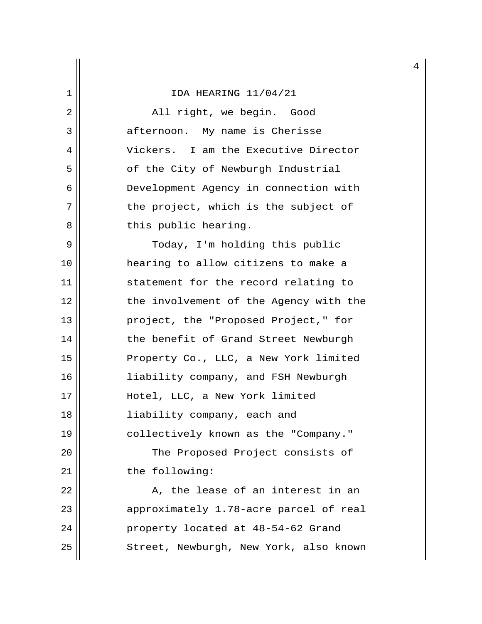2 || Rall right, we begin. Good 3 afternoon. My name is Cherisse 4 Vickers. I am the Executive Director 5 | of the City of Newburgh Industrial 6 Development Agency in connection with 7 || the project, which is the subject of 8 || this public hearing.

9 || Today, I'm holding this public 10 hearing to allow citizens to make a 11 || statement for the record relating to 12 || the involvement of the Agency with the 13 || project, the "Proposed Project," for 14 || the benefit of Grand Street Newburgh 15 || Property Co., LLC, a New York limited 16 liability company, and FSH Newburgh 17 || Hotel, LLC, a New York limited 18 liability company, each and 19 collectively known as the "Company." 20 || The Proposed Project consists of 21 | the following:

22 A, the lease of an interest in an 23 || approximately 1.78-acre parcel of real 24 | property located at 48-54-62 Grand 25 | Street, Newburgh, New York, also known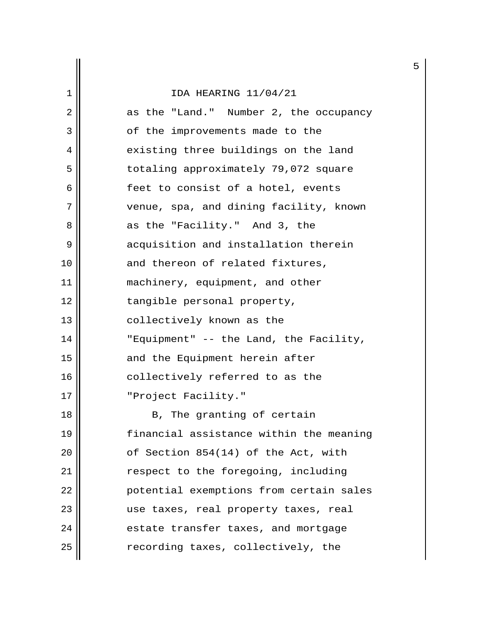| 1              | IDA HEARING 11/04/21                    |
|----------------|-----------------------------------------|
| $\overline{2}$ | as the "Land." Number 2, the occupancy  |
| 3              | of the improvements made to the         |
| 4              | existing three buildings on the land    |
| 5              | totaling approximately 79,072 square    |
| 6              | feet to consist of a hotel, events      |
| 7              | venue, spa, and dining facility, known  |
| 8              | as the "Facility." And 3, the           |
| 9              | acquisition and installation therein    |
| 10             | and thereon of related fixtures,        |
| 11             | machinery, equipment, and other         |
| 12             | tangible personal property,             |
| 13             | collectively known as the               |
| 14             | "Equipment" -- the Land, the Facility,  |
| 15             | and the Equipment herein after          |
| 16             | collectively referred to as the         |
| 17             | "Project Facility."                     |
| 18             | B, The granting of certain              |
| 19             | financial assistance within the meaning |
| 20             | of Section 854(14) of the Act, with     |
| 21             | respect to the foregoing, including     |
| 22             | potential exemptions from certain sales |
| 23             | use taxes, real property taxes, real    |
| 24             | estate transfer taxes, and mortgage     |
| 25             | recording taxes, collectively, the      |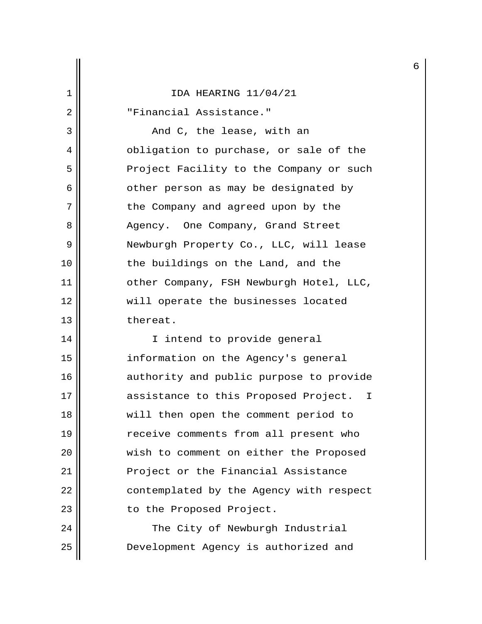2 "Financial Assistance."

 $3 \parallel$  and C, the lease, with an 4 | Obligation to purchase, or sale of the 5 | Project Facility to the Company or such 6 || cther person as may be designated by 7 || the Company and agreed upon by the 8 Agency. One Company, Grand Street 9 | Newburgh Property Co., LLC, will lease 10 || the buildings on the Land, and the 11 || other Company, FSH Newburgh Hotel, LLC, 12 will operate the businesses located 13 l thereat.

14 || I intend to provide general 15 information on the Agency's general 16 || authority and public purpose to provide 17 || assistance to this Proposed Project. I 18 will then open the comment period to 19 receive comments from all present who 20 || wish to comment on either the Proposed 21 || Project or the Financial Assistance 22 | contemplated by the Agency with respect 23 || to the Proposed Project.

24 || The City of Newburgh Industrial 25 Development Agency is authorized and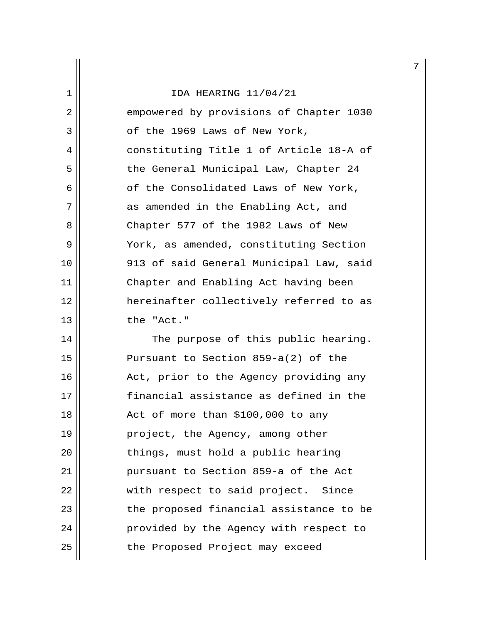2 empowered by provisions of Chapter 1030  $3 \parallel$  of the 1969 Laws of New York, 4 constituting Title 1 of Article 18-A of 5 | the General Municipal Law, Chapter 24  $6 \parallel$  of the Consolidated Laws of New York, 7 || as amended in the Enabling Act, and 8 Chapter 577 of the 1982 Laws of New 9 || York, as amended, constituting Section 10 913 of said General Municipal Law, said 11 Chapter and Enabling Act having been 12 hereinafter collectively referred to as 13 || the "Act."

14 || The purpose of this public hearing. 15 || Pursuant to Section 859-a(2) of the 16 Act, prior to the Agency providing any 17 financial assistance as defined in the  $18$  || Act of more than \$100,000 to any 19 project, the Agency, among other 20 || things, must hold a public hearing 21 pursuant to Section 859-a of the Act 22 || with respect to said project. Since 23 || The proposed financial assistance to be 24 | provided by the Agency with respect to 25 | the Proposed Project may exceed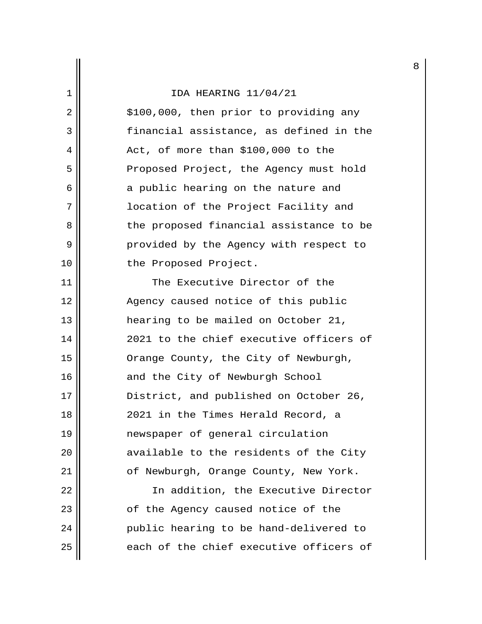## 1 IDA HEARING 11/04/21  $2 \parallel$  \$100,000, then prior to providing any 3 financial assistance, as defined in the  $4 \parallel$  Act, of more than \$100,000 to the 5 | Proposed Project, the Agency must hold  $6 \parallel$  a public hearing on the nature and 7 location of the Project Facility and 8 the proposed financial assistance to be 9 | Provided by the Agency with respect to 10 || the Proposed Project. 11 || The Executive Director of the 12 || Agency caused notice of this public 13 || hearing to be mailed on October 21, 14 2021 to the chief executive officers of 15 || Orange County, the City of Newburgh, 16 || and the City of Newburgh School 17 || District, and published on October 26, 18 || 2021 in the Times Herald Record, a 19 newspaper of general circulation 20 || available to the residents of the City 21 | cf Newburgh, Orange County, New York. 22 || The addition, the Executive Director 23 || cf the Agency caused notice of the 24 public hearing to be hand-delivered to  $25$   $\parallel$  each of the chief executive officers of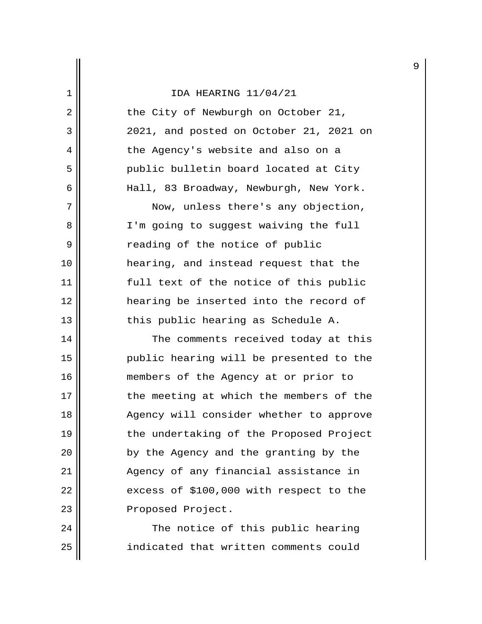| 2  | the City of Newburgh on October 21,     |
|----|-----------------------------------------|
| 3  | 2021, and posted on October 21, 2021 on |
| 4  | the Agency's website and also on a      |
| 5  | public bulletin board located at City   |
| 6  | Hall, 83 Broadway, Newburgh, New York.  |
| 7  | Now, unless there's any objection,      |
| 8  | I'm going to suggest waiving the full   |
| 9  | reading of the notice of public         |
| 10 | hearing, and instead request that the   |
| 11 | full text of the notice of this public  |
| 12 | hearing be inserted into the record of  |
| 13 | this public hearing as Schedule A.      |
| 14 | The comments received today at this     |
| 15 | public hearing will be presented to the |
| 16 | members of the Agency at or prior to    |
| 17 | the meeting at which the members of the |
| 18 | Agency will consider whether to approve |
| 19 | the undertaking of the Proposed Project |
| 20 | by the Agency and the granting by the   |
| 21 | Agency of any financial assistance in   |
| 22 | excess of \$100,000 with respect to the |
| 23 | Proposed Project.                       |
|    |                                         |

24 The notice of this public hearing<br>25 indicated that written comments could indicated that written comments could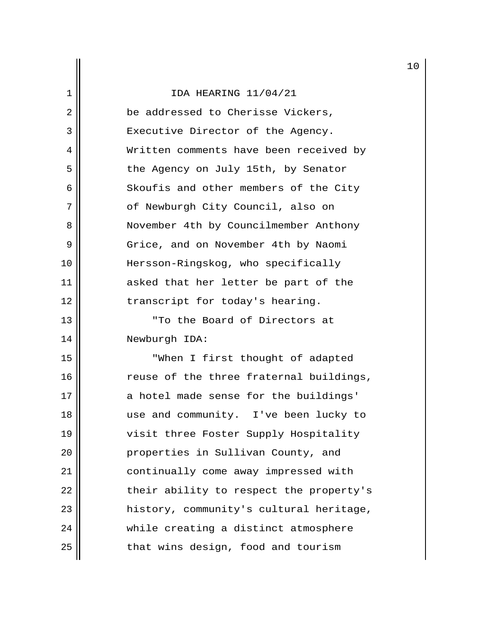|                |                                         | 1 |
|----------------|-----------------------------------------|---|
| 1              | IDA HEARING 11/04/21                    |   |
| $\overline{2}$ | be addressed to Cherisse Vickers,       |   |
| 3              | Executive Director of the Agency.       |   |
| 4              | Written comments have been received by  |   |
| 5              | the Agency on July 15th, by Senator     |   |
| 6              | Skoufis and other members of the City   |   |
| 7              | of Newburgh City Council, also on       |   |
| 8              | November 4th by Councilmember Anthony   |   |
| 9              | Grice, and on November 4th by Naomi     |   |
| 10             | Hersson-Ringskog, who specifically      |   |
| 11             | asked that her letter be part of the    |   |
| 12             | transcript for today's hearing.         |   |
| 13             | "To the Board of Directors at           |   |
| 14             | Newburgh IDA:                           |   |
| 15             | "When I first thought of adapted        |   |
| 16             | reuse of the three fraternal buildings, |   |
| 17             | a hotel made sense for the buildings'   |   |
| 18             | use and community. I've been lucky to   |   |
| 19             | visit three Foster Supply Hospitality   |   |
| 20             | properties in Sullivan County, and      |   |
| 21             | continually come away impressed with    |   |
| 22             | their ability to respect the property's |   |
| 23             | history, community's cultural heritage, |   |
| 24             | while creating a distinct atmosphere    |   |
| 25             | that wins design, food and tourism      |   |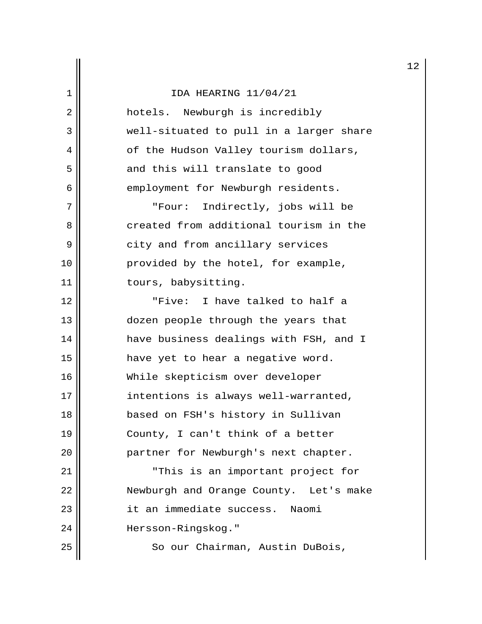|  |  |  |  | IDA HEARING 11/04/21 |
|--|--|--|--|----------------------|
|--|--|--|--|----------------------|

| 2  | hotels. Newburgh is incredibly          |
|----|-----------------------------------------|
| 3  | well-situated to pull in a larger share |
| 4  | of the Hudson Valley tourism dollars,   |
| 5  | and this will translate to good         |
| 6  | employment for Newburgh residents.      |
| 7  | "Four: Indirectly, jobs will be         |
| 8  | created from additional tourism in the  |
| 9  | city and from ancillary services        |
| 10 | provided by the hotel, for example,     |
| 11 | tours, babysitting.                     |
| 12 | "Five: I have talked to half a          |
| 13 | dozen people through the years that     |
| 14 | have business dealings with FSH, and I  |
| 15 | have yet to hear a negative word.       |
| 16 | While skepticism over developer         |
| 17 | intentions is always well-warranted,    |
| 18 | based on FSH's history in Sullivan      |
| 19 | County, I can't think of a better       |
| 20 | partner for Newburgh's next chapter.    |
| 21 | "This is an important project for       |
| 22 | Newburgh and Orange County. Let's make  |
| 23 | it an immediate success.<br>Naomi       |
| 24 | Hersson-Ringskog."                      |
| 25 | So our Chairman, Austin DuBois,         |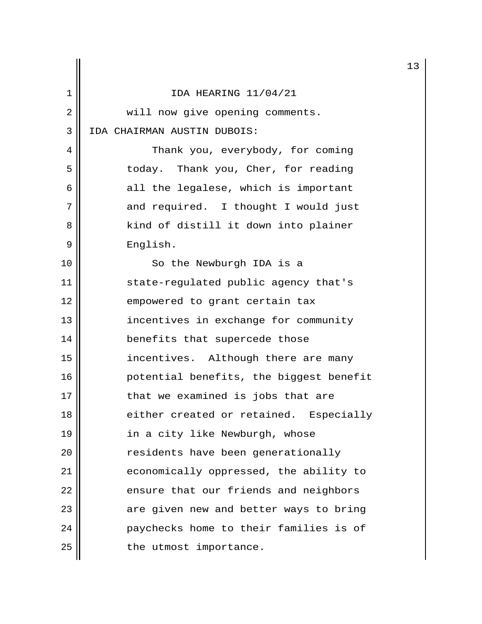|    |                                         | 13 |
|----|-----------------------------------------|----|
| 1  | IDA HEARING 11/04/21                    |    |
| 2  | will now give opening comments.         |    |
| 3  | IDA CHAIRMAN AUSTIN DUBOIS:             |    |
| 4  | Thank you, everybody, for coming        |    |
| 5  | today. Thank you, Cher, for reading     |    |
| 6  | all the legalese, which is important    |    |
| 7  | and required. I thought I would just    |    |
| 8  | kind of distill it down into plainer    |    |
| 9  | English.                                |    |
| 10 | So the Newburgh IDA is a                |    |
| 11 | state-regulated public agency that's    |    |
| 12 | empowered to grant certain tax          |    |
| 13 | incentives in exchange for community    |    |
| 14 | benefits that supercede those           |    |
| 15 | incentives. Although there are many     |    |
| 16 | potential benefits, the biggest benefit |    |
| 17 | that we examined is jobs that are       |    |
| 18 | either created or retained. Especially  |    |
| 19 | in a city like Newburgh, whose          |    |
| 20 | residents have been generationally      |    |
| 21 | economically oppressed, the ability to  |    |
| 22 | ensure that our friends and neighbors   |    |
| 23 | are given new and better ways to bring  |    |
| 24 | paychecks home to their families is of  |    |
| 25 | the utmost importance.                  |    |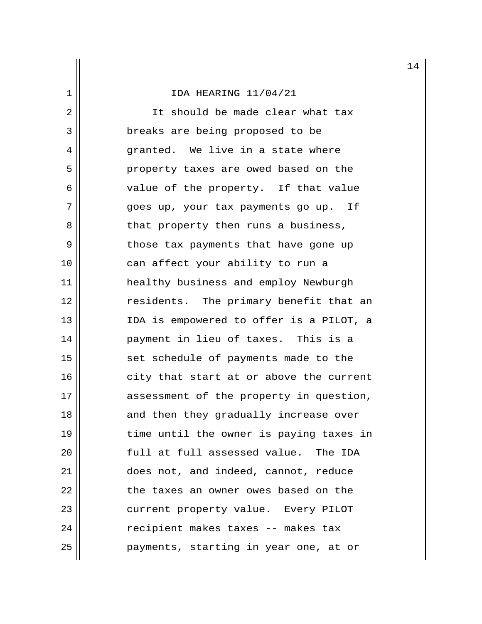2 || It should be made clear what tax 3 **breaks** are being proposed to be 4 granted. We live in a state where 5 || property taxes are owed based on the 6 || value of the property. If that value 7 goes up, your tax payments go up. If 8 || that property then runs a business, 9 || those tax payments that have gone up 10 || can affect your ability to run a 11 healthy business and employ Newburgh 12 || endents. The primary benefit that an 13 IDA is empowered to offer is a PILOT, a 14 payment in lieu of taxes. This is a 15 || set schedule of payments made to the  $16$  city that start at or above the current 17 || assessment of the property in question, 18 || and then they gradually increase over 19 time until the owner is paying taxes in 20  $\parallel$  full at full assessed value. The IDA 21 || does not, and indeed, cannot, reduce 22 || the taxes an owner owes based on the 23 || current property value. Every PILOT 24 | Tecipient makes taxes -- makes tax 25 payments, starting in year one, at or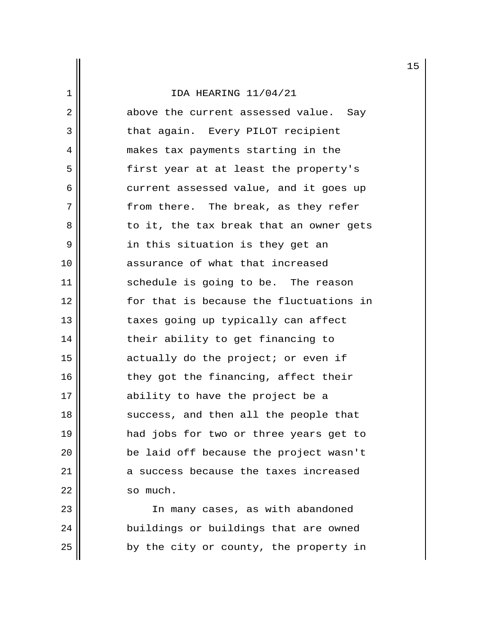2 above the current assessed value. Say 3 || that again. Every PILOT recipient 4 makes tax payments starting in the 5 || first year at at least the property's  $6 \parallel$  current assessed value, and it goes up 7 || from there. The break, as they refer 8 to it, the tax break that an owner gets  $9 \parallel$  in this situation is they get an 10 || assurance of what that increased 11 || schedule is going to be. The reason 12 for that is because the fluctuations in 13 || taxes going up typically can affect 14 || their ability to get financing to 15 || actually do the project; or even if 16 || they got the financing, affect their 17 || ability to have the project be a 18 || success, and then all the people that 19 had jobs for two or three years get to 20 || be laid off because the project wasn't 21 a success because the taxes increased 22 | so much.

23 || The many cases, as with abandoned 24 | buildings or buildings that are owned  $25$  | by the city or county, the property in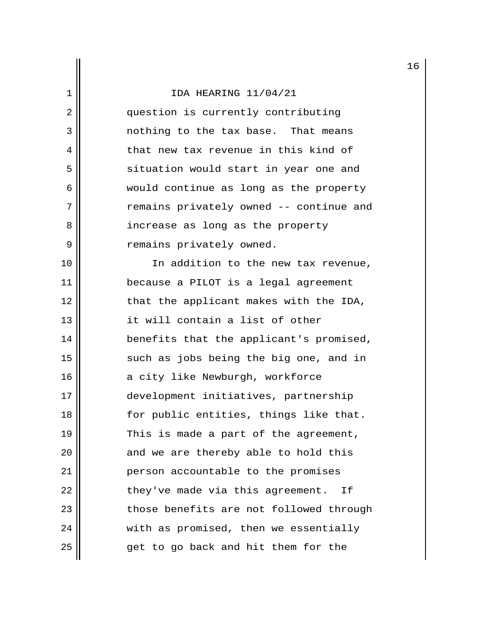2 || question is currently contributing 3 || conthing to the tax base. That means 4 that new tax revenue in this kind of 5 || situation would start in year one and 6 would continue as long as the property 7 || The remains privately owned -- continue and 8 || increase as long as the property 9 | Temains privately owned.

10 In addition to the new tax revenue, 11 because a PILOT is a legal agreement 12 || that the applicant makes with the IDA, 13 it will contain a list of other 14 || benefits that the applicant's promised, 15 || such as jobs being the big one, and in 16 || a city like Newburgh, workforce 17 development initiatives, partnership 18 || for public entities, things like that. 19  $\parallel$  This is made a part of the agreement,  $20$  || and we are thereby able to hold this 21 | person accountable to the promises  $22$  || they've made via this agreement. If 23 || those benefits are not followed through 24 | with as promised, then we essentially  $25$  || eqet to go back and hit them for the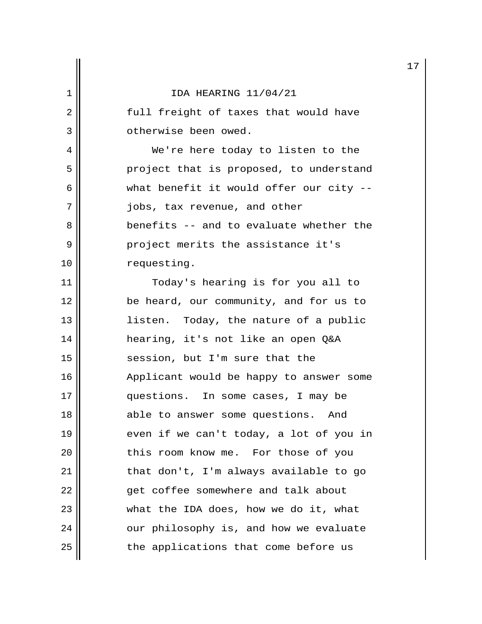|  |  |  |  | IDA HEARING 11/04/21 |
|--|--|--|--|----------------------|
|--|--|--|--|----------------------|

2 || [2011] freight of taxes that would have 3 || ctherwise been owed.

 4 We're here today to listen to the 5 | project that is proposed, to understand  $6 \parallel$  what benefit it would offer our city --7 || jobs, tax revenue, and other 8 benefits -- and to evaluate whether the 9 **9** project merits the assistance it's 10 | requesting.

11 || Today's hearing is for you all to 12 be heard, our community, and for us to 13 || listen. Today, the nature of a public 14 hearing, it's not like an open Q&A 15 || session, but I'm sure that the 16 Applicant would be happy to answer some 17 questions. In some cases, I may be 18 || able to answer some questions. And 19  $\parallel$  even if we can't today, a lot of you in 20 || this room know me. For those of you 21 | that don't, I'm always available to go 22 || qet coffee somewhere and talk about 23 || what the IDA does, how we do it, what  $24$  |  $\sim$  our philosophy is, and how we evaluate  $25$  || the applications that come before us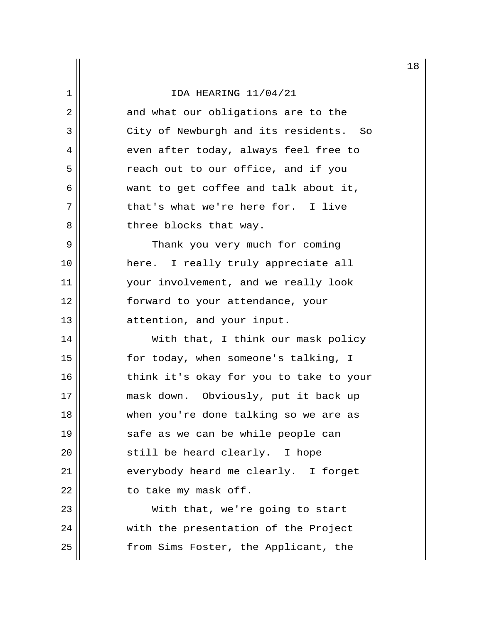|    |                                         | 1 |
|----|-----------------------------------------|---|
| 1  | IDA HEARING 11/04/21                    |   |
| 2  | and what our obligations are to the     |   |
| 3  | City of Newburgh and its residents. So  |   |
| 4  | even after today, always feel free to   |   |
| 5  | reach out to our office, and if you     |   |
| 6  | want to get coffee and talk about it,   |   |
| 7  | that's what we're here for. I live      |   |
| 8  | three blocks that way.                  |   |
| 9  | Thank you very much for coming          |   |
| 10 | here. I really truly appreciate all     |   |
| 11 | your involvement, and we really look    |   |
| 12 | forward to your attendance, your        |   |
| 13 | attention, and your input.              |   |
| 14 | With that, I think our mask policy      |   |
| 15 | for today, when someone's talking, I    |   |
| 16 | think it's okay for you to take to your |   |
| 17 | mask down. Obviously, put it back up    |   |
| 18 | when you're done talking so we are as   |   |
| 19 | safe as we can be while people can      |   |
| 20 | still be heard clearly. I hope          |   |
| 21 | everybody heard me clearly. I forget    |   |
| 22 | to take my mask off.                    |   |
| 23 | With that, we're going to start         |   |
| 24 | with the presentation of the Project    |   |
| 25 | from Sims Foster, the Applicant, the    |   |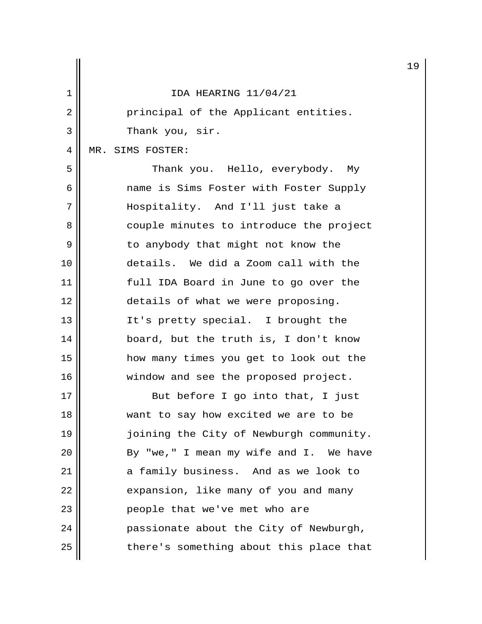|                |                                         | 1 |
|----------------|-----------------------------------------|---|
| 1              | IDA HEARING 11/04/21                    |   |
| $\overline{2}$ | principal of the Applicant entities.    |   |
| 3              | Thank you, sir.                         |   |
| 4              | MR. SIMS FOSTER:                        |   |
| 5              | Thank you. Hello, everybody. My         |   |
| 6              | name is Sims Foster with Foster Supply  |   |
| 7              | Hospitality. And I'll just take a       |   |
| 8              | couple minutes to introduce the project |   |
| 9              | to anybody that might not know the      |   |
| 10             | details. We did a Zoom call with the    |   |
| 11             | full IDA Board in June to go over the   |   |
| 12             | details of what we were proposing.      |   |
| 13             | It's pretty special. I brought the      |   |
| 14             | board, but the truth is, I don't know   |   |
| 15             | how many times you get to look out the  |   |
| 16             | window and see the proposed project.    |   |
| 17             | But before I go into that, I just       |   |
| 18             | want to say how excited we are to be    |   |
| 19             | joining the City of Newburgh community. |   |
| 20             | By "we," I mean my wife and I. We have  |   |
| 21             | a family business. And as we look to    |   |
| 22             | expansion, like many of you and many    |   |
| 23             | people that we've met who are           |   |
| 24             | passionate about the City of Newburgh,  |   |
| 25             | there's something about this place that |   |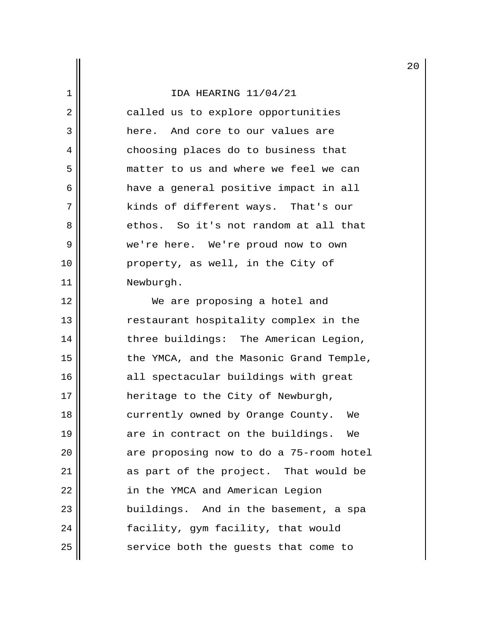2 || called us to explore opportunities 3 **H** here. And core to our values are 4 || choosing places do to business that 5 matter to us and where we feel we can 6 have a general positive impact in all 7 || kinds of different ways. That's our 8 ethos. So it's not random at all that 9 we're here. We're proud now to own 10 property, as well, in the City of 11 | Newburgh.

12 || We are proposing a hotel and 13 || restaurant hospitality complex in the 14 || three buildings: The American Legion, 15 || the YMCA, and the Masonic Grand Temple, 16 || all spectacular buildings with great 17 || heritage to the City of Newburgh, 18 || currently owned by Orange County. We 19 are in contract on the buildings. We  $20$  || are proposing now to do a 75-room hotel 21 || as part of the project. That would be 22 | in the YMCA and American Legion 23 || buildings. And in the basement, a spa 24 || facility, gym facility, that would  $25$  service both the guests that come to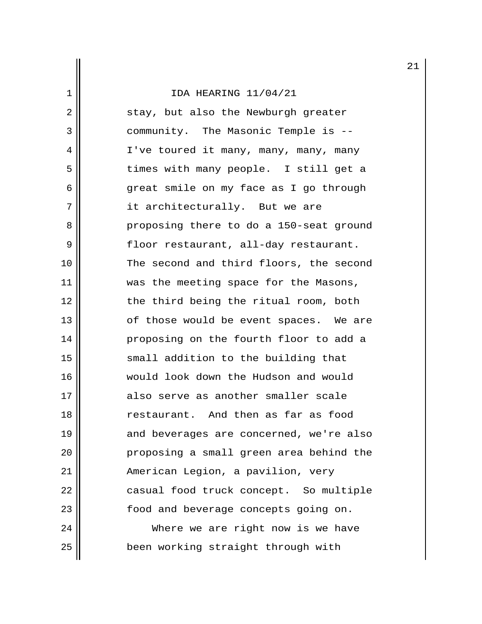2 || stay, but also the Newburgh greater 3 || community. The Masonic Temple is --4 || I've toured it many, many, many, many 5 times with many people. I still get a 6 great smile on my face as I go through 7 || it architecturally. But we are 8 proposing there to do a 150-seat ground 9 || floor restaurant, all-day restaurant. 10 || The second and third floors, the second 11 || was the meeting space for the Masons, 12 || the third being the ritual room, both 13 || of those would be event spaces. We are 14 proposing on the fourth floor to add a 15 || small addition to the building that 16 would look down the Hudson and would 17 also serve as another smaller scale 18 restaurant. And then as far as food 19 || and beverages are concerned, we're also 20 proposing a small green area behind the 21 || American Legion, a pavilion, very 22 | casual food truck concept. So multiple 23 || food and beverage concepts going on. 24 Where we are right now is we have 25 || been working straight through with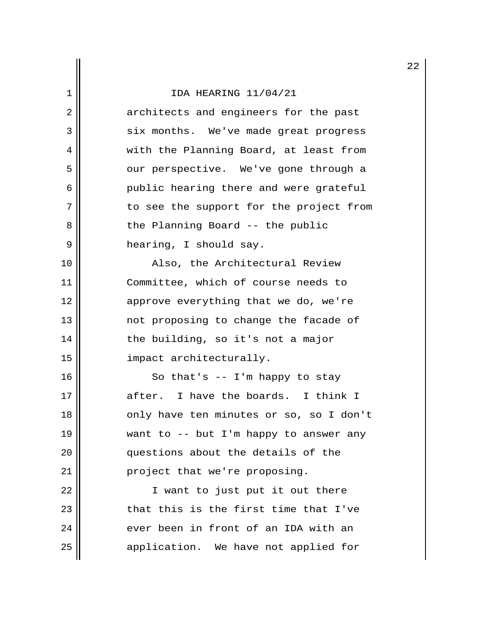2 architects and engineers for the past 3 || six months. We've made great progress 4 || with the Planning Board, at least from 5 our perspective. We've gone through a 6 public hearing there and were grateful 7 || to see the support for the project from 8 || the Planning Board -- the public 9 | hearing, I should say.

10 || Also, the Architectural Review 11 Committee, which of course needs to 12 || approve everything that we do, we're 13 || mot proposing to change the facade of  $14$  | the building, so it's not a major 15 impact architecturally.

 $16$  So that's -- I'm happy to stay 17 after. I have the boards. I think I 18 || only have ten minutes or so, so I don't 19 want to -- but I'm happy to answer any 20 || questions about the details of the 21 | project that we're proposing.

22 || T want to just put it out there  $23$  || that this is the first time that I've  $24$  || ever been in front of an IDA with an 25 | application. We have not applied for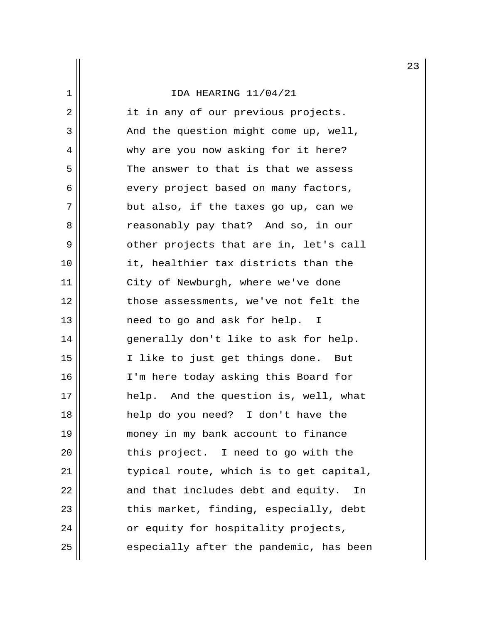2 || it in any of our previous projects. 3 || And the question might come up, well, 4 why are you now asking for it here?  $5$  The answer to that is that we assess 6 || every project based on many factors,  $7$  || but also, if the taxes go up, can we 8 **8** reasonably pay that? And so, in our 9 | Other projects that are in, let's call 10 it, healthier tax districts than the 11 | City of Newburgh, where we've done 12 || those assessments, we've not felt the 13 || need to go and ask for help. I 14 generally don't like to ask for help. 15 I like to just get things done. But 16 || I'm here today asking this Board for 17 help. And the question is, well, what 18 help do you need? I don't have the 19 money in my bank account to finance 20 || this project. I need to go with the 21 | typical route, which is to get capital,  $22$  || and that includes debt and equity. In 23 || this market, finding, especially, debt  $24$  ||  $\sigma$  or equity for hospitality projects,  $25$   $\parallel$  especially after the pandemic, has been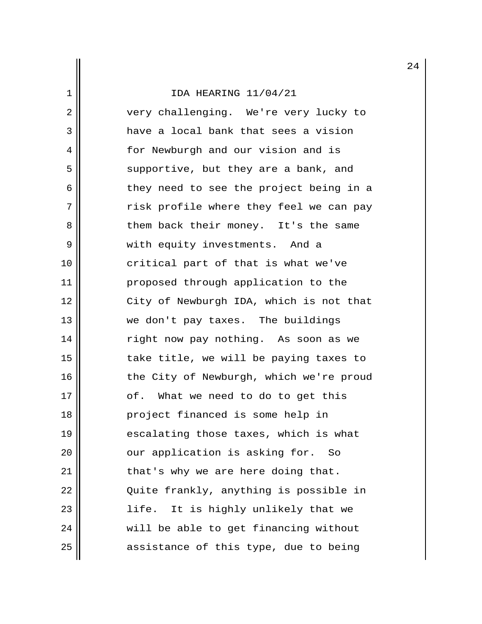2 very challenging. We're very lucky to 3 have a local bank that sees a vision 4 || for Newburgh and our vision and is 5 || supportive, but they are a bank, and 6 || They need to see the project being in a 7 T risk profile where they feel we can pay 8 || Them back their money. It's the same 9 || with equity investments. And a 10 || critical part of that is what we've 11 || proposed through application to the 12 || City of Newburgh IDA, which is not that 13 we don't pay taxes. The buildings 14 || right now pay nothing. As soon as we 15 take title, we will be paying taxes to 16 || the City of Newburgh, which we're proud 17 || of. What we need to do to get this 18 project financed is some help in 19 escalating those taxes, which is what 20 || our application is asking for. So  $21$  || that's why we are here doing that. 22 | Quite frankly, anything is possible in 23 life. It is highly unlikely that we 24 | will be able to get financing without  $25$  assistance of this type, due to being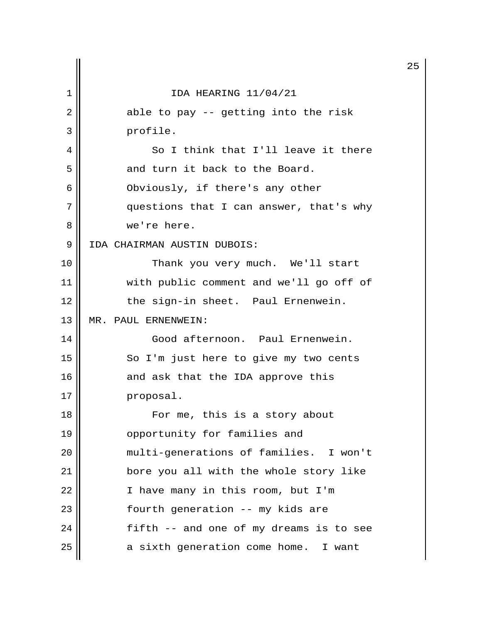|                |                                         | 2 |
|----------------|-----------------------------------------|---|
| 1              | IDA HEARING 11/04/21                    |   |
| $\overline{2}$ | able to pay -- getting into the risk    |   |
| 3              | profile.                                |   |
| 4              | So I think that I'll leave it there     |   |
| 5              | and turn it back to the Board.          |   |
| 6              | Obviously, if there's any other         |   |
| 7              | questions that I can answer, that's why |   |
| 8              | we're here.                             |   |
| 9              | IDA CHAIRMAN AUSTIN DUBOIS:             |   |
| 10             | Thank you very much. We'll start        |   |
| 11             | with public comment and we'll go off of |   |
| 12             | the sign-in sheet. Paul Ernenwein.      |   |
| 13             | MR. PAUL ERNENWEIN:                     |   |
| 14             | Good afternoon. Paul Ernenwein.         |   |
| 15             | So I'm just here to give my two cents   |   |
| 16             | and ask that the IDA approve this       |   |
| 17             | proposal.                               |   |
| 18             | For me, this is a story about           |   |
| 19             | opportunity for families and            |   |
| 20             | multi-generations of families. I won't  |   |
| 21             | bore you all with the whole story like  |   |
| 22             | I have many in this room, but I'm       |   |
| 23             | fourth generation -- my kids are        |   |
| 24             | fifth -- and one of my dreams is to see |   |
| 25             | a sixth generation come home. I want    |   |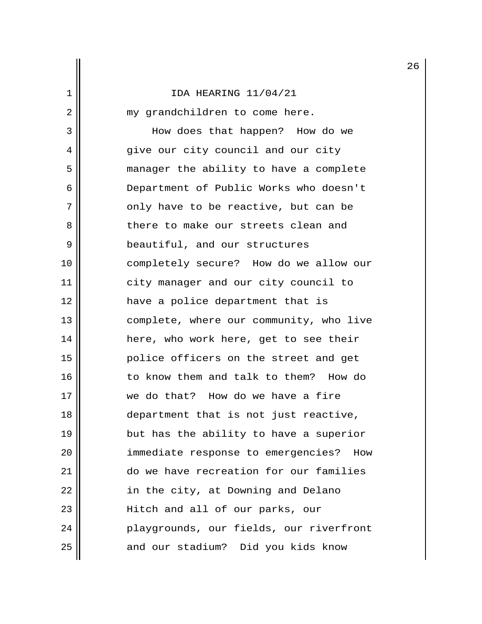2 || my grandchildren to come here.

 3 How does that happen? How do we 4 give our city council and our city 5 manager the ability to have a complete 6 Department of Public Works who doesn't 7 || only have to be reactive, but can be 8 || there to make our streets clean and 9 | beautiful, and our structures 10 completely secure? How do we allow our 11 | city manager and our city council to 12 have a police department that is 13 || complete, where our community, who live 14 || here, who work here, get to see their 15 police officers on the street and get 16 || to know them and talk to them? How do 17 we do that? How do we have a fire 18 department that is not just reactive, 19 || but has the ability to have a superior 20 || immediate response to emergencies? How 21 do we have recreation for our families 22 | in the city, at Downing and Delano 23 || Hitch and all of our parks, our 24 || Playgrounds, our fields, our riverfront 25 || and our stadium? Did you kids know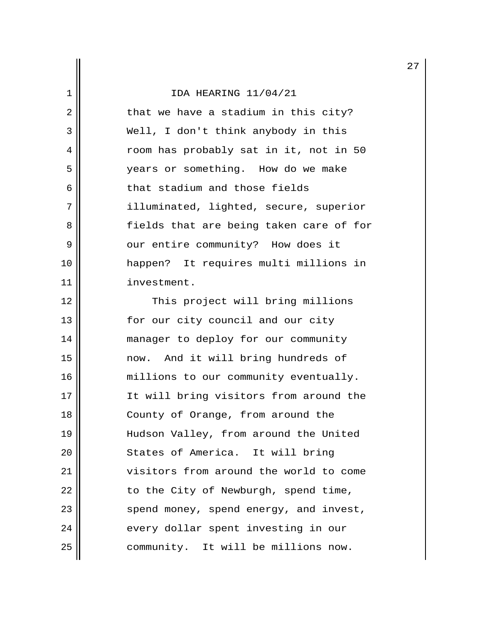$2 \parallel$  that we have a stadium in this city? 3 || Well, I don't think anybody in this 4 | Toom has probably sat in it, not in 50 5 years or something. How do we make  $6$   $\parallel$  that stadium and those fields 7 || illuminated, lighted, secure, superior 8 sample is that are being taken care of for 9 || our entire community? How does it 10 happen? It requires multi millions in 11 | investment.

12 || This project will bring millions 13 || for our city council and our city 14 || manager to deploy for our community 15 now. And it will bring hundreds of 16 || millions to our community eventually. 17 It will bring visitors from around the 18 || County of Orange, from around the 19 Hudson Valley, from around the United 20 || States of America. It will bring 21 visitors from around the world to come  $22$  | to the City of Newburgh, spend time, 23 || spend money, spend energy, and invest, 24 || every dollar spent investing in our 25 || community. It will be millions now.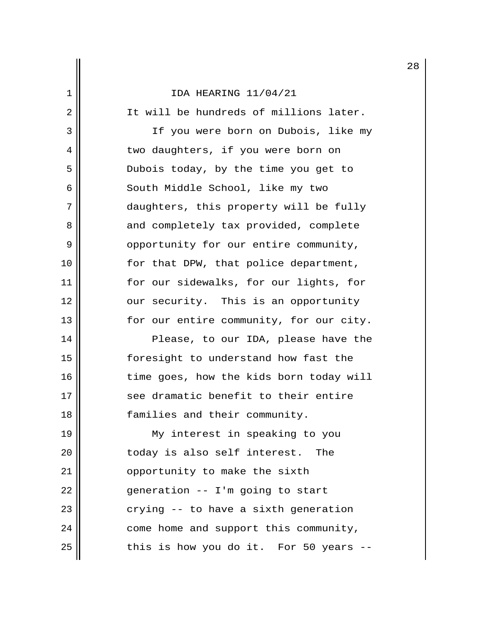2 | It will be hundreds of millions later. 3 || TE you were born on Dubois, like my 4 || two daughters, if you were born on 5 Dubois today, by the time you get to 6 || South Middle School, like my two 7 daughters, this property will be fully 8 || and completely tax provided, complete 9 || opportunity for our entire community, 10 || for that DPW, that police department, 11 for our sidewalks, for our lights, for 12 || our security. This is an opportunity 13 || for our entire community, for our city. 14 || Please, to our IDA, please have the 15 foresight to understand how fast the 16 || time goes, how the kids born today will 17 || see dramatic benefit to their entire 18 || families and their community.

19 My interest in speaking to you 20 || coday is also self interest. The 21 | opportunity to make the sixth  $22$  || generation -- I'm going to start  $23$   $\parallel$  crying -- to have a sixth generation 24 | come home and support this community,  $25$  || this is how you do it. For 50 years --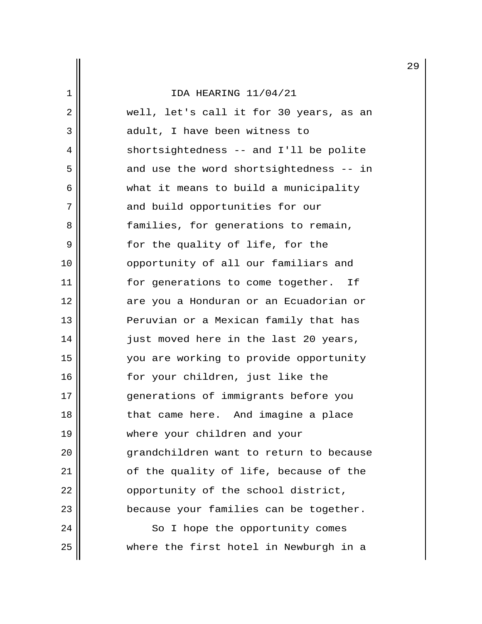| 2  | well, let's call it for 30 years, as an |
|----|-----------------------------------------|
| 3  | adult, I have been witness to           |
| 4  | shortsightedness -- and I'll be polite  |
| 5  | and use the word shortsightedness -- in |
| 6  | what it means to build a municipality   |
| 7  | and build opportunities for our         |
| 8  | families, for generations to remain,    |
| 9  | for the quality of life, for the        |
| 10 | opportunity of all our familiars and    |
| 11 | for generations to come together. If    |
| 12 | are you a Honduran or an Ecuadorian or  |
| 13 | Peruvian or a Mexican family that has   |
| 14 | just moved here in the last 20 years,   |
| 15 | you are working to provide opportunity  |
| 16 | for your children, just like the        |
| 17 | generations of immigrants before you    |
| 18 | that came here. And imagine a place     |
| 19 | where your children and your            |
| 20 | grandchildren want to return to because |
| 21 | of the quality of life, because of the  |
| 22 | opportunity of the school district,     |
| 23 | because your families can be together.  |
| 24 | So I hope the opportunity comes         |
| 25 | where the first hotel in Newburgh in a  |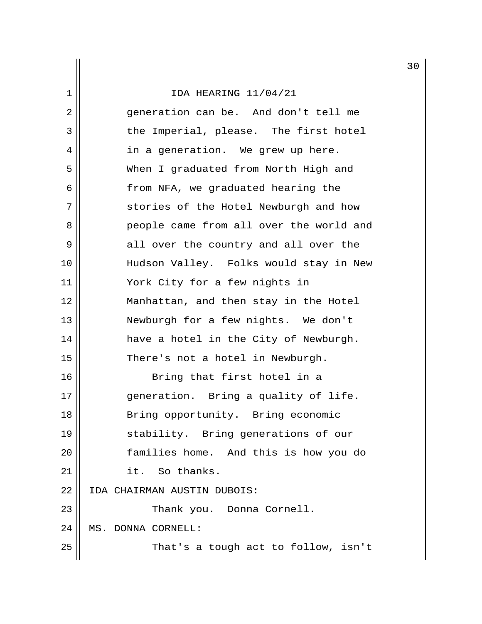|    |                                         | 3 |
|----|-----------------------------------------|---|
| 1  | IDA HEARING 11/04/21                    |   |
| 2  | generation can be. And don't tell me    |   |
| 3  | the Imperial, please. The first hotel   |   |
| 4  | in a generation. We grew up here.       |   |
| 5  | When I graduated from North High and    |   |
| 6  | from NFA, we graduated hearing the      |   |
| 7  | stories of the Hotel Newburgh and how   |   |
| 8  | people came from all over the world and |   |
| 9  | all over the country and all over the   |   |
| 10 | Hudson Valley. Folks would stay in New  |   |
| 11 | York City for a few nights in           |   |
| 12 | Manhattan, and then stay in the Hotel   |   |
| 13 | Newburgh for a few nights. We don't     |   |
| 14 | have a hotel in the City of Newburgh.   |   |
| 15 | There's not a hotel in Newburgh.        |   |
| 16 | Bring that first hotel in a             |   |
| 17 | generation. Bring a quality of life.    |   |
| 18 | Bring opportunity. Bring economic       |   |
| 19 | stability. Bring generations of our     |   |
| 20 | families home. And this is how you do   |   |
| 21 | it. So thanks.                          |   |
| 22 | IDA CHAIRMAN AUSTIN DUBOIS:             |   |
| 23 | Thank you. Donna Cornell.               |   |
| 24 | MS. DONNA CORNELL:                      |   |
| 25 | That's a tough act to follow, isn't     |   |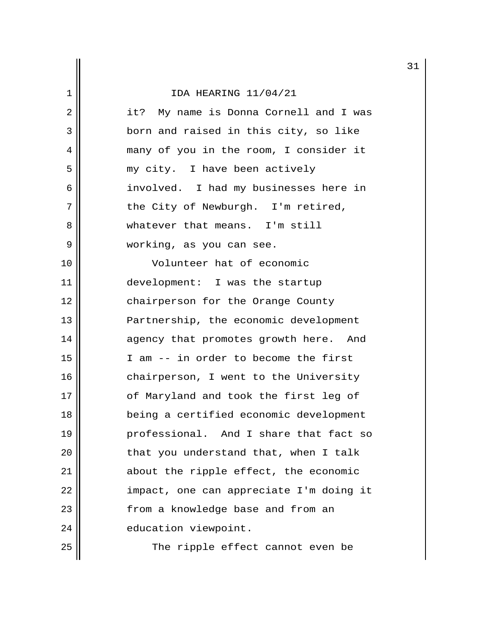|    |                                         | 3 |
|----|-----------------------------------------|---|
| 1  | IDA HEARING 11/04/21                    |   |
| 2  | it? My name is Donna Cornell and I was  |   |
| 3  | born and raised in this city, so like   |   |
| 4  | many of you in the room, I consider it  |   |
| 5  | my city. I have been actively           |   |
| 6  | involved. I had my businesses here in   |   |
| 7  | the City of Newburgh. I'm retired,      |   |
| 8  | whatever that means. I'm still          |   |
| 9  | working, as you can see.                |   |
| 10 | Volunteer hat of economic               |   |
| 11 | development: I was the startup          |   |
| 12 | chairperson for the Orange County       |   |
| 13 | Partnership, the economic development   |   |
| 14 | agency that promotes growth here. And   |   |
| 15 | I am -- in order to become the first    |   |
| 16 | chairperson, I went to the University   |   |
| 17 | of Maryland and took the first leg of   |   |
| 18 | being a certified economic development  |   |
| 19 | professional. And I share that fact so  |   |
| 20 | that you understand that, when I talk   |   |
| 21 | about the ripple effect, the economic   |   |
| 22 | impact, one can appreciate I'm doing it |   |
| 23 | from a knowledge base and from an       |   |
| 24 | education viewpoint.                    |   |
| 25 | The ripple effect cannot even be        |   |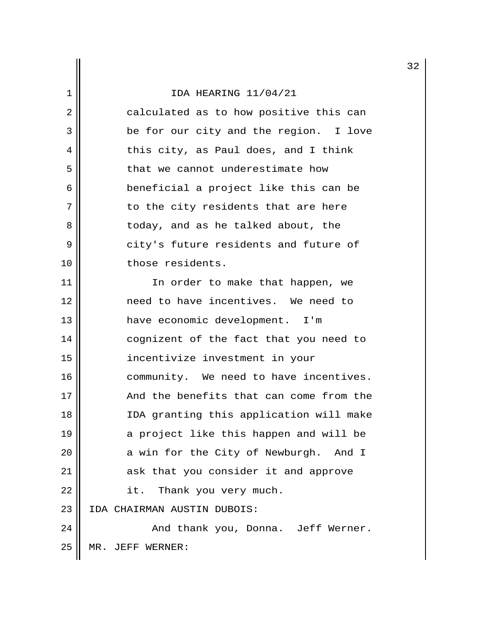|                |                                         | 3 |
|----------------|-----------------------------------------|---|
| 1              | IDA HEARING 11/04/21                    |   |
| $\overline{2}$ | calculated as to how positive this can  |   |
| 3              | be for our city and the region. I love  |   |
| 4              | this city, as Paul does, and I think    |   |
| 5              | that we cannot underestimate how        |   |
| 6              | beneficial a project like this can be   |   |
| 7              | to the city residents that are here     |   |
| 8              | today, and as he talked about, the      |   |
| 9              | city's future residents and future of   |   |
| 10             | those residents.                        |   |
| 11             | In order to make that happen, we        |   |
| 12             | need to have incentives. We need to     |   |
| 13             | have economic development. I'm          |   |
| 14             | cognizent of the fact that you need to  |   |
| 15             | incentivize investment in your          |   |
| 16             | community. We need to have incentives.  |   |
| 17             | And the benefits that can come from the |   |
| 18             | IDA granting this application will make |   |
| 19             | a project like this happen and will be  |   |
| 20             | a win for the City of Newburgh. And I   |   |
| 21             | ask that you consider it and approve    |   |
| 22             | Thank you very much.<br>it.             |   |
| 23             | IDA CHAIRMAN AUSTIN DUBOIS:             |   |
| 24             | And thank you, Donna. Jeff Werner.      |   |
| 25             | JEFF WERNER:<br>MR.                     |   |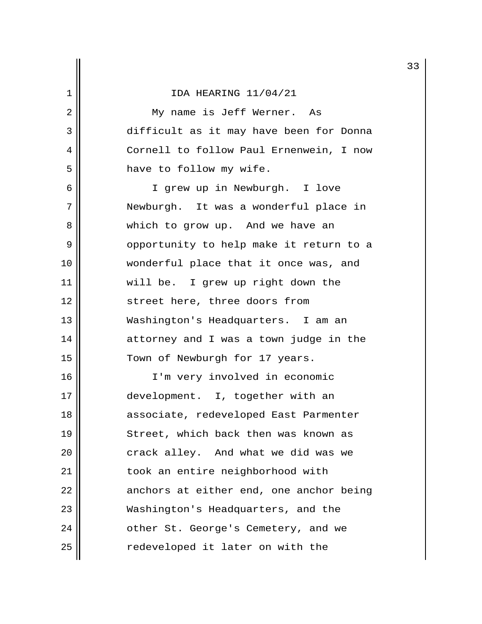2 || My name is Jeff Werner. As 3 difficult as it may have been for Donna 4 Cornell to follow Paul Ernenwein, I now 5 | have to follow my wife.

 6 I grew up in Newburgh. I love 7 Newburgh. It was a wonderful place in 8 Which to grow up. And we have an 9 | Opportunity to help make it return to a 10 wonderful place that it once was, and 11 || will be. I grew up right down the 12 || street here, three doors from 13 Washington's Headquarters. I am an 14 attorney and I was a town judge in the 15 || Town of Newburgh for 17 years.

16 I'm very involved in economic 17 || development. I, together with an 18 || associate, redeveloped East Parmenter 19 || Street, which back then was known as 20 || crack alley. And what we did was we 21 | took an entire neighborhood with  $22$  || anchors at either end, one anchor being 23 Washington's Headquarters, and the 24 | cther St. George's Cemetery, and we  $25$   $\parallel$  redeveloped it later on with the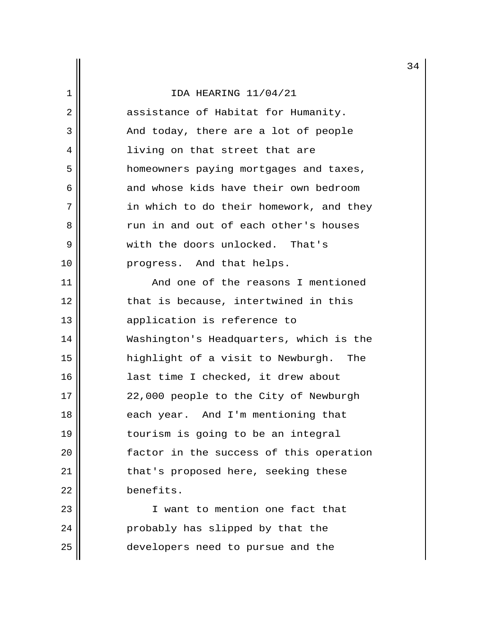|             |                                          | 3 |
|-------------|------------------------------------------|---|
| $\mathbf 1$ | IDA HEARING 11/04/21                     |   |
| 2           | assistance of Habitat for Humanity.      |   |
| 3           | And today, there are a lot of people     |   |
| 4           | living on that street that are           |   |
| 5           | homeowners paying mortgages and taxes,   |   |
| 6           | and whose kids have their own bedroom    |   |
| 7           | in which to do their homework, and they  |   |
| 8           | run in and out of each other's houses    |   |
| 9           | with the doors unlocked. That's          |   |
| 10          | progress. And that helps.                |   |
| 11          | And one of the reasons I mentioned       |   |
| 12          | that is because, intertwined in this     |   |
| 13          | application is reference to              |   |
| 14          | Washington's Headquarters, which is the  |   |
| 15          | highlight of a visit to Newburgh.<br>The |   |
| 16          | last time I checked, it drew about       |   |
| 17          | 22,000 people to the City of Newburgh    |   |
| 18          | each year. And I'm mentioning that       |   |
| 19          | tourism is going to be an integral       |   |
| 20          | factor in the success of this operation  |   |
| 21          | that's proposed here, seeking these      |   |
| 22          | benefits.                                |   |
| 23          | I want to mention one fact that          |   |
| 24          | probably has slipped by that the         |   |
| 25          | developers need to pursue and the        |   |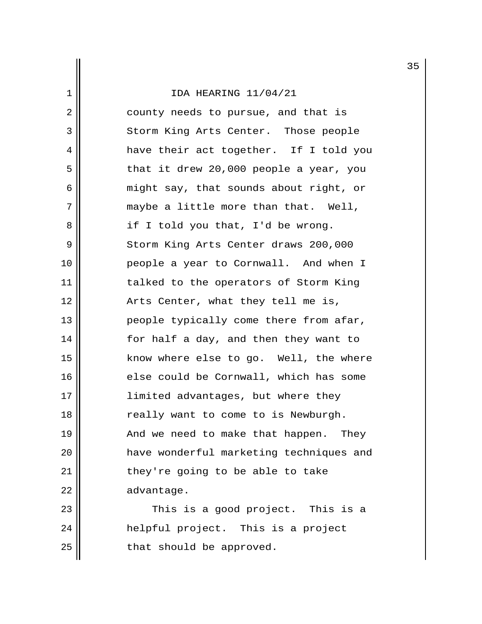2 || county needs to pursue, and that is 3 || Storm King Arts Center. Those people 4 || have their act together. If I told you  $5 \parallel$  that it drew 20,000 people a year, you 6 might say, that sounds about right, or  $7 \parallel$  maybe a little more than that. Well, 8 || if I told you that, I'd be wrong. 9 || Storm King Arts Center draws 200,000 10 people a year to Cornwall. And when I 11 || talked to the operators of Storm King 12 Arts Center, what they tell me is, 13 || people typically come there from afar, 14 for half a day, and then they want to 15 || know where else to go. Well, the where 16 || else could be Cornwall, which has some 17 || limited advantages, but where they 18 || really want to come to is Newburgh. 19 || And we need to make that happen. They 20 have wonderful marketing techniques and  $21$  || they're going to be able to take  $22$   $\parallel$  advantage.

23 This is a good project. This is a 24 || helpful project. This is a project  $25$  | that should be approved.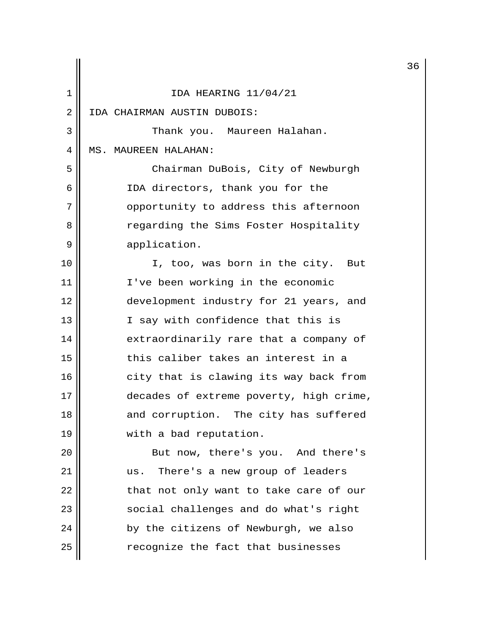|    |                                         | 3 |
|----|-----------------------------------------|---|
| 1  | IDA HEARING 11/04/21                    |   |
| 2  | IDA CHAIRMAN AUSTIN DUBOIS:             |   |
| 3  | Thank you. Maureen Halahan.             |   |
| 4  | MS. MAUREEN HALAHAN:                    |   |
| 5  | Chairman DuBois, City of Newburgh       |   |
| 6  | IDA directors, thank you for the        |   |
| 7  | opportunity to address this afternoon   |   |
| 8  | regarding the Sims Foster Hospitality   |   |
| 9  | application.                            |   |
| 10 | I, too, was born in the city. But       |   |
| 11 | I've been working in the economic       |   |
| 12 | development industry for 21 years, and  |   |
| 13 | I say with confidence that this is      |   |
| 14 | extraordinarily rare that a company of  |   |
| 15 | this caliber takes an interest in a     |   |
| 16 | city that is clawing its way back from  |   |
| 17 | decades of extreme poverty, high crime, |   |
| 18 | and corruption. The city has suffered   |   |
| 19 | with a bad reputation.                  |   |
| 20 | But now, there's you. And there's       |   |
| 21 | us. There's a new group of leaders      |   |
| 22 | that not only want to take care of our  |   |
| 23 | social challenges and do what's right   |   |
| 24 | by the citizens of Newburgh, we also    |   |
| 25 | recognize the fact that businesses      |   |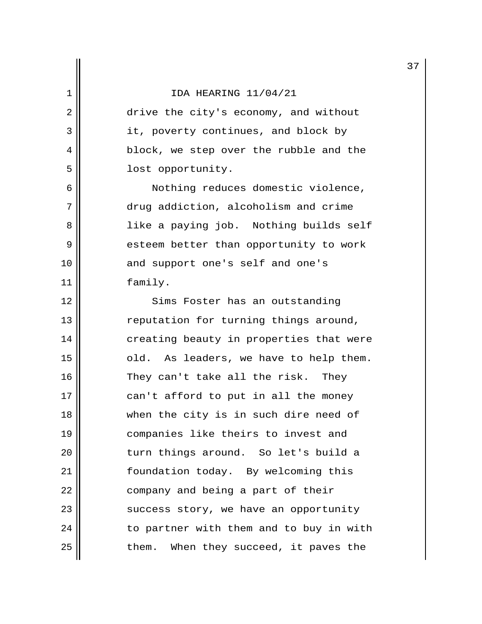2 drive the city's economy, and without 3 || it, poverty continues, and block by 4 | block, we step over the rubble and the 5 | Iost opportunity.

 6 Nothing reduces domestic violence, 7 drug addiction, alcoholism and crime 8 || like a paying job. Nothing builds self 9 esteem better than opportunity to work 10 || and support one's self and one's 11 | family.

12 || Sims Foster has an outstanding 13 || reputation for turning things around, 14 creating beauty in properties that were 15 || cld. As leaders, we have to help them. 16 || They can't take all the risk. They  $17$   $\parallel$  can't afford to put in all the money 18 || when the city is in such dire need of 19 companies like theirs to invest and 20 || turn things around. So let's build a 21 | foundation today. By welcoming this 22 | company and being a part of their 23 || success story, we have an opportunity  $24$  || to partner with them and to buy in with  $25$  || them. When they succeed, it paves the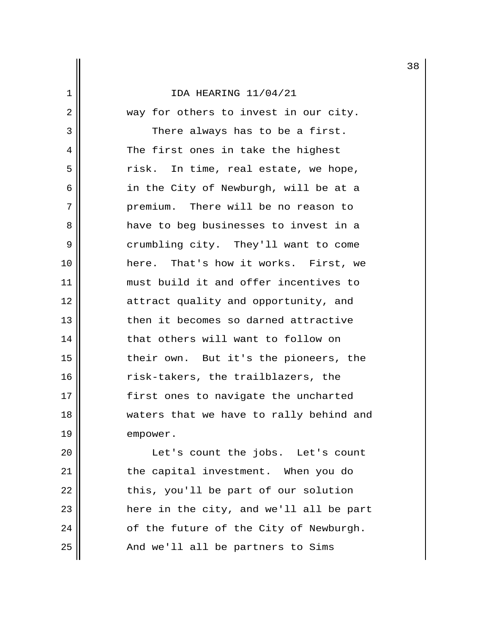2 || way for others to invest in our city. 3 || There always has to be a first. 4 The first ones in take the highest  $5 \parallel$  risk. In time, real estate, we hope, 6 || in the City of Newburgh, will be at a 7 premium. There will be no reason to 8 have to beg businesses to invest in a 9 || crumbling city. They'll want to come 10 here. That's how it works. First, we 11 must build it and offer incentives to 12 || attract quality and opportunity, and 13 then it becomes so darned attractive 14 that others will want to follow on 15 their own. But it's the pioneers, the 16 || risk-takers, the trailblazers, the 17 || first ones to navigate the uncharted 18 || waters that we have to rally behind and 19 | empower.

20 || Let's count the jobs. Let's count 21 || the capital investment. When you do  $22$  || this, you'll be part of our solution 23 || here in the city, and we'll all be part  $24$  || of the future of the City of Newburgh.  $25$  ||  $\ldots$  And we'll all be partners to Sims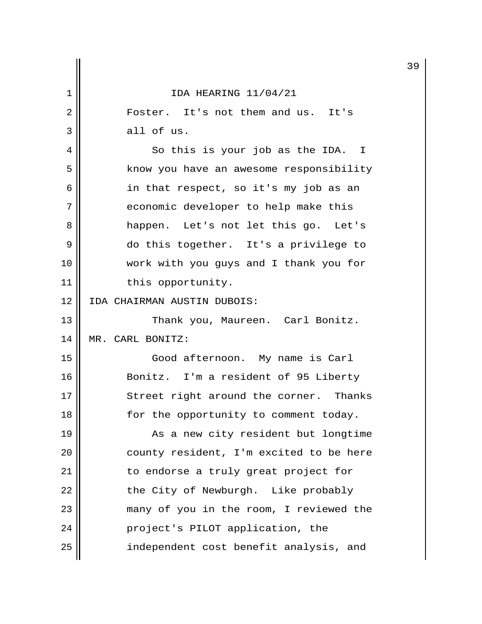|    |                                         | 3 |
|----|-----------------------------------------|---|
| 1  | IDA HEARING 11/04/21                    |   |
| 2  | Foster. It's not them and us. It's      |   |
| 3  | all of us.                              |   |
| 4  | So this is your job as the IDA. I       |   |
| 5  | know you have an awesome responsibility |   |
| 6  | in that respect, so it's my job as an   |   |
| 7  | economic developer to help make this    |   |
| 8  | happen. Let's not let this go. Let's    |   |
| 9  | do this together. It's a privilege to   |   |
| 10 | work with you guys and I thank you for  |   |
| 11 | this opportunity.                       |   |
| 12 | IDA CHAIRMAN AUSTIN DUBOIS:             |   |
| 13 | Thank you, Maureen. Carl Bonitz.        |   |
| 14 | MR. CARL BONITZ:                        |   |
| 15 | Good afternoon. My name is Carl         |   |
| 16 | Bonitz. I'm a resident of 95 Liberty    |   |
| 17 | Street right around the corner. Thanks  |   |
| 18 | for the opportunity to comment today.   |   |
| 19 | As a new city resident but longtime     |   |
| 20 | county resident, I'm excited to be here |   |
| 21 | to endorse a truly great project for    |   |
| 22 | the City of Newburgh. Like probably     |   |
| 23 | many of you in the room, I reviewed the |   |
| 24 | project's PILOT application, the        |   |
| 25 | independent cost benefit analysis, and  |   |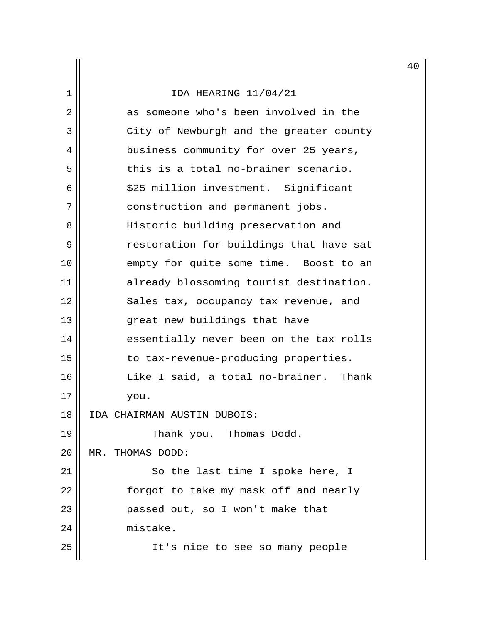|                |                                         | 4 |
|----------------|-----------------------------------------|---|
| ı              | IDA HEARING 11/04/21                    |   |
| $\overline{2}$ | as someone who's been involved in the   |   |
| 3              | City of Newburgh and the greater county |   |
| 4              | business community for over 25 years,   |   |
| 5              | this is a total no-brainer scenario.    |   |
| 6              | \$25 million investment. Significant    |   |
| 7              | construction and permanent jobs.        |   |
| 8              | Historic building preservation and      |   |
| 9              | restoration for buildings that have sat |   |
| 10             | empty for quite some time. Boost to an  |   |
| 11             | already blossoming tourist destination. |   |
| 12             | Sales tax, occupancy tax revenue, and   |   |
| 13             | great new buildings that have           |   |
| 14             | essentially never been on the tax rolls |   |
| 15             | to tax-revenue-producing properties.    |   |
| 16             | Like I said, a total no-brainer. Thank  |   |
| 17             | you.                                    |   |
| 18             | IDA CHAIRMAN AUSTIN DUBOIS:             |   |
| 19             | Thank you. Thomas Dodd.                 |   |
| 20             | THOMAS DODD:<br>$MR$ .                  |   |
| 21             | So the last time I spoke here, I        |   |
| 22             | forgot to take my mask off and nearly   |   |
| 23             | passed out, so I won't make that        |   |
| 24             | mistake.                                |   |
| 25             | It's nice to see so many people         |   |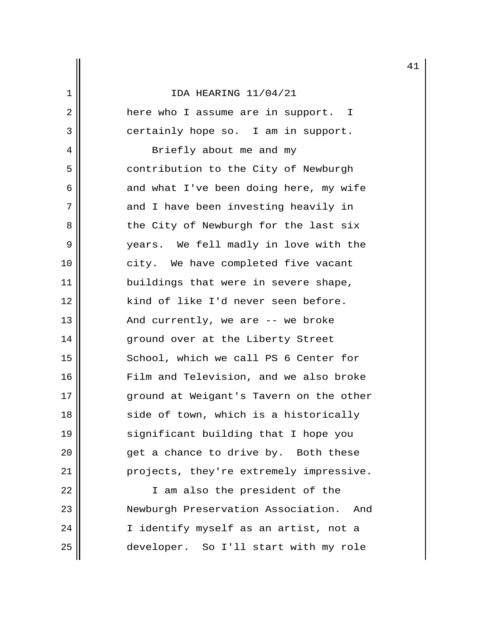2 here who I assume are in support. I 3 || certainly hope so. I am in support.

4 || Briefly about me and my 5 | contribution to the City of Newburgh  $6 \parallel$  and what I've been doing here, my wife 7 and I have been investing heavily in 8 || the City of Newburgh for the last six 9 years. We fell madly in love with the 10 || city. We have completed five vacant 11 || buildings that were in severe shape, 12 || kind of like I'd never seen before. 13  $\parallel$  And currently, we are -- we broke 14 || ground over at the Liberty Street 15 School, which we call PS 6 Center for 16 Film and Television, and we also broke 17 || ground at Weigant's Tavern on the other 18 || side of town, which is a historically 19 || significant building that I hope you  $20$  || erackleright get a chance to drive by. Both these 21 || projects, they're extremely impressive.

22 || I am also the president of the 23 Newburgh Preservation Association. And 24 || I identify myself as an artist, not a 25 developer. So I'll start with my role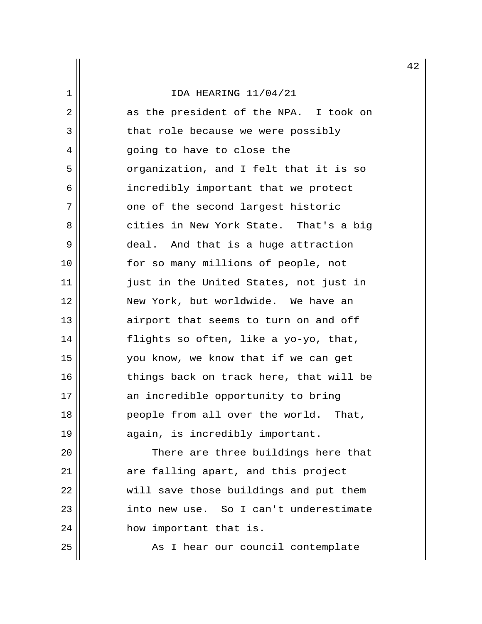|                |                                         | 4 |
|----------------|-----------------------------------------|---|
| 1              | IDA HEARING 11/04/21                    |   |
| $\overline{2}$ | as the president of the NPA. I took on  |   |
| 3              | that role because we were possibly      |   |
| 4              | going to have to close the              |   |
| 5              | organization, and I felt that it is so  |   |
| 6              | incredibly important that we protect    |   |
| 7              | one of the second largest historic      |   |
| 8              | cities in New York State. That's a big  |   |
| 9              | deal. And that is a huge attraction     |   |
| 10             | for so many millions of people, not     |   |
| 11             | just in the United States, not just in  |   |
| 12             | New York, but worldwide. We have an     |   |
| 13             | airport that seems to turn on and off   |   |
| 14             | flights so often, like a yo-yo, that,   |   |
| 15             | you know, we know that if we can get    |   |
| 16             | things back on track here, that will be |   |
| 17             | an incredible opportunity to bring      |   |
| 18             | people from all over the world. That,   |   |
| 19             | again, is incredibly important.         |   |
| 20             | There are three buildings here that     |   |
| 21             | are falling apart, and this project     |   |
| 22             | will save those buildings and put them  |   |
| 23             | into new use. So I can't underestimate  |   |
| 24             | how important that is.                  |   |

25 As I hear our council contemplate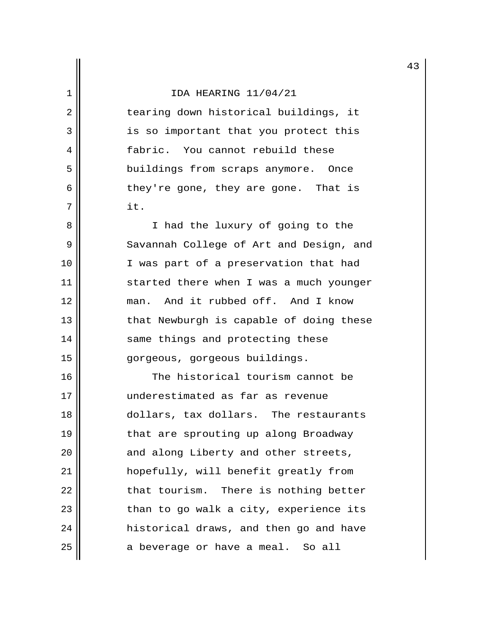2 || tearing down historical buildings, it 3 || is so important that you protect this 4 fabric. You cannot rebuild these 5 || buildings from scraps anymore. Once 6 || they're gone, they are gone. That is  $7 \parallel$  it.

8 || I had the luxury of going to the 9 Savannah College of Art and Design, and 10 || I was part of a preservation that had 11 || started there when I was a much younger 12 man. And it rubbed off. And I know  $13$   $\parallel$  that Newburgh is capable of doing these 14 || same things and protecting these 15 || gorgeous, gorgeous buildings.

16 The historical tourism cannot be 17 underestimated as far as revenue 18 dollars, tax dollars. The restaurants 19 || that are sprouting up along Broadway  $20$  || and along Liberty and other streets, 21 hopefully, will benefit greatly from  $22$   $\parallel$  that tourism. There is nothing better 23 || than to go walk a city, experience its 24 | historical draws, and then go and have  $25$  a beverage or have a meal. So all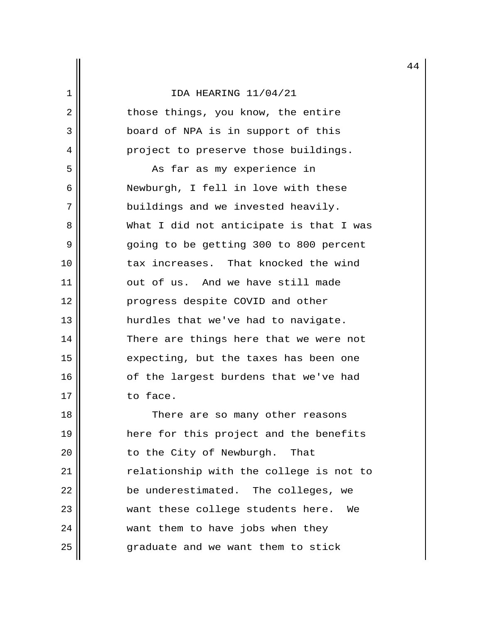|    |                                         | 4 |
|----|-----------------------------------------|---|
| 1  | IDA HEARING 11/04/21                    |   |
| 2  | those things, you know, the entire      |   |
| 3  | board of NPA is in support of this      |   |
| 4  | project to preserve those buildings.    |   |
| 5  | As far as my experience in              |   |
| 6  | Newburgh, I fell in love with these     |   |
| 7  | buildings and we invested heavily.      |   |
| 8  | What I did not anticipate is that I was |   |
| 9  | going to be getting 300 to 800 percent  |   |
| 10 | tax increases. That knocked the wind    |   |
| 11 | out of us. And we have still made       |   |
| 12 | progress despite COVID and other        |   |
| 13 | hurdles that we've had to navigate.     |   |
| 14 | There are things here that we were not  |   |
| 15 | expecting, but the taxes has been one   |   |
| 16 | of the largest burdens that we've had   |   |
| 17 | to face.                                |   |
| 18 | There are so many other reasons         |   |
| 19 | here for this project and the benefits  |   |
| 20 | to the City of Newburgh.<br>That        |   |
| 21 | relationship with the college is not to |   |
| 22 | be underestimated. The colleges, we     |   |
| 23 | want these college students here. We    |   |
| 24 | want them to have jobs when they        |   |
| 25 | graduate and we want them to stick      |   |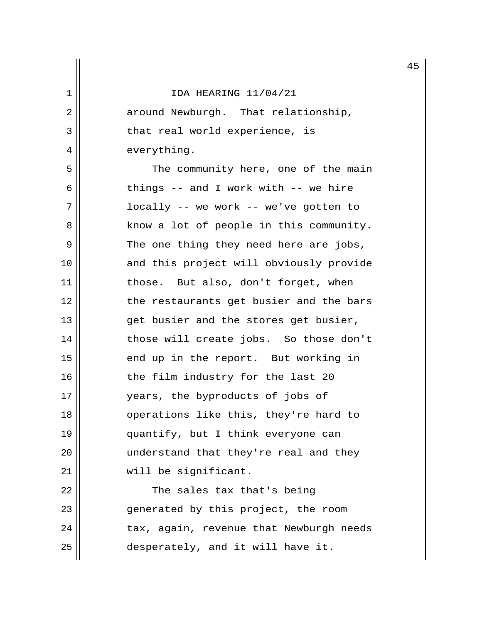2 || around Newburgh. That relationship,  $3$  || that real world experience, is 4 || everything.

5 || The community here, one of the main 6  $\parallel$  things -- and I work with -- we hire 7 locally -- we work -- we've gotten to 8 know a lot of people in this community. 9 The one thing they need here are jobs, 10 || and this project will obviously provide 11 || those. But also, don't forget, when 12 || the restaurants get busier and the bars 13 || get busier and the stores get busier, 14 those will create jobs. So those don't 15 || end up in the report. But working in 16 || the film industry for the last 20 17 years, the byproducts of jobs of 18 || operations like this, they're hard to 19 || quantify, but I think everyone can 20 || understand that they're real and they 21 || will be significant.

22 || The sales tax that's being 23 || generated by this project, the room  $24$  || tax, again, revenue that Newburgh needs 25 desperately, and it will have it.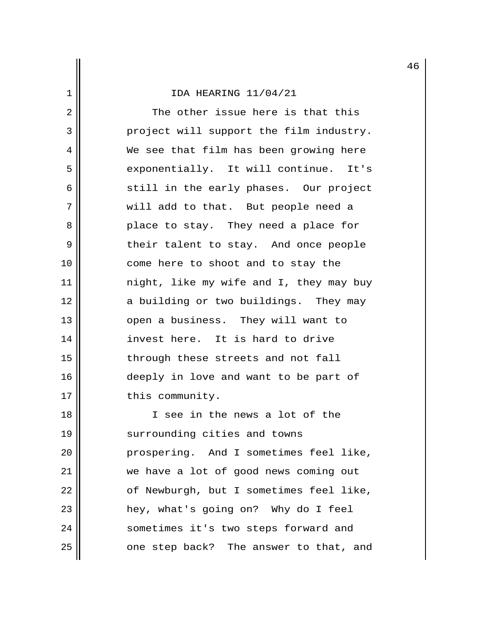2 || The other issue here is that this 3 | project will support the film industry. 4 We see that film has been growing here 5 || exponentially. It will continue. It's  $6 \parallel$  still in the early phases. Our project 7 || will add to that. But people need a 8 place to stay. They need a place for 9 || Their talent to stay. And once people 10 || come here to shoot and to stay the 11 night, like my wife and I, they may buy 12 a building or two buildings. They may 13 || open a business. They will want to 14 invest here. It is hard to drive 15 || through these streets and not fall 16 || deeply in love and want to be part of 17 | this community.

18 I see in the news a lot of the 19 || surrounding cities and towns 20 | prospering. And I sometimes feel like, 21 we have a lot of good news coming out  $22$  ||  $\sigma$  of Newburgh, but I sometimes feel like, 23 || hey, what's going on? Why do I feel 24 || sometimes it's two steps forward and  $25$  || one step back? The answer to that, and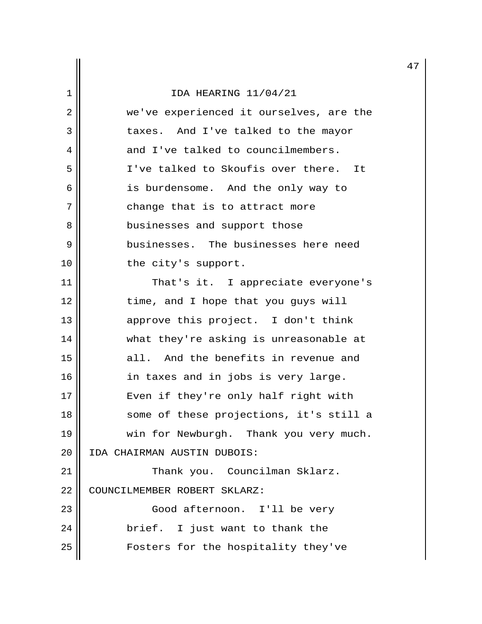|                |                                         | 4 |
|----------------|-----------------------------------------|---|
| 1              | IDA HEARING 11/04/21                    |   |
| $\overline{2}$ | we've experienced it ourselves, are the |   |
| 3              | taxes. And I've talked to the mayor     |   |
| 4              | and I've talked to councilmembers.      |   |
| 5              | I've talked to Skoufis over there. It   |   |
| 6              | is burdensome. And the only way to      |   |
| 7              | change that is to attract more          |   |
| 8              | businesses and support those            |   |
| 9              | businesses. The businesses here need    |   |
| 10             | the city's support.                     |   |
| 11             | That's it. I appreciate everyone's      |   |
| 12             | time, and I hope that you guys will     |   |
| 13             | approve this project. I don't think     |   |
| 14             | what they're asking is unreasonable at  |   |
| 15             | all. And the benefits in revenue and    |   |
| 16             | in taxes and in jobs is very large.     |   |
| 17             | Even if they're only half right with    |   |
| 18             | some of these projections, it's still a |   |
| 19             | win for Newburgh. Thank you very much.  |   |
| 20             | IDA CHAIRMAN AUSTIN DUBOIS:             |   |
| 21             | Thank you. Councilman Sklarz.           |   |
| 22             | COUNCILMEMBER ROBERT SKLARZ:            |   |
| 23             | Good afternoon. I'll be very            |   |
| 24             | brief. I just want to thank the         |   |
| 25             | Fosters for the hospitality they've     |   |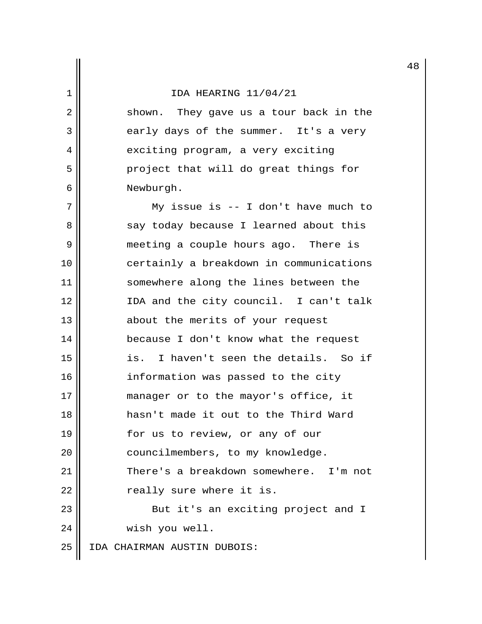2 || shown. They gave us a tour back in the  $3 \parallel$  early days of the summer. It's a very 4 || exciting program, a very exciting 5 project that will do great things for 6 Newburgh.

7 || My issue is -- I don't have much to 8 say today because I learned about this 9 || meeting a couple hours ago. There is 10 certainly a breakdown in communications 11 || somewhere along the lines between the 12 IDA and the city council. I can't talk 13 || about the merits of your request 14 because I don't know what the request 15 is. I haven't seen the details. So if 16 || information was passed to the city 17 || manager or to the mayor's office, it 18 hasn't made it out to the Third Ward 19 || for us to review, or any of our 20 | councilmembers, to my knowledge. 21 | There's a breakdown somewhere. I'm not  $22$  |  $\sqrt{22}$  really sure where it is. 23 || But it's an exciting project and I 24 | wish you well.

25 IDA CHAIRMAN AUSTIN DUBOIS: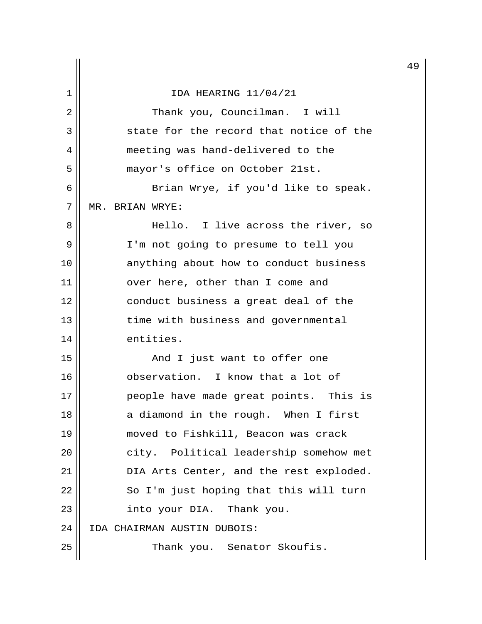|    |                                         | 4 |
|----|-----------------------------------------|---|
| 1  | IDA HEARING 11/04/21                    |   |
| 2  | Thank you, Councilman. I will           |   |
| 3  | state for the record that notice of the |   |
| 4  | meeting was hand-delivered to the       |   |
| 5  | mayor's office on October 21st.         |   |
| 6  | Brian Wrye, if you'd like to speak.     |   |
| 7  | MR. BRIAN WRYE:                         |   |
| 8  | Hello. I live across the river, so      |   |
| 9  | I'm not going to presume to tell you    |   |
| 10 | anything about how to conduct business  |   |
| 11 | over here, other than I come and        |   |
| 12 | conduct business a great deal of the    |   |
| 13 | time with business and governmental     |   |
| 14 | entities.                               |   |
| 15 | And I just want to offer one            |   |
| 16 | observation. I know that a lot of       |   |
| 17 | people have made great points. This is  |   |
| 18 | a diamond in the rough. When I first    |   |
| 19 | moved to Fishkill, Beacon was crack     |   |
| 20 | city. Political leadership somehow met  |   |
| 21 | DIA Arts Center, and the rest exploded. |   |
| 22 | So I'm just hoping that this will turn  |   |
| 23 | into your DIA. Thank you.               |   |
| 24 | IDA CHAIRMAN AUSTIN DUBOIS:             |   |
| 25 | Thank you. Senator Skoufis.             |   |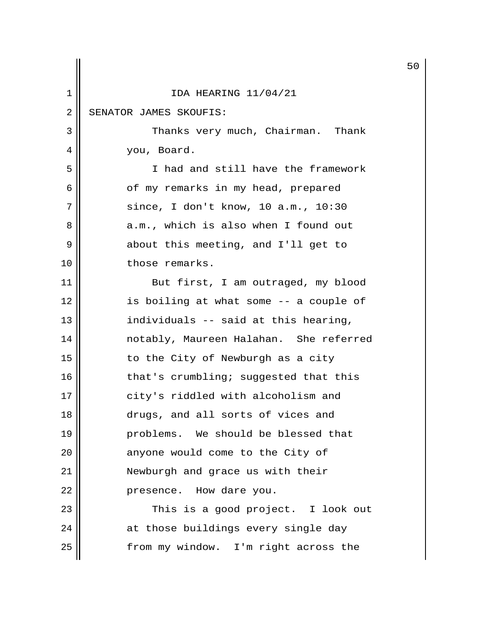|                |                                        | 5 |
|----------------|----------------------------------------|---|
| 1              | IDA HEARING 11/04/21                   |   |
| $\overline{2}$ | SENATOR JAMES SKOUFIS:                 |   |
| 3              | Thanks very much, Chairman. Thank      |   |
| 4              | you, Board.                            |   |
| 5              | I had and still have the framework     |   |
| 6              | of my remarks in my head, prepared     |   |
| 7              | since, I don't know, 10 $a.m.$ , 10:30 |   |
| 8              | a.m., which is also when I found out   |   |
| 9              | about this meeting, and I'll get to    |   |
| 10             | those remarks.                         |   |
| 11             | But first, I am outraged, my blood     |   |
| 12             | is boiling at what some -- a couple of |   |
| 13             | individuals -- said at this hearing,   |   |
| 14             | notably, Maureen Halahan. She referred |   |
| 15             | to the City of Newburgh as a city      |   |
| 16             | that's crumbling; suggested that this  |   |
| 17             | city's riddled with alcoholism and     |   |
| 18             | drugs, and all sorts of vices and      |   |
| 19             | problems. We should be blessed that    |   |
| 20             | anyone would come to the City of       |   |
| 21             | Newburgh and grace us with their       |   |
| 22             | presence. How dare you.                |   |
| 23             | This is a good project. I look out     |   |
| 24             | at those buildings every single day    |   |
| 25             | from my window. I'm right across the   |   |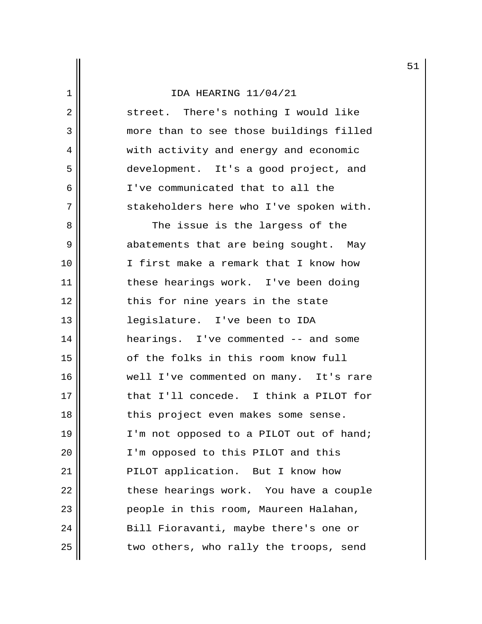2 || street. There's nothing I would like 3 || more than to see those buildings filled 4 || with activity and energy and economic 5 development. It's a good project, and 6 I've communicated that to all the 7 || stakeholders here who I've spoken with.

 8 The issue is the largess of the 9 abatements that are being sought. May 10 I first make a remark that I know how 11 || these hearings work. I've been doing 12 || this for nine years in the state 13 legislature. I've been to IDA 14 hearings. I've commented -- and some 15 || of the folks in this room know full 16 well I've commented on many. It's rare 17 that I'll concede. I think a PILOT for 18 || this project even makes some sense. 19  $\parallel$  I'm not opposed to a PILOT out of hand; 20 || I'm opposed to this PILOT and this 21 || PILOT application. But I know how 22 | these hearings work. You have a couple 23 people in this room, Maureen Halahan, 24 | Bill Fioravanti, maybe there's one or  $25$   $\parallel$  two others, who rally the troops, send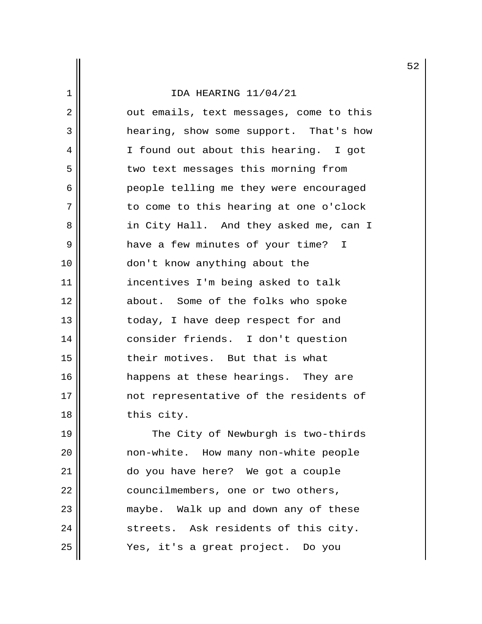2 || out emails, text messages, come to this 3 a hearing, show some support. That's how 4 I found out about this hearing. I got 5 || two text messages this morning from 6 people telling me they were encouraged 7 || to come to this hearing at one o'clock 8 || in City Hall. And they asked me, can I 9 | have a few minutes of your time? I 10 don't know anything about the 11 incentives I'm being asked to talk 12 || about. Some of the folks who spoke 13 || today, I have deep respect for and 14 consider friends. I don't question 15 their motives. But that is what 16 happens at these hearings. They are 17 || mot representative of the residents of 18 || this city.

19 || The City of Newburgh is two-thirds 20 | mon-white. How many non-white people 21 do you have here? We got a couple 22 | councilmembers, one or two others, 23 || maybe. Walk up and down any of these 24 streets. Ask residents of this city. 25 Yes, it's a great project. Do you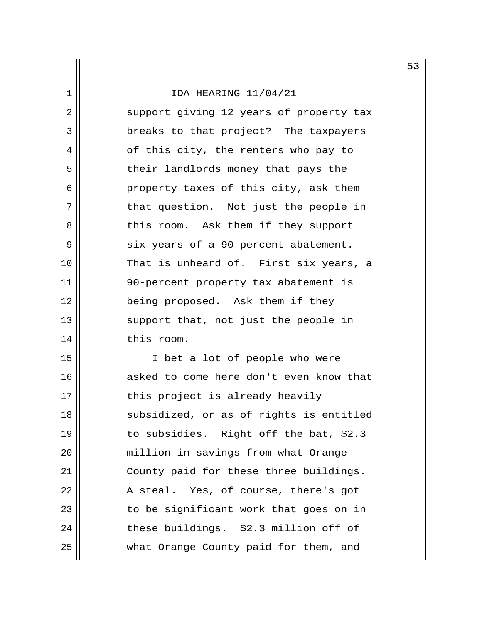2 || support giving 12 years of property tax 3 || breaks to that project? The taxpayers 4 of this city, the renters who pay to 5 || their landlords money that pays the 6 property taxes of this city, ask them 7 || that question. Not just the people in 8 || This room. Ask them if they support 9 || six years of a 90-percent abatement. 10 That is unheard of. First six years, a 11 90-percent property tax abatement is 12 || being proposed. Ask them if they 13 || support that, not just the people in 14 | this room.

15 || I bet a lot of people who were 16 asked to come here don't even know that  $17$   $\parallel$  this project is already heavily 18 || subsidized, or as of rights is entitled 19 to subsidies. Right off the bat, \$2.3 20 million in savings from what Orange 21 County paid for these three buildings. 22 || A steal. Yes, of course, there's got 23 || cobe significant work that goes on in 24 || these buildings. \$2.3 million off of 25 what Orange County paid for them, and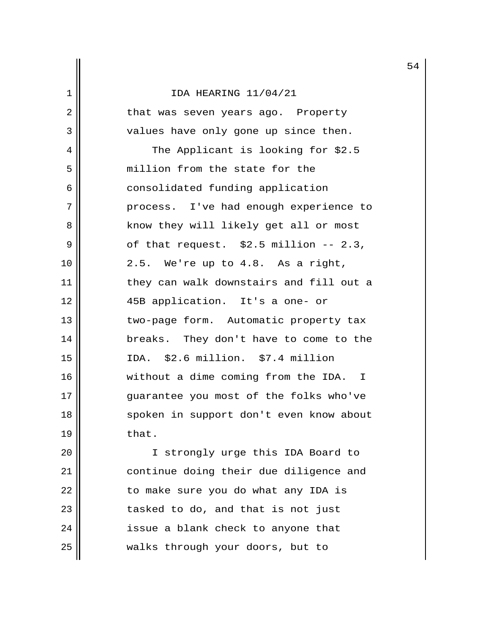2 || that was seven years ago. Property 3 values have only gone up since then. 4 || The Applicant is looking for \$2.5 5 || million from the state for the 6 || consolidated funding application 7 || process. I've had enough experience to 8 || Know they will likely get all or most  $9 \parallel$  of that request. \$2.5 million -- 2.3,  $10 \parallel 2.5$ . We're up to 4.8. As a right, 11 they can walk downstairs and fill out a 12 45B application. It's a one- or 13 || two-page form. Automatic property tax 14 breaks. They don't have to come to the 15 IDA. \$2.6 million. \$7.4 million 16 || without a dime coming from the IDA. I 17 || guarantee you most of the folks who've 18 || spoken in support don't even know about  $19$  that.

20 || I strongly urge this IDA Board to 21 continue doing their due diligence and  $22$  || to make sure you do what any IDA is  $23$  || tasked to do, and that is not just  $24$  || issue a blank check to anyone that 25 walks through your doors, but to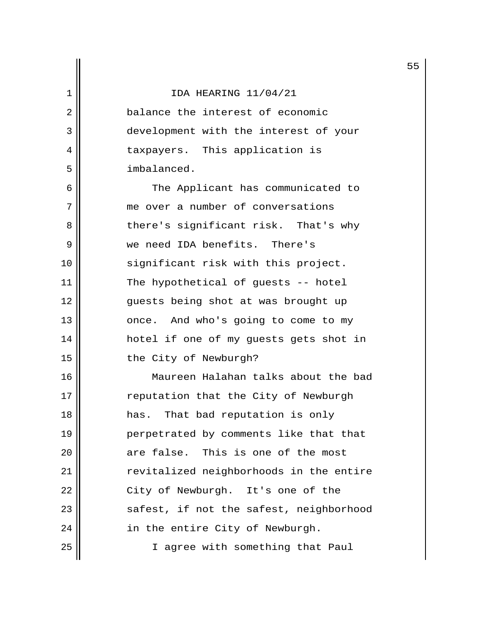2 **d** balance the interest of economic 3 || development with the interest of your 4 || taxpayers. This application is 5 imbalanced.

6 || The Applicant has communicated to 7 me over a number of conversations 8 || there's significant risk. That's why 9 we need IDA benefits. There's 10 || significant risk with this project. 11 || The hypothetical of guests -- hotel 12 || guests being shot at was brought up 13 || once. And who's going to come to my 14 || hotel if one of my guests gets shot in 15 || the City of Newburgh?

16 Maureen Halahan talks about the bad 17 || reputation that the City of Newburgh 18 has. That bad reputation is only 19 || perpetrated by comments like that that 20 are false. This is one of the most 21 || revitalized neighborhoods in the entire 22 || City of Newburgh. It's one of the 23 || safest, if not the safest, neighborhood 24 | in the entire City of Newburgh. 25 || I agree with something that Paul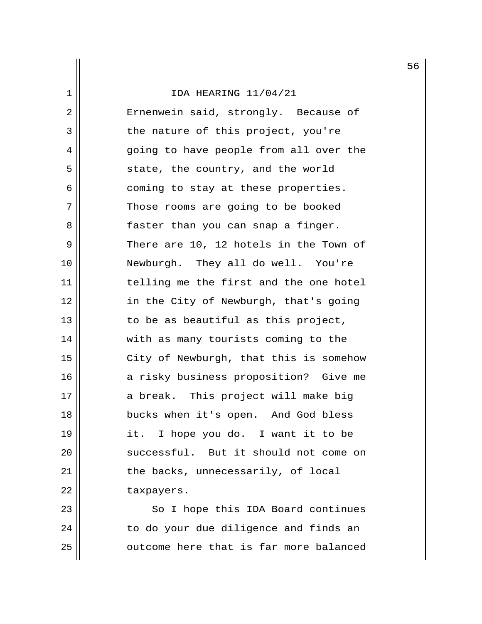2 || Ernenwein said, strongly. Because of  $3$  | the nature of this project, you're 4 going to have people from all over the 5 || state, the country, and the world 6 || coming to stay at these properties. 7 Those rooms are going to be booked 8 || faster than you can snap a finger. 9 There are 10, 12 hotels in the Town of 10 Newburgh. They all do well. You're 11 || telling me the first and the one hotel 12 in the City of Newburgh, that's going 13  $\parallel$  to be as beautiful as this project, 14 || with as many tourists coming to the 15 || City of Newburgh, that this is somehow 16 || a risky business proposition? Give me 17 a break. This project will make big 18 bucks when it's open. And God bless 19 it. I hope you do. I want it to be 20 || successful. But it should not come on  $21$  || the backs, unnecessarily, of local 22 | taxpayers.

23 || So I hope this IDA Board continues  $24$   $\parallel$  to do your due diligence and finds an 25 | cutcome here that is far more balanced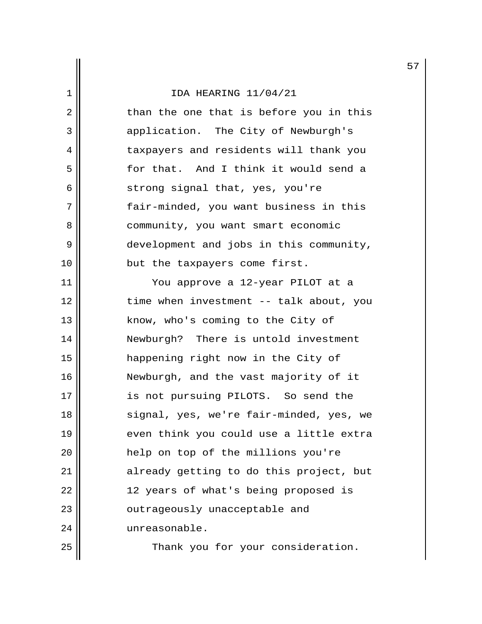$2 \parallel$  than the one that is before you in this 3 application. The City of Newburgh's 4 | taxpayers and residents will thank you 5 for that. And I think it would send a  $6 \parallel$  strong signal that, yes, you're 7 || fair-minded, you want business in this 8 || community, you want smart economic 9 development and jobs in this community, 10 || but the taxpayers come first.

11 You approve a 12-year PILOT at a 12 || time when investment -- talk about, you 13 || know, who's coming to the City of 14 Newburgh? There is untold investment 15 happening right now in the City of 16 || Newburgh, and the vast majority of it 17 || is not pursuing PILOTS. So send the 18 || signal, yes, we're fair-minded, yes, we 19 even think you could use a little extra 20 help on top of the millions you're 21 || already getting to do this project, but 22 || 12 years of what's being proposed is 23 || cutrageously unacceptable and 24 unreasonable.

25 || Thank you for your consideration.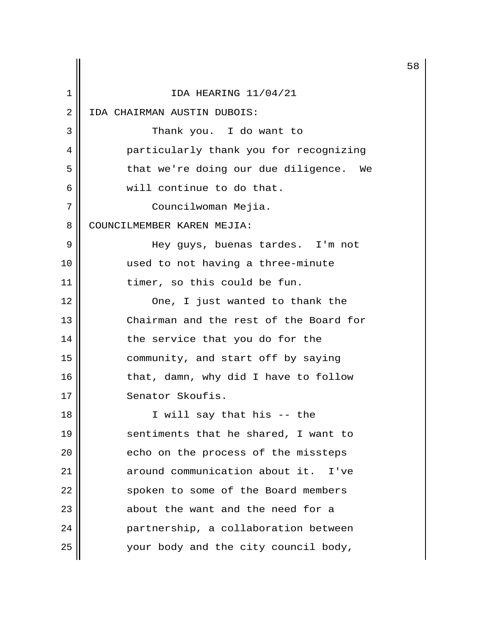|    |                                        | 5 |
|----|----------------------------------------|---|
| 1  | IDA HEARING 11/04/21                   |   |
| 2  | IDA CHAIRMAN AUSTIN DUBOIS:            |   |
| 3  | Thank you. I do want to                |   |
| 4  | particularly thank you for recognizing |   |
| 5  | that we're doing our due diligence. We |   |
| 6  | will continue to do that.              |   |
| 7  | Councilwoman Mejia.                    |   |
| 8  | COUNCILMEMBER KAREN MEJIA:             |   |
| 9  | Hey guys, buenas tardes. I'm not       |   |
| 10 | used to not having a three-minute      |   |
| 11 | timer, so this could be fun.           |   |
| 12 | One, I just wanted to thank the        |   |
| 13 | Chairman and the rest of the Board for |   |
| 14 | the service that you do for the        |   |
| 15 | community, and start off by saying     |   |
| 16 | that, damn, why did I have to follow   |   |
| 17 | Senator Skoufis.                       |   |
| 18 | I will say that his -- the             |   |
| 19 | sentiments that he shared, I want to   |   |
| 20 | echo on the process of the missteps    |   |
| 21 | around communication about it.<br>I've |   |
| 22 | spoken to some of the Board members    |   |
| 23 | about the want and the need for a      |   |
| 24 | partnership, a collaboration between   |   |
| 25 | your body and the city council body,   |   |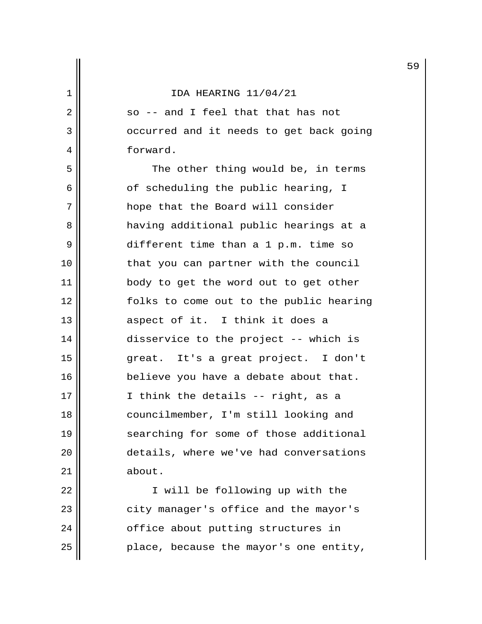$2 \parallel$  so -- and I feel that that has not 3 | Occurred and it needs to get back going 4 forward.

5 || The other thing would be, in terms  $6 \parallel$  of scheduling the public hearing, I 7 || hope that the Board will consider 8 | having additional public hearings at a 9 || different time than a 1 p.m. time so 10 || that you can partner with the council 11 || body to get the word out to get other 12 folks to come out to the public hearing  $13$  aspect of it. I think it does a 14 || disservice to the project -- which is 15 great. It's a great project. I don't 16 | believe you have a debate about that. 17 || I think the details -- right, as a 18 || councilmember, I'm still looking and 19 || searching for some of those additional 20 details, where we've had conversations 21 | about.

22 || I will be following up with the 23 || city manager's office and the mayor's 24 | cffice about putting structures in  $25$  || place, because the mayor's one entity,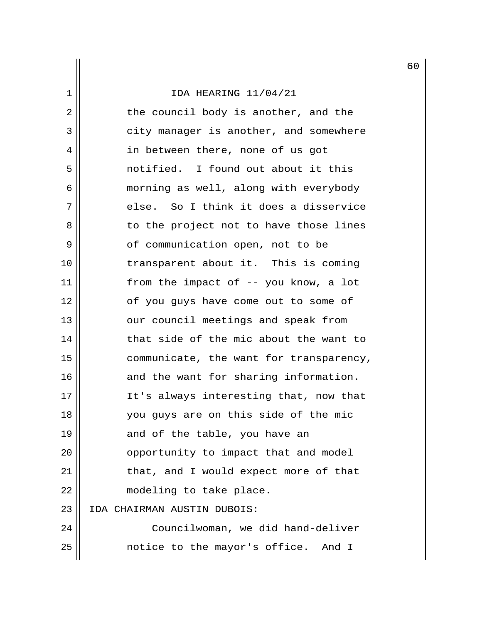2 || the council body is another, and the 3 | city manager is another, and somewhere 4 || in between there, none of us got 5 notified. I found out about it this 6 | morning as well, along with everybody  $7 \parallel$  else. So I think it does a disservice 8 to the project not to have those lines 9 || cf communication open, not to be 10 || transparent about it. This is coming 11 from the impact of -- you know, a lot 12 || cf you guys have come out to some of 13 || our council meetings and speak from 14 that side of the mic about the want to 15 communicate, the want for transparency, 16 || and the want for sharing information. 17 || It's always interesting that, now that 18 || You guys are on this side of the mic 19 || and of the table, you have an 20 | opportunity to impact that and model 21 | that, and I would expect more of that 22 | modeling to take place. 23 IDA CHAIRMAN AUSTIN DUBOIS: 24 | Councilwoman, we did hand-deliver 25 || contice to the mayor's office. And I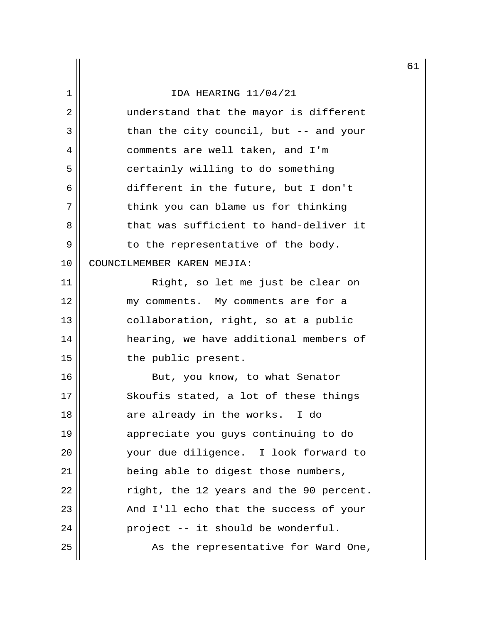|    |                                         | 6 |
|----|-----------------------------------------|---|
| 1  | IDA HEARING 11/04/21                    |   |
| 2  | understand that the mayor is different  |   |
| 3  | than the city council, but -- and your  |   |
| 4  | comments are well taken, and I'm        |   |
| 5  | certainly willing to do something       |   |
| 6  | different in the future, but I don't    |   |
| 7  | think you can blame us for thinking     |   |
| 8  | that was sufficient to hand-deliver it  |   |
| 9  | to the representative of the body.      |   |
| 10 | COUNCILMEMBER KAREN MEJIA:              |   |
| 11 | Right, so let me just be clear on       |   |
| 12 | my comments. My comments are for a      |   |
| 13 | collaboration, right, so at a public    |   |
| 14 | hearing, we have additional members of  |   |
| 15 | the public present.                     |   |
| 16 | But, you know, to what Senator          |   |
| 17 | Skoufis stated, a lot of these things   |   |
| 18 | are already in the works. I do          |   |
| 19 | appreciate you guys continuing to do    |   |
| 20 | your due diligence. I look forward to   |   |
| 21 | being able to digest those numbers,     |   |
| 22 | right, the 12 years and the 90 percent. |   |
| 23 | And I'll echo that the success of your  |   |
| 24 | project -- it should be wonderful.      |   |
| 25 | As the representative for Ward One,     |   |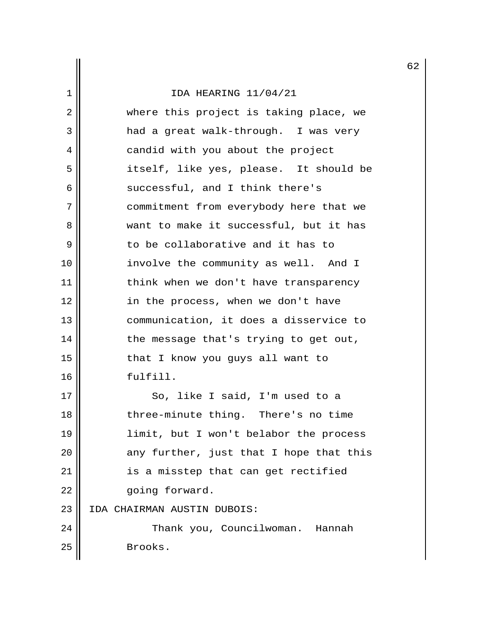# 1 IDA HEARING 11/04/21 2 || where this project is taking place, we 3 || had a great walk-through. I was very 4 || candid with you about the project 5 || itself, like yes, please. It should be  $6 \parallel$  successful, and I think there's 7 | commitment from everybody here that we 8 want to make it successful, but it has 9  $\parallel$  to be collaborative and it has to 10 involve the community as well. And I 11 || think when we don't have transparency 12 || in the process, when we don't have 13 communication, it does a disservice to 14 the message that's trying to get out, 15 || that I know you guys all want to 16 fulfill. 17 || So, like I said, I'm used to a 18 || three-minute thing. There's no time 19 limit, but I won't belabor the process  $20$  || any further, just that I hope that this 21 || is a misstep that can get rectified 22 | qoing forward. 23 IDA CHAIRMAN AUSTIN DUBOIS: 24 Thank you, Councilwoman. Hannah 25 Brooks.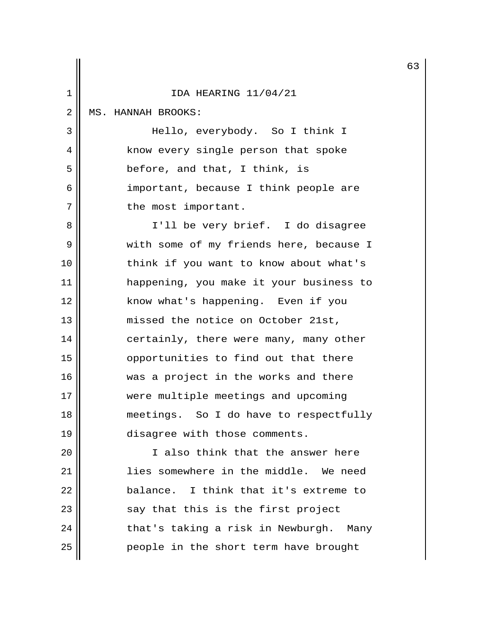|                |                                         | 6 |
|----------------|-----------------------------------------|---|
| 1              | IDA HEARING 11/04/21                    |   |
| $\overline{2}$ | MS. HANNAH BROOKS:                      |   |
| 3              | Hello, everybody. So I think I          |   |
| 4              | know every single person that spoke     |   |
| 5              | before, and that, I think, is           |   |
| 6              | important, because I think people are   |   |
| 7              | the most important.                     |   |
| 8              | I'll be very brief. I do disagree       |   |
| 9              | with some of my friends here, because I |   |
| 10             | think if you want to know about what's  |   |
| 11             | happening, you make it your business to |   |
| 12             | know what's happening. Even if you      |   |
| 13             | missed the notice on October 21st,      |   |
| 14             | certainly, there were many, many other  |   |
| 15             | opportunities to find out that there    |   |
| 16             | was a project in the works and there    |   |
| 17             | were multiple meetings and upcoming     |   |
| 18             | meetings. So I do have to respectfully  |   |
| 19             | disagree with those comments.           |   |
| 20             | I also think that the answer here       |   |
| 21             | lies somewhere in the middle. We need   |   |
| 22             | balance. I think that it's extreme to   |   |
| 23             | say that this is the first project      |   |
| 24             | that's taking a risk in Newburgh. Many  |   |
| 25             | people in the short term have brought   |   |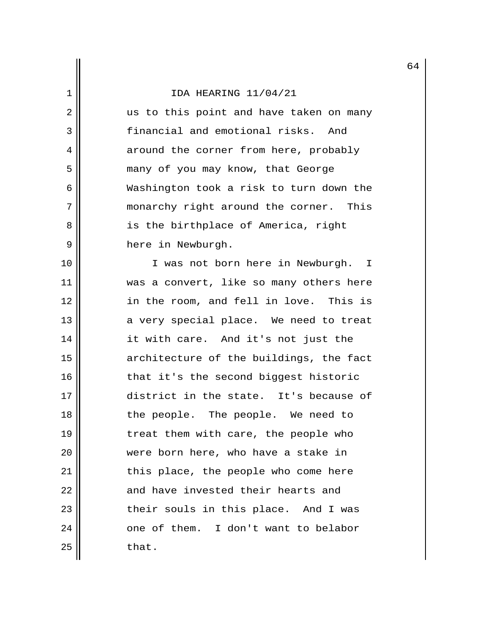2 || us to this point and have taken on many 3 financial and emotional risks. And 4 around the corner from here, probably 5 || many of you may know, that George 6 Washington took a risk to turn down the 7 || monarchy right around the corner. This 8 || is the birthplace of America, right 9 || here in Newburgh.

10 || I was not born here in Newburgh. I 11 || was a convert, like so many others here 12 in the room, and fell in love. This is  $13$  || a very special place. We need to treat 14 it with care. And it's not just the 15 architecture of the buildings, the fact 16 || that it's the second biggest historic 17 district in the state. It's because of 18 || the people. The people. We need to 19 || treat them with care, the people who 20 || were born here, who have a stake in 21 || this place, the people who come here 22 || and have invested their hearts and 23 || their souls in this place. And I was 24 | cone of them. I don't want to belabor  $25$  that.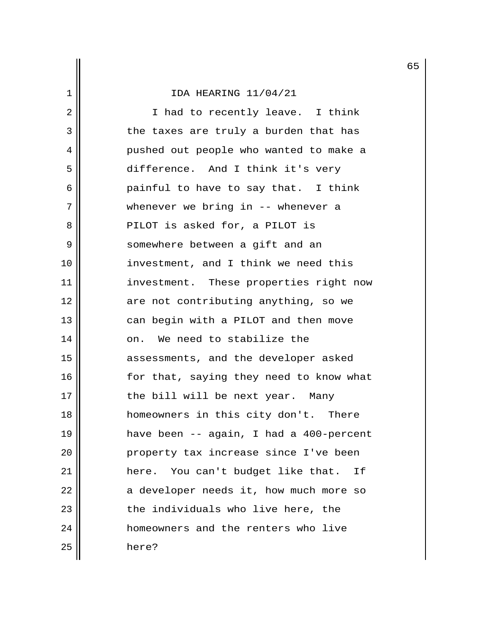2 || I had to recently leave. I think  $3 \parallel$  the taxes are truly a burden that has 4 || pushed out people who wanted to make a 5 difference. And I think it's very  $6 \parallel$  painful to have to say that. I think 7 || whenever we bring in -- whenever a 8 || PILOT is asked for, a PILOT is 9 || somewhere between a gift and an 10 || investment, and I think we need this 11 || investment. These properties right now 12 || are not contributing anything, so we 13 || can begin with a PILOT and then move 14 || on. We need to stabilize the 15 || assessments, and the developer asked 16 || for that, saying they need to know what 17 || the bill will be next year. Many 18 homeowners in this city don't. There 19 have been -- again, I had a 400-percent 20 || property tax increase since I've been 21 here. You can't budget like that. If  $22$  || a developer needs it, how much more so 23 || the individuals who live here, the 24 homeowners and the renters who live 25 here?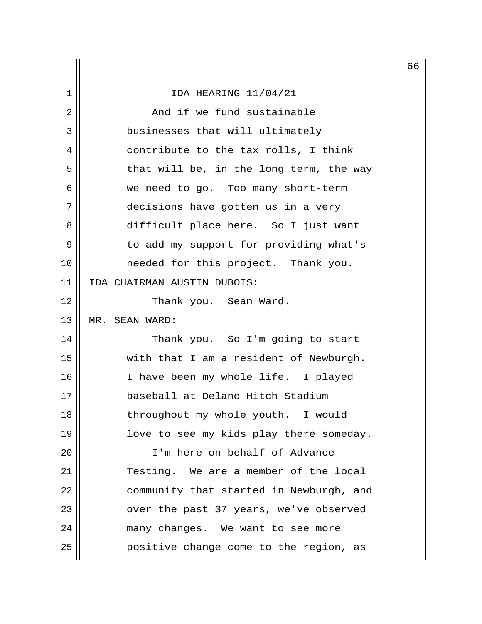# 1 IDA HEARING 11/04/21 2 || The Sand if we fund sustainable 3 || businesses that will ultimately 4 || contribute to the tax rolls, I think  $5$  that will be, in the long term, the way 6 we need to go. Too many short-term 7 decisions have gotten us in a very 8 difficult place here. So I just want 9 | to add my support for providing what's 10 needed for this project. Thank you. 11 IDA CHAIRMAN AUSTIN DUBOIS: 12 || Thank you. Sean Ward. 13 MR. SEAN WARD: 14 Thank you. So I'm going to start 15 with that I am a resident of Newburgh. 16 || I have been my whole life. I played 17 baseball at Delano Hitch Stadium 18 || throughout my whole youth. I would 19 || love to see my kids play there someday. 20 I'm here on behalf of Advance 21 Testing. We are a member of the local 22 | community that started in Newburgh, and 23 || over the past 37 years, we've observed 24 | many changes. We want to see more 25 | positive change come to the region, as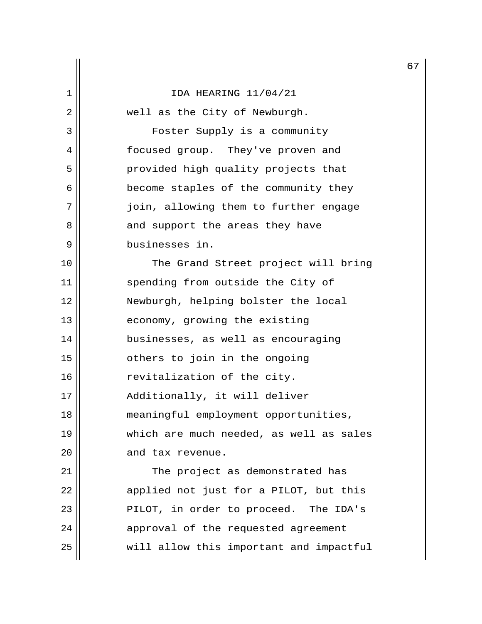2 || well as the City of Newburgh. 3 Foster Supply is a community 4 || focused group. They've proven and 5 || provided high quality projects that 6 **become** staples of the community they 7 || join, allowing them to further engage 8 and support the areas they have 9 businesses in. 10 || The Grand Street project will bring

11 || spending from outside the City of 12 Newburgh, helping bolster the local 13 || economy, growing the existing 14 businesses, as well as encouraging 15 || cthers to join in the ongoing 16 | revitalization of the city. 17 || Additionally, it will deliver 18 meaningful employment opportunities, 19 which are much needed, as well as sales 20 || and tax revenue.

21 || The project as demonstrated has  $22$  || applied not just for a PILOT, but this 23 || PILOT, in order to proceed. The IDA's 24 || approval of the requested agreement 25 || will allow this important and impactful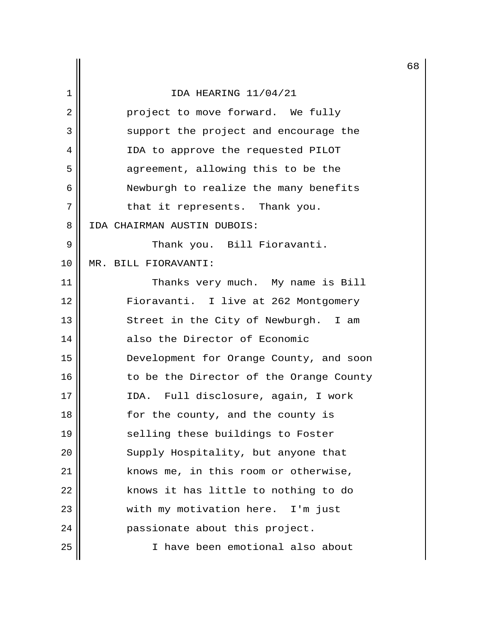|                |                                         | 6 |
|----------------|-----------------------------------------|---|
| 1              | IDA HEARING 11/04/21                    |   |
| $\overline{2}$ | project to move forward. We fully       |   |
| 3              | support the project and encourage the   |   |
| 4              | IDA to approve the requested PILOT      |   |
| 5              | agreement, allowing this to be the      |   |
| 6              | Newburgh to realize the many benefits   |   |
| 7              | that it represents. Thank you.          |   |
| 8              | IDA CHAIRMAN AUSTIN DUBOIS:             |   |
| 9              | Thank you. Bill Fioravanti.             |   |
| 10             | MR. BILL FIORAVANTI:                    |   |
| 11             | Thanks very much. My name is Bill       |   |
| 12             | Fioravanti. I live at 262 Montgomery    |   |
| 13             | Street in the City of Newburgh. I am    |   |
| 14             | also the Director of Economic           |   |
| 15             | Development for Orange County, and soon |   |
| 16             | to be the Director of the Orange County |   |
| 17             | IDA. Full disclosure, again, I work     |   |
| 18             | for the county, and the county is       |   |
| 19             | selling these buildings to Foster       |   |
| 20             | Supply Hospitality, but anyone that     |   |
| 21             | knows me, in this room or otherwise,    |   |
| 22             | knows it has little to nothing to do    |   |
| 23             | with my motivation here. I'm just       |   |
| 24             | passionate about this project.          |   |
| 25             | I have been emotional also about        |   |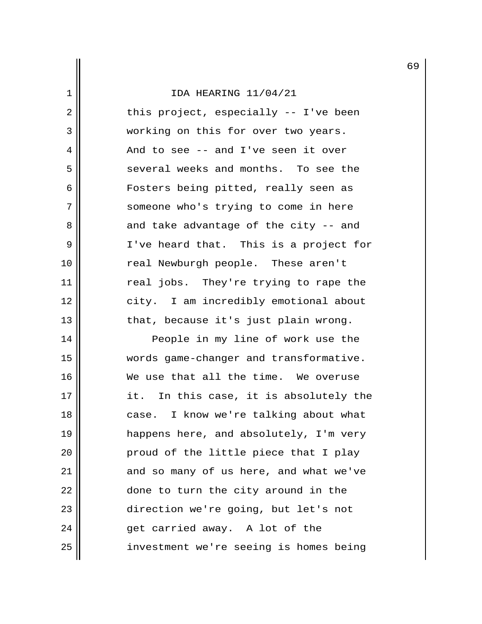| $\mathbf 1$ | IDA HEARING 11/04/21                   |
|-------------|----------------------------------------|
| 2           | this project, especially -- I've been  |
| 3           | working on this for over two years.    |
| 4           | And to see -- and I've seen it over    |
| 5           | several weeks and months. To see the   |
| 6           | Fosters being pitted, really seen as   |
| 7           | someone who's trying to come in here   |
| 8           | and take advantage of the city -- and  |
| 9           | I've heard that. This is a project for |
| 10          | real Newburgh people. These aren't     |
| 11          | real jobs. They're trying to rape the  |
| 12          | city. I am incredibly emotional about  |
| 13          | that, because it's just plain wrong.   |
| 14          | People in my line of work use the      |
| 15          | words game-changer and transformative. |

16 We use that all the time. We overuse  $17$   $\parallel$  it. In this case, it is absolutely the 18 | case. I know we're talking about what 19 || happens here, and absolutely, I'm very  $20$  || proud of the little piece that I play  $21$  and so many of us here, and what we've  $22$   $\parallel$  done to turn the city around in the 23 || direction we're going, but let's not  $24$  || et carried away. A lot of the 25 | investment we're seeing is homes being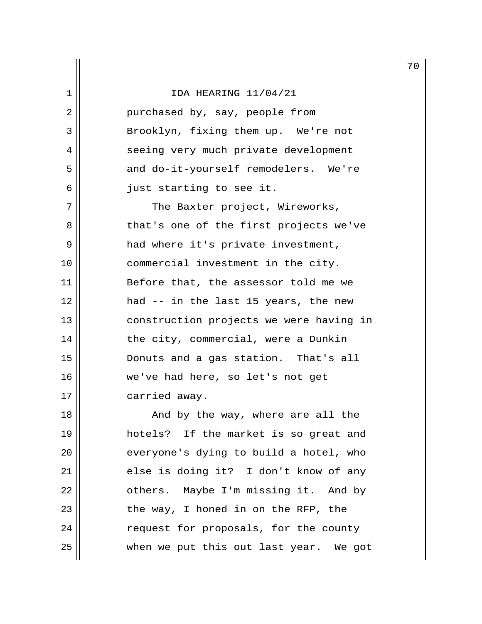|  |  |  |  | IDA HEARING 11/04/21 |
|--|--|--|--|----------------------|
|--|--|--|--|----------------------|

2 || purchased by, say, people from 3 || Brooklyn, fixing them up. We're not 4 || seeing very much private development 5 || and do-it-yourself remodelers. We're  $6 \parallel$  just starting to see it.

7 || The Baxter project, Wireworks, 8 that's one of the first projects we've 9 had where it's private investment, 10 || commercial investment in the city. 11 || Before that, the assessor told me we 12 had -- in the last 15 years, the new 13 || construction projects we were having in 14 || the city, commercial, were a Dunkin 15 Donuts and a gas station. That's all 16 we've had here, so let's not get 17 carried away.

18 || And by the way, where are all the 19 hotels? If the market is so great and 20 || everyone's dying to build a hotel, who 21 | else is doing it? I don't know of any 22 | cthers. Maybe I'm missing it. And by  $23$  || the way, I honed in on the RFP, the 24 | request for proposals, for the county  $25$   $\parallel$  when we put this out last year. We got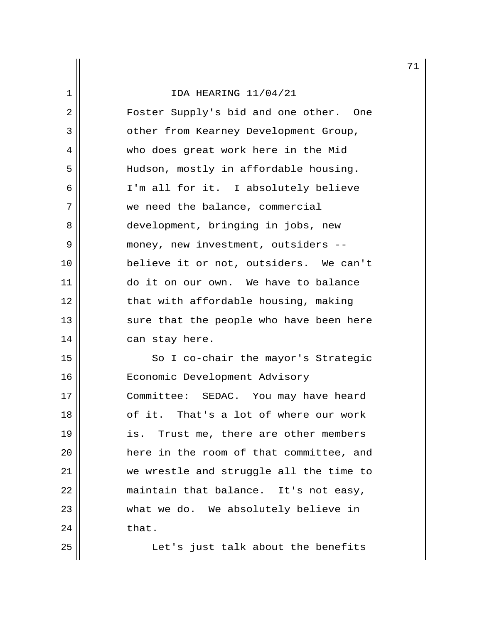2 | Foster Supply's bid and one other. One 3 || other from Kearney Development Group, 4 who does great work here in the Mid 5 | Hudson, mostly in affordable housing. 6 || I'm all for it. I absolutely believe 7 we need the balance, commercial 8 || development, bringing in jobs, new 9 | money, new investment, outsiders --10 believe it or not, outsiders. We can't 11 do it on our own. We have to balance 12 || that with affordable housing, making 13 || sure that the people who have been here 14 can stay here.

15 || So I co-chair the mayor's Strategic 16 | Economic Development Advisory 17 || Committee: SEDAC. You may have heard 18 of it. That's a lot of where our work 19 || is. Trust me, there are other members 20 here in the room of that committee, and 21 we wrestle and struggle all the time to 22 | maintain that balance. It's not easy, 23 || what we do. We absolutely believe in  $24$  that.

25 || Let's just talk about the benefits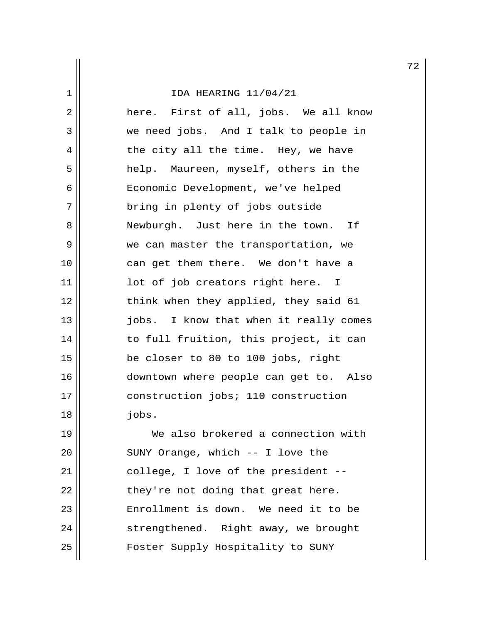2 here. First of all, jobs. We all know 3 we need jobs. And I talk to people in 4 || the city all the time. Hey, we have 5 help. Maureen, myself, others in the 6 || Economic Development, we've helped 7 || bring in plenty of jobs outside 8 Newburgh. Just here in the town. If 9 We can master the transportation, we 10 || can get them there. We don't have a 11 || lot of job creators right here. I 12 || think when they applied, they said 61 13 || jobs. I know that when it really comes 14 || to full fruition, this project, it can 15 be closer to 80 to 100 jobs, right 16 downtown where people can get to. Also 17 || construction jobs; 110 construction 18 jobs.

19 We also brokered a connection with 20 || SUNY Orange, which -- I love the 21 || college, I love of the president -- $22$  || they're not doing that great here. 23 || Enrollment is down. We need it to be 24 | strengthened. Right away, we brought 25 || Foster Supply Hospitality to SUNY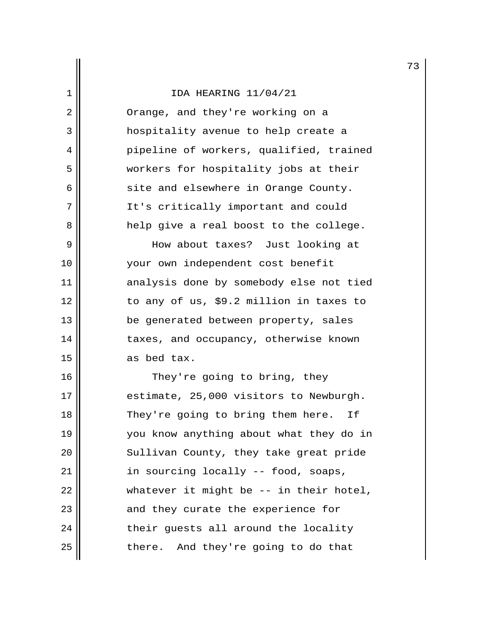2 || Orange, and they're working on a 3 hospitality avenue to help create a 4 pipeline of workers, qualified, trained 5 workers for hospitality jobs at their  $6 \parallel$  site and elsewhere in Orange County. 7 || It's critically important and could 8 help give a real boost to the college. 9 How about taxes? Just looking at

10 || vour own independent cost benefit 11 || analysis done by somebody else not tied 12 to any of us, \$9.2 million in taxes to 13 || be generated between property, sales 14 taxes, and occupancy, otherwise known 15 as bed tax.

16 || They're going to bring, they 17 || estimate, 25,000 visitors to Newburgh. 18 || They're going to bring them here. If 19 || You know anything about what they do in 20 || Sullivan County, they take great pride 21 | in sourcing locally -- food, soaps, 22  $\parallel$  whatever it might be -- in their hotel, 23 || and they curate the experience for  $24$   $\parallel$  their guests all around the locality  $25$  || there. And they're going to do that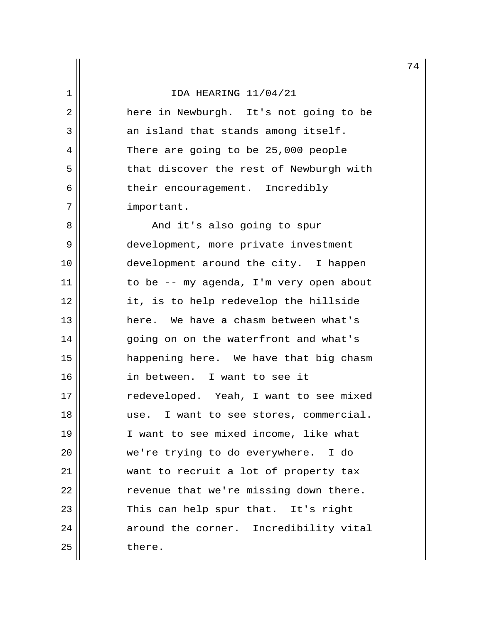2 || There in Newburgh. It's not going to be  $3 \parallel$  an island that stands among itself. 4 There are going to be 25,000 people 5 | that discover the rest of Newburgh with 6 || their encouragement. Incredibly 7 | important.

8 || And it's also going to spur 9 || development, more private investment 10 development around the city. I happen 11  $\parallel$  to be -- my agenda, I'm very open about 12 it, is to help redevelop the hillside 13 here. We have a chasm between what's 14 || going on on the waterfront and what's 15 happening here. We have that big chasm 16 in between. I want to see it 17 || redeveloped. Yeah, I want to see mixed 18 || use. I want to see stores, commercial. 19 || I want to see mixed income, like what 20 || we're trying to do everywhere. I do 21 want to recruit a lot of property tax 22 | Tevenue that we're missing down there. 23 || This can help spur that. It's right 24 | around the corner. Incredibility vital  $25$   $\parallel$  there.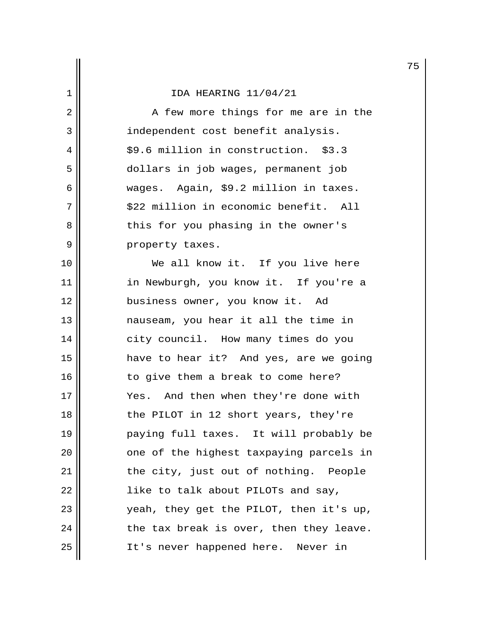2 || A few more things for me are in the 3 || independent cost benefit analysis. 4 || \$9.6 million in construction. \$3.3 5 dollars in job wages, permanent job 6 wages. Again, \$9.2 million in taxes. 7 || \$22 million in economic benefit. All 8 || this for you phasing in the owner's 9 || property taxes. 10 We all know it. If you live here 11 || in Newburgh, you know it. If you're a 12 || business owner, you know it. Ad 13 || mauseam, you hear it all the time in 14 || city council. How many times do you 15 have to hear it? And yes, are we going  $16$   $\parallel$  to give them a break to come here? 17 || Yes. And then when they're done with 18 || the PILOT in 12 short years, they're 19 paying full taxes. It will probably be 20 || one of the highest taxpaying parcels in 21 | the city, just out of nothing. People  $22$  ||  $\qquad$  like to talk about PILOTs and say, 23 yeah, they get the PILOT, then it's up,  $24$  || the tax break is over, then they leave. 25 || It's never happened here. Never in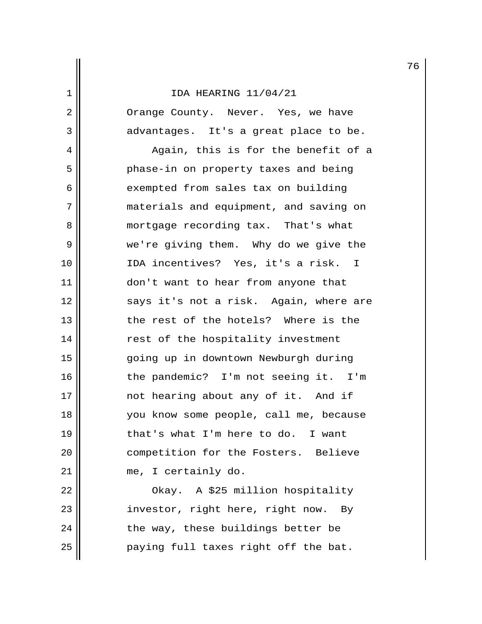2 || Orange County. Never. Yes, we have 3 advantages. It's a great place to be.

4 || Again, this is for the benefit of a 5 || Phase-in on property taxes and being 6 | exempted from sales tax on building 7 materials and equipment, and saving on 8 || mortgage recording tax. That's what 9 we're giving them. Why do we give the 10 || IDA incentives? Yes, it's a risk. I 11 || don't want to hear from anyone that 12 || says it's not a risk. Again, where are 13 the rest of the hotels? Where is the 14 || rest of the hospitality investment 15 going up in downtown Newburgh during 16 || the pandemic? I'm not seeing it. I'm 17 || mot hearing about any of it. And if 18 you know some people, call me, because 19 || that's what I'm here to do. I want 20 | competition for the Fosters. Believe 21 || me, I certainly do.

22 || Ckay. A \$25 million hospitality 23 || investor, right here, right now. By  $24$  || the way, these buildings better be 25 || paying full taxes right off the bat.

76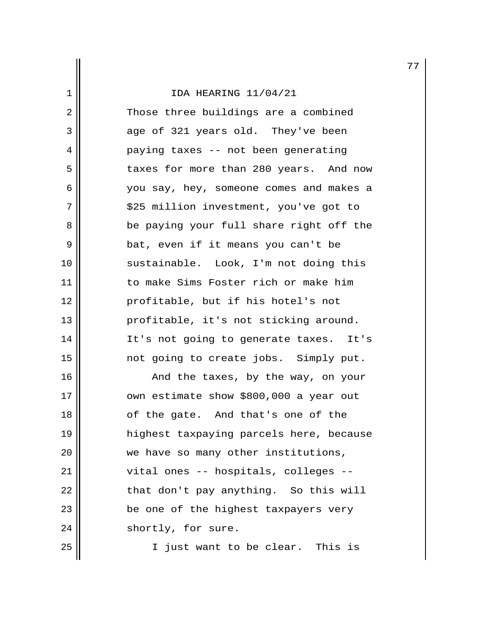2 || Those three buildings are a combined 3 age of 321 years old. They've been 4 paying taxes -- not been generating 5 || taxes for more than 280 years. And now 6 you say, hey, someone comes and makes a 7 || \$25 million investment, you've got to 8 || be paying your full share right off the 9 || bat, even if it means you can't be 10 || sustainable. Look, I'm not doing this 11 || to make Sims Foster rich or make him 12 || profitable, but if his hotel's not 13 || profitable, it's not sticking around. 14 It's not going to generate taxes. It's 15 not going to create jobs. Simply put.

16 || And the taxes, by the way, on your 17 | own estimate show \$800,000 a year out 18 || of the gate. And that's one of the 19 highest taxpaying parcels here, because 20 || we have so many other institutions, 21 || vital ones -- hospitals, colleges -- $22$  || that don't pay anything. So this will 23 || be one of the highest taxpayers very  $24$  || shortly, for sure.

25 || I just want to be clear. This is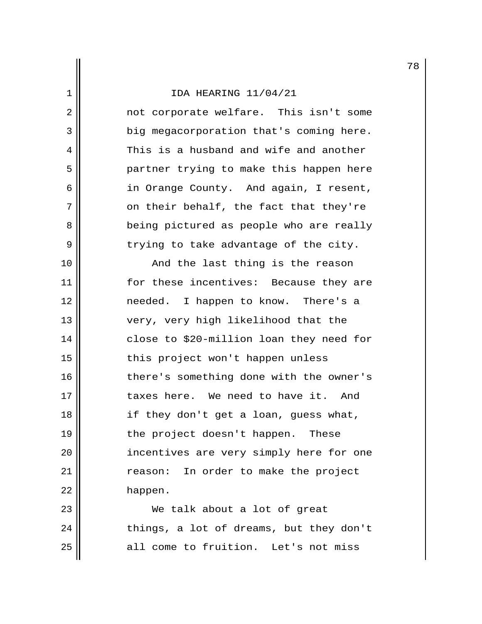2 || mot corporate welfare. This isn't some 3 | big megacorporation that's coming here. 4  $\parallel$  This is a husband and wife and another 5 partner trying to make this happen here 6 in Orange County. And again, I resent,  $7$  |  $\sim$  on their behalf, the fact that they're 8 || being pictured as people who are really  $9 \parallel$  trying to take advantage of the city.

10 || The Last thing is the reason 11 for these incentives: Because they are 12 || meeded. I happen to know. There's a 13 || very, very high likelihood that the 14 close to \$20-million loan they need for 15 || this project won't happen unless 16 || there's something done with the owner's 17 II taxes here. We need to have it. And 18 || if they don't get a loan, guess what, 19 || the project doesn't happen. These 20 || incentives are very simply here for one 21 | Treason: In order to make the project 22 happen.

23 We talk about a lot of great  $24$  || things, a lot of dreams, but they don't 25 all come to fruition. Let's not miss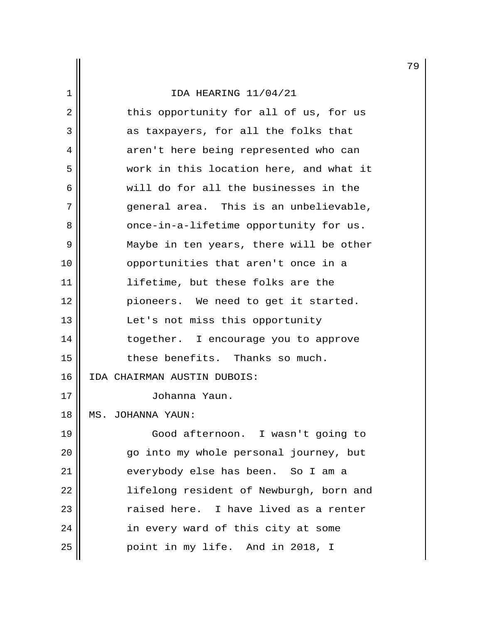# 1 IDA HEARING 11/04/21  $2 \parallel$  this opportunity for all of us, for us 3 || as taxpayers, for all the folks that 4 || aren't here being represented who can 5 work in this location here, and what it 6 will do for all the businesses in the 7 general area. This is an unbelievable, 8 || once-in-a-lifetime opportunity for us. 9 Maybe in ten years, there will be other 10 || opportunities that aren't once in a 11 || lifetime, but these folks are the 12 pioneers. We need to get it started. 13 || Let's not miss this opportunity 14 || together. I encourage you to approve 15 || these benefits. Thanks so much. 16 IDA CHAIRMAN AUSTIN DUBOIS: 17 Johanna Yaun. 18 MS. JOHANNA YAUN: 19 Good afternoon. I wasn't going to 20 go into my whole personal journey, but 21 || everybody else has been. So I am a 22 lifelong resident of Newburgh, born and 23 || raised here. I have lived as a renter 24 || in every ward of this city at some

25 point in my life. And in 2018, I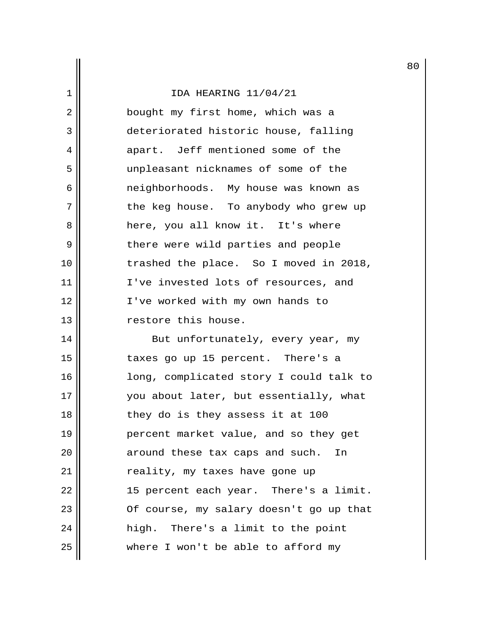2 || bought my first home, which was a 3 deteriorated historic house, falling 4 apart. Jeff mentioned some of the 5 unpleasant nicknames of some of the 6 || meighborhoods. My house was known as 7 || the keg house. To anybody who grew up 8 here, you all know it. It's where 9 || there were wild parties and people 10 trashed the place. So I moved in 2018, 11 || I've invested lots of resources, and 12 || I've worked with my own hands to 13 || Testore this house.

14 || But unfortunately, every year, my 15 || taxes go up 15 percent. There's a 16 long, complicated story I could talk to 17 || vou about later, but essentially, what 18 || they do is they assess it at 100 19 percent market value, and so they get 20 || around these tax caps and such. In 21 || reality, my taxes have gone up 22 || 15 percent each year. There's a limit. 23 || Of course, my salary doesn't go up that 24 || high. There's a limit to the point  $25$   $\parallel$  where I won't be able to afford my

80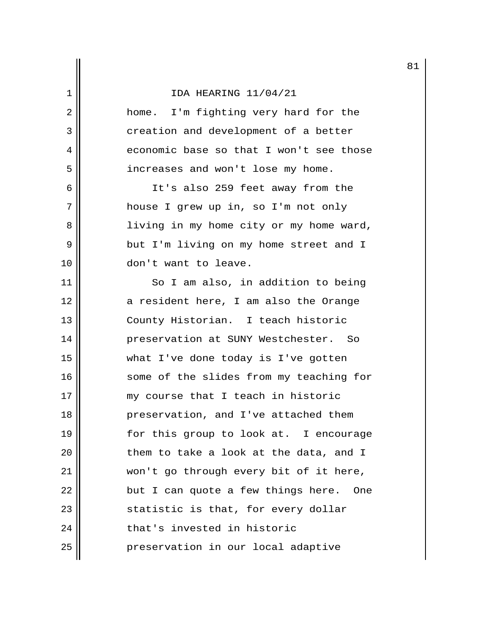2 home. I'm fighting very hard for the 3 || creation and development of a better 4 || economic base so that I won't see those 5 | increases and won't lose my home.

6 || It's also 259 feet away from the 7 || house I grew up in, so I'm not only 8 living in my home city or my home ward, 9 || but I'm living on my home street and I 10 || don't want to leave.

11 || So I am also, in addition to being 12 a resident here, I am also the Orange 13 || County Historian. I teach historic 14 preservation at SUNY Westchester. So 15 what I've done today is I've gotten 16 || some of the slides from my teaching for 17 || my course that I teach in historic 18 || preservation, and I've attached them 19 for this group to look at. I encourage  $20$   $\parallel$  them to take a look at the data, and I 21 won't go through every bit of it here,  $22$  || but I can quote a few things here. One 23 || statistic is that, for every dollar  $24$   $\parallel$  that's invested in historic 25 | preservation in our local adaptive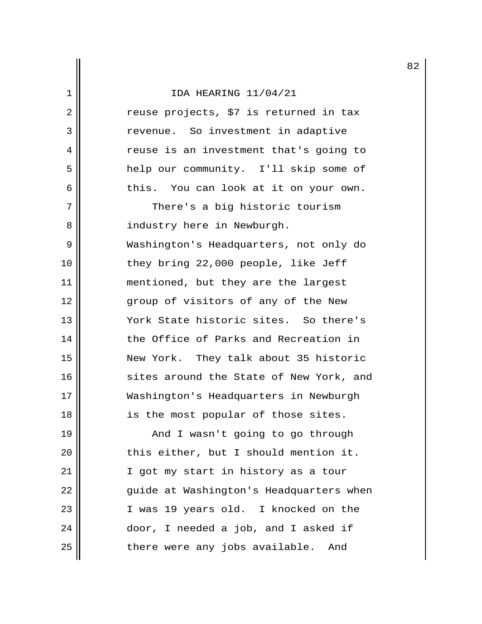$2 \parallel$  reuse projects, \$7 is returned in tax 3 || Tevenue. So investment in adaptive 4 | The reuse is an investment that's going to 5 help our community. I'll skip some of 6 this. You can look at it on your own. 7 || There's a big historic tourism 8 || industry here in Newburgh. 9 Washington's Headquarters, not only do 10 || they bring 22,000 people, like Jeff 11 || mentioned, but they are the largest 12 || group of visitors of any of the New 13 York State historic sites. So there's 14 the Office of Parks and Recreation in 15 New York. They talk about 35 historic 16 || sites around the State of New York, and 17 Washington's Headquarters in Newburgh 18 || is the most popular of those sites. 19 || And I wasn't going to go through

20 | this either, but I should mention it. 21 || I got my start in history as a tour 22 || guide at Washington's Headquarters when 23 I was 19 years old. I knocked on the 24 | door, I needed a job, and I asked if 25 || there were any jobs available. And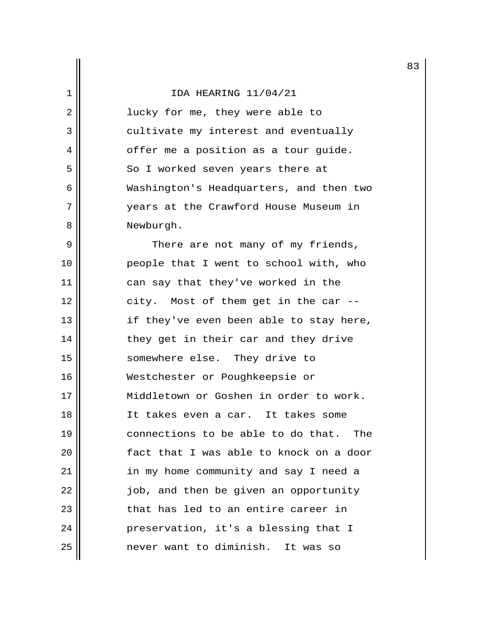2 || lucky for me, they were able to 3 || cultivate my interest and eventually  $4 \parallel$  offer me a position as a tour guide. 5 || So I worked seven years there at 6 Washington's Headquarters, and then two 7 years at the Crawford House Museum in 8 | Newburgh.

9 || There are not many of my friends, 10 people that I went to school with, who 11 || can say that they've worked in the 12 || city. Most of them get in the car --13 || if they've even been able to stay here, 14 || they get in their car and they drive 15 somewhere else. They drive to 16 Westchester or Poughkeepsie or 17 Middletown or Goshen in order to work. 18 It takes even a car. It takes some 19 connections to be able to do that. The 20 || [act that I was able to knock on a door 21 in my home community and say I need a 22 | job, and then be given an opportunity 23  $\parallel$  that has led to an entire career in 24 | Preservation, it's a blessing that I 25 never want to diminish. It was so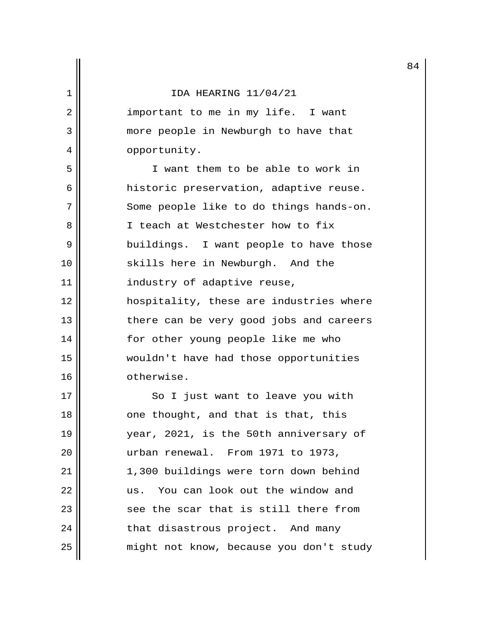2 || important to me in my life. I want 3 || more people in Newburgh to have that 4 || opportunity.

 5 I want them to be able to work in 6 | historic preservation, adaptive reuse. 7 Some people like to do things hands-on. 8 || I teach at Westchester how to fix 9 buildings. I want people to have those 10 || skills here in Newburgh. And the 11 | industry of adaptive reuse, 12 hospitality, these are industries where 13 || there can be very good jobs and careers 14 || for other young people like me who 15 wouldn't have had those opportunities 16 **b** otherwise.

17 || So I just want to leave you with 18 || one thought, and that is that, this 19 year, 2021, is the 50th anniversary of 20 urban renewal. From 1971 to 1973, 21 1,300 buildings were torn down behind 22 || us. You can look out the window and  $23$   $\parallel$  see the scar that is still there from 24 | that disastrous project. And many 25 | might not know, because you don't study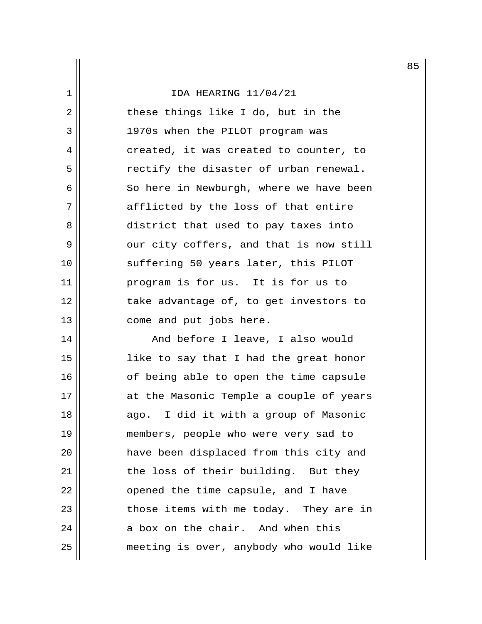$2 \parallel$  these things like I do, but in the 3 1970s when the PILOT program was  $4 \parallel$  created, it was created to counter, to 5 || The rectify the disaster of urban renewal. 6  $\parallel$  So here in Newburgh, where we have been 7 afflicted by the loss of that entire 8 district that used to pay taxes into  $9 \parallel$  our city coffers, and that is now still 10 || suffering 50 years later, this PILOT 11 program is for us. It is for us to 12 || Take advantage of, to get investors to 13 || come and put jobs here.

14 And before I leave, I also would 15 like to say that I had the great honor 16 || of being able to open the time capsule 17 || at the Masonic Temple a couple of years 18 || ago. I did it with a group of Masonic 19 members, people who were very sad to 20 have been displaced from this city and 21 | the loss of their building. But they  $22$  || opened the time capsule, and I have 23 || those items with me today. They are in  $24$  ||  $\qquad$  a box on the chair. And when this 25 meeting is over, anybody who would like 85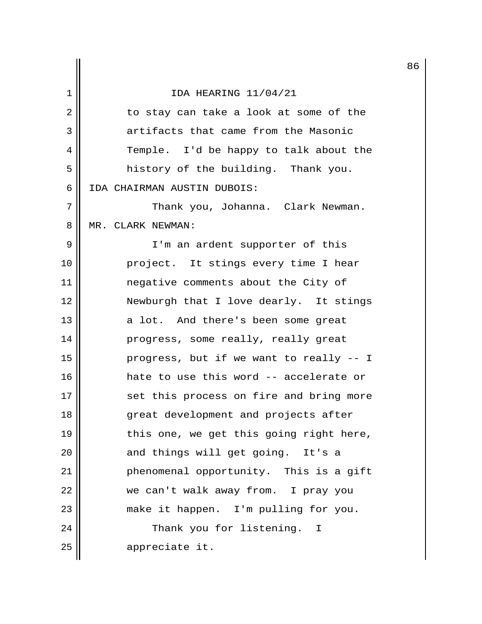|                |                                          | 8 |
|----------------|------------------------------------------|---|
| 1              | IDA HEARING 11/04/21                     |   |
| $\overline{2}$ | to stay can take a look at some of the   |   |
| 3              | artifacts that came from the Masonic     |   |
| 4              | Temple. I'd be happy to talk about the   |   |
| 5              | history of the building. Thank you.      |   |
| 6              | IDA CHAIRMAN AUSTIN DUBOIS:              |   |
| 7              | Thank you, Johanna. Clark Newman.        |   |
| 8              | MR. CLARK NEWMAN:                        |   |
| 9              | I'm an ardent supporter of this          |   |
| 10             | project. It stings every time I hear     |   |
| 11             | negative comments about the City of      |   |
| 12             | Newburgh that I love dearly. It stings   |   |
| 13             | a lot. And there's been some great       |   |
| 14             | progress, some really, really great      |   |
| 15             | progress, but if we want to really -- I  |   |
| 16             | hate to use this word -- accelerate or   |   |
| 17             | set this process on fire and bring more  |   |
| 18             | great development and projects after     |   |
| 19             | this one, we get this going right here,  |   |
| 20             | and things will get going. It's a        |   |
| 21             | phenomenal opportunity. This is a gift   |   |
| 22             | we can't walk away from. I pray you      |   |
| 23             | make it happen. I'm pulling for you.     |   |
| 24             | Thank you for listening.<br>$\mathbf{I}$ |   |
| 25             | appreciate it.                           |   |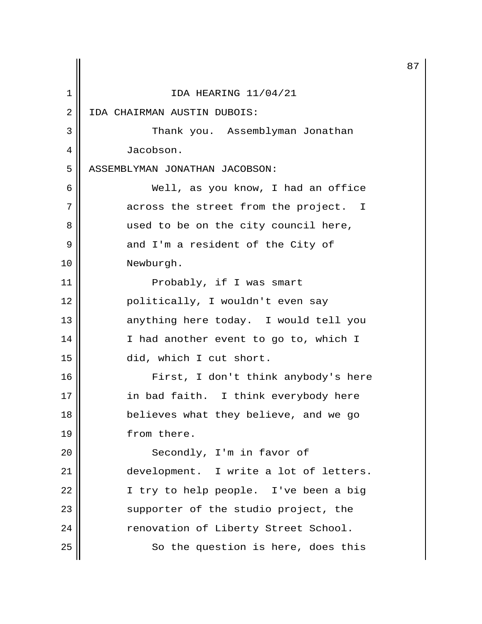|    |                                        | 8 |
|----|----------------------------------------|---|
| 1  | IDA HEARING 11/04/21                   |   |
| 2  | IDA CHAIRMAN AUSTIN DUBOIS:            |   |
| 3  | Thank you. Assemblyman Jonathan        |   |
| 4  | Jacobson.                              |   |
| 5  | ASSEMBLYMAN JONATHAN JACOBSON:         |   |
| 6  | Well, as you know, I had an office     |   |
| 7  | across the street from the project. I  |   |
| 8  | used to be on the city council here,   |   |
| 9  | and I'm a resident of the City of      |   |
| 10 | Newburgh.                              |   |
| 11 | Probably, if I was smart               |   |
| 12 | politically, I wouldn't even say       |   |
| 13 | anything here today. I would tell you  |   |
| 14 | I had another event to go to, which I  |   |
| 15 | did, which I cut short.                |   |
| 16 | First, I don't think anybody's here    |   |
| 17 | in bad faith. I think everybody here   |   |
| 18 | believes what they believe, and we go  |   |
| 19 | from there.                            |   |
| 20 | Secondly, I'm in favor of              |   |
| 21 | development. I write a lot of letters. |   |
| 22 | I try to help people. I've been a big  |   |
| 23 | supporter of the studio project, the   |   |
| 24 | renovation of Liberty Street School.   |   |
| 25 | So the question is here, does this     |   |

87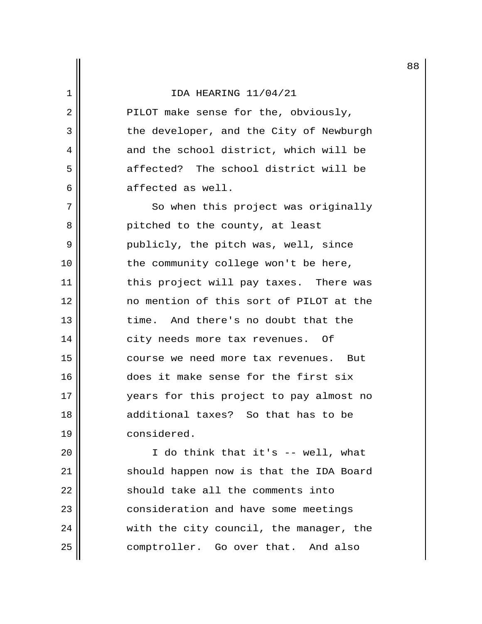2 || PILOT make sense for the, obviously, 3 | the developer, and the City of Newburgh 4 and the school district, which will be 5 affected? The school district will be  $6 \parallel$  affected as well.

7 || So when this project was originally 8 pitched to the county, at least 9 || publicly, the pitch was, well, since 10 || the community college won't be here, 11 || this project will pay taxes. There was 12 no mention of this sort of PILOT at the 13 time. And there's no doubt that the 14 city needs more tax revenues. Of 15 course we need more tax revenues. But 16 does it make sense for the first six 17 || Years for this project to pay almost no 18 additional taxes? So that has to be 19 considered.

20 I do think that it's -- well, what 21 || should happen now is that the IDA Board  $22$  should take all the comments into 23 | consideration and have some meetings  $24$   $\parallel$  with the city council, the manager, the 25 comptroller. Go over that. And also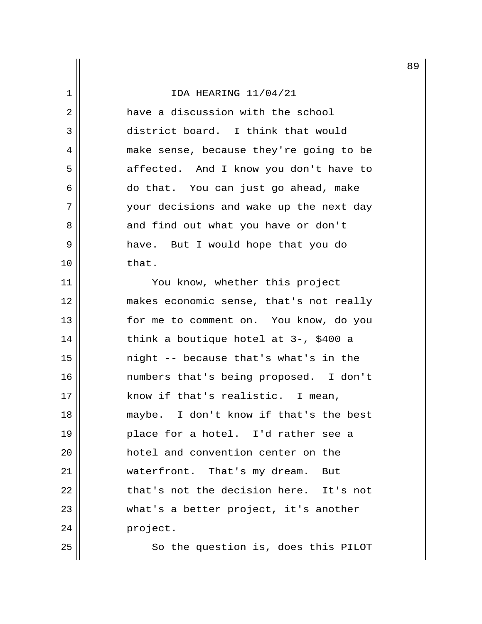2 | have a discussion with the school 3 district board. I think that would 4 | make sense, because they're going to be 5 || affected. And I know you don't have to 6 do that. You can just go ahead, make 7 your decisions and wake up the next day 8 and find out what you have or don't 9 have. But I would hope that you do  $10$  | that.

11 || You know, whether this project 12 makes economic sense, that's not really 13 for me to comment on. You know, do you 14  $\parallel$  think a boutique hotel at 3-, \$400 a 15 night -- because that's what's in the 16 numbers that's being proposed. I don't 17 || know if that's realistic. I mean, 18 || maybe. I don't know if that's the best 19 place for a hotel. I'd rather see a 20 hotel and convention center on the 21 | waterfront. That's my dream. But 22 | that's not the decision here. It's not 23 || what's a better project, it's another 24 | project.

25 || So the question is, does this PILOT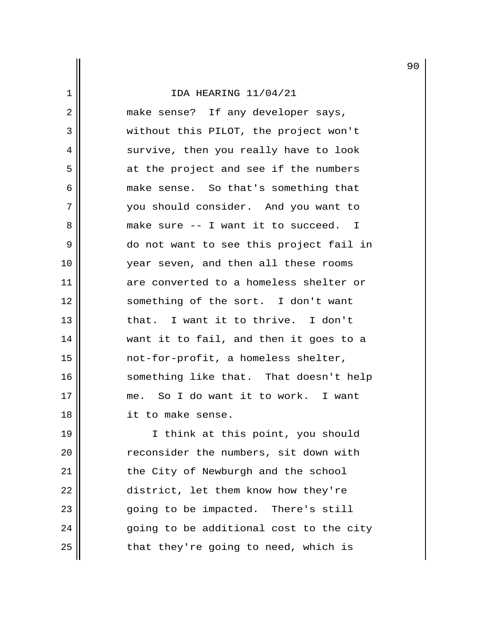2 || make sense? If any developer says, 3 without this PILOT, the project won't 4 || survive, then you really have to look 5 || at the project and see if the numbers 6 make sense. So that's something that 7 you should consider. And you want to 8 make sure -- I want it to succeed. I 9 do not want to see this project fail in 10 year seven, and then all these rooms 11 are converted to a homeless shelter or 12 || something of the sort. I don't want 13 let in that. I want it to thrive. I don't 14 || want it to fail, and then it goes to a 15 not-for-profit, a homeless shelter, 16 || something like that. That doesn't help 17 me. So I do want it to work. I want 18 it to make sense.

19 || I think at this point, you should 20 || reconsider the numbers, sit down with 21 | the City of Newburgh and the school 22 | district, let them know how they're 23 || ending to be impacted. There's still  $24$   $\parallel$  going to be additional cost to the city  $25$  || that they're going to need, which is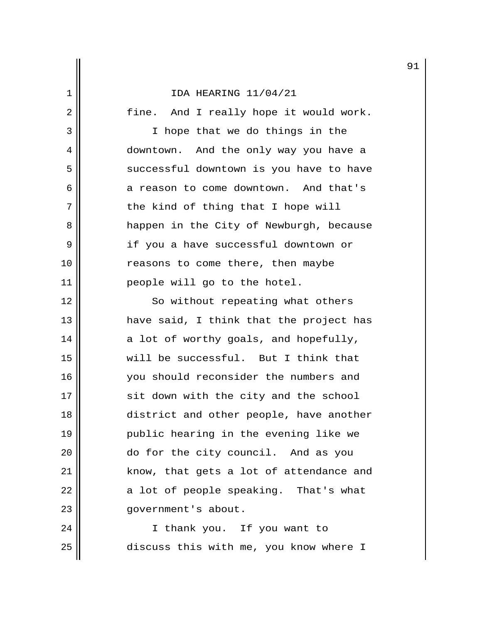2 || fine. And I really hope it would work. 3 || I hope that we do things in the 4 downtown. And the only way you have a 5 | successful downtown is you have to have 6 a reason to come downtown. And that's  $7 \parallel$  the kind of thing that I hope will 8 | Reppen in the City of Newburgh, because 9 || if you a have successful downtown or 10 || reasons to come there, then maybe 11 people will go to the hotel. 12 || So without repeating what others 13 have said, I think that the project has  $14$  a lot of worthy goals, and hopefully, 15 will be successful. But I think that 16 || vou should reconsider the numbers and 17 || sit down with the city and the school 18 || district and other people, have another 19 public hearing in the evening like we 20 do for the city council. And as you 21 || know, that gets a lot of attendance and  $22$  || a lot of people speaking. That's what 23 || qovernment's about. 24 || I thank you. If you want to

91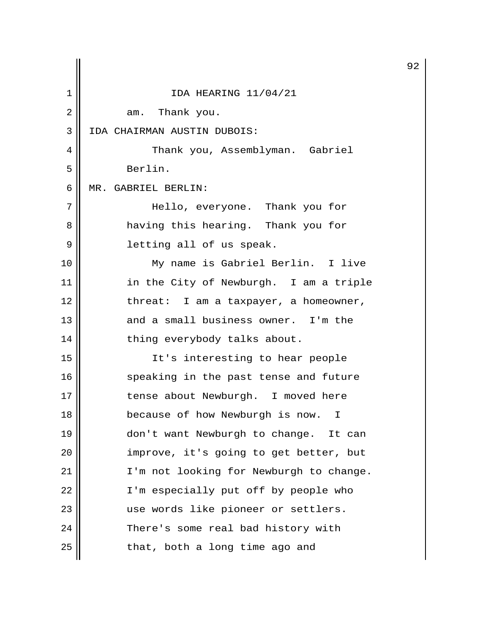|    |                                         | 9 |
|----|-----------------------------------------|---|
| 1  | IDA HEARING 11/04/21                    |   |
| 2  | am. Thank you.                          |   |
| 3  | IDA CHAIRMAN AUSTIN DUBOIS:             |   |
| 4  | Thank you, Assemblyman. Gabriel         |   |
| 5  | Berlin.                                 |   |
| 6  | MR. GABRIEL BERLIN:                     |   |
| 7  | Hello, everyone. Thank you for          |   |
| 8  | having this hearing. Thank you for      |   |
| 9  | letting all of us speak.                |   |
| 10 | My name is Gabriel Berlin. I live       |   |
| 11 | in the City of Newburgh. I am a triple  |   |
| 12 | threat: I am a taxpayer, a homeowner,   |   |
| 13 | and a small business owner. I'm the     |   |
| 14 | thing everybody talks about.            |   |
| 15 | It's interesting to hear people         |   |
| 16 | speaking in the past tense and future   |   |
| 17 | tense about Newburgh. I moved here      |   |
| 18 | because of how Newburgh is now. I       |   |
| 19 | don't want Newburgh to change. It can   |   |
| 20 | improve, it's going to get better, but  |   |
| 21 | I'm not looking for Newburgh to change. |   |
| 22 | I'm especially put off by people who    |   |
| 23 | use words like pioneer or settlers.     |   |
| 24 | There's some real bad history with      |   |
| 25 | that, both a long time ago and          |   |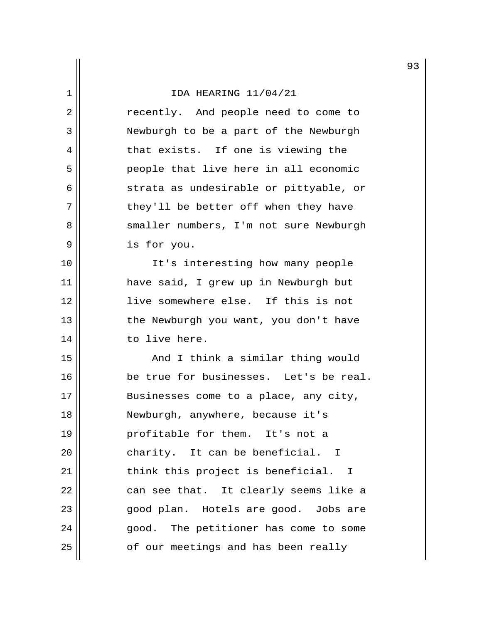|                |                                        | 9 |
|----------------|----------------------------------------|---|
| 1              | IDA HEARING 11/04/21                   |   |
| $\overline{2}$ | recently. And people need to come to   |   |
| 3              | Newburgh to be a part of the Newburgh  |   |
| 4              | that exists. If one is viewing the     |   |
| 5              | people that live here in all economic  |   |
| 6              | strata as undesirable or pittyable, or |   |
| 7              | they'll be better off when they have   |   |
| 8              | smaller numbers, I'm not sure Newburgh |   |
| 9              | is for you.                            |   |
| 10             | It's interesting how many people       |   |
| 11             | have said, I grew up in Newburgh but   |   |
| 12             | live somewhere else. If this is not    |   |
| 13             | the Newburgh you want, you don't have  |   |
| 14             | to live here.                          |   |
| 15             | And I think a similar thing would      |   |
| 16             | be true for businesses. Let's be real. |   |
| 17             | Businesses come to a place, any city,  |   |
| 18             | Newburgh, anywhere, because it's       |   |
| 19             | profitable for them. It's not a        |   |
| 20             | charity. It can be beneficial. I       |   |
| 21             | think this project is beneficial. I    |   |
| 22             | can see that. It clearly seems like a  |   |
| 23             | good plan. Hotels are good. Jobs are   |   |
| 24             | good. The petitioner has come to some  |   |
| 25             | of our meetings and has been really    |   |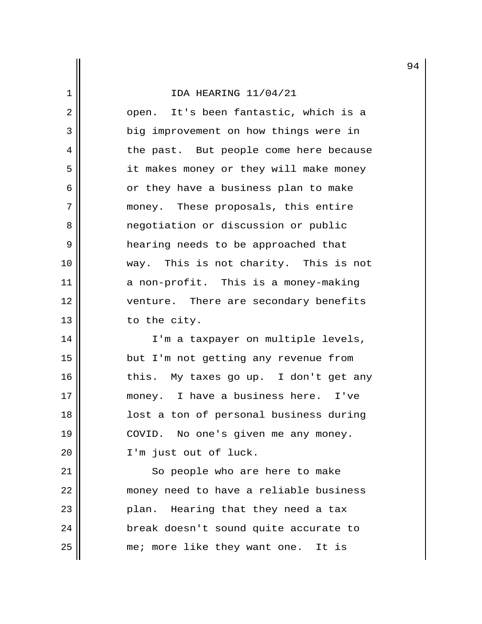2 || open. It's been fantastic, which is a 3 || big improvement on how things were in 4 | the past. But people come here because 5 | it makes money or they will make money  $6 \parallel$  or they have a business plan to make 7 || money. These proposals, this entire 8 || The negotiation or discussion or public 9 hearing needs to be approached that 10 way. This is not charity. This is not 11 a non-profit. This is a money-making 12 || venture. There are secondary benefits  $13$   $\parallel$  to the city.

14 || I'm a taxpayer on multiple levels, 15 || but I'm not getting any revenue from  $16$  || this. My taxes go up. I don't get any 17 money. I have a business here. I've 18 lost a ton of personal business during 19 || COVID. No one's given me any money. 20 || I'm just out of luck.

21 || So people who are here to make 22 || money need to have a reliable business 23 || Plan. Hearing that they need a tax 24 | break doesn't sound quite accurate to 25 || me; more like they want one. It is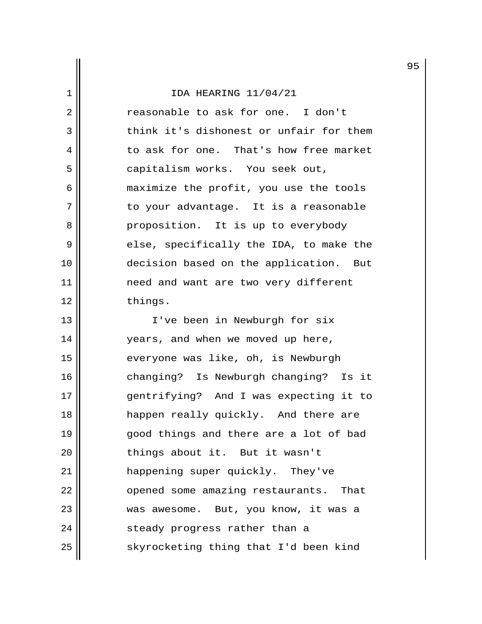2 || Treasonable to ask for one. I don't 3 think it's dishonest or unfair for them 4 to ask for one. That's how free market 5 | capitalism works. You seek out, 6 maximize the profit, you use the tools 7 || to your advantage. It is a reasonable 8 proposition. It is up to everybody 9 else, specifically the IDA, to make the 10 decision based on the application. But 11 need and want are two very different 12 things.

13 || I've been in Newburgh for six 14 || years, and when we moved up here, 15 || everyone was like, oh, is Newburgh 16 || changing? Is Newburgh changing? Is it 17 gentrifying? And I was expecting it to 18 happen really quickly. And there are 19 qood things and there are a lot of bad 20 | things about it. But it wasn't 21 || happening super quickly. They've 22 | opened some amazing restaurants. That 23 || was awesome. But, you know, it was a 24 | steady progress rather than a  $25$  skyrocketing thing that I'd been kind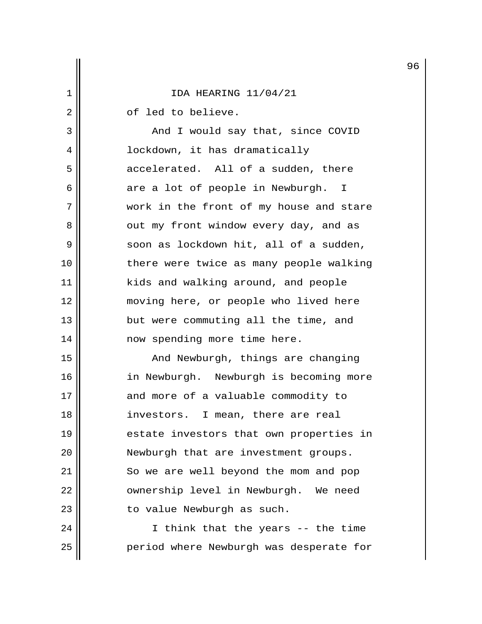2 | cf led to believe.

3 || And I would say that, since COVID 4 | Iockdown, it has dramatically 5 accelerated. All of a sudden, there  $6$  are a lot of people in Newburgh. I 7 work in the front of my house and stare 8 || out my front window every day, and as 9 | soon as lockdown hit, all of a sudden, 10 || there were twice as many people walking 11 || kids and walking around, and people 12 moving here, or people who lived here 13 || but were commuting all the time, and 14 || now spending more time here.

15 || And Newburgh, things are changing 16 || in Newburgh. Newburgh is becoming more 17 || and more of a valuable commodity to 18 investors. I mean, there are real 19 || estate investors that own properties in 20 || Newburgh that are investment groups. 21 | So we are well beyond the mom and pop 22 | ownership level in Newburgh. We need 23 || to value Newburgh as such.

24 || I think that the years -- the time 25 || Period where Newburgh was desperate for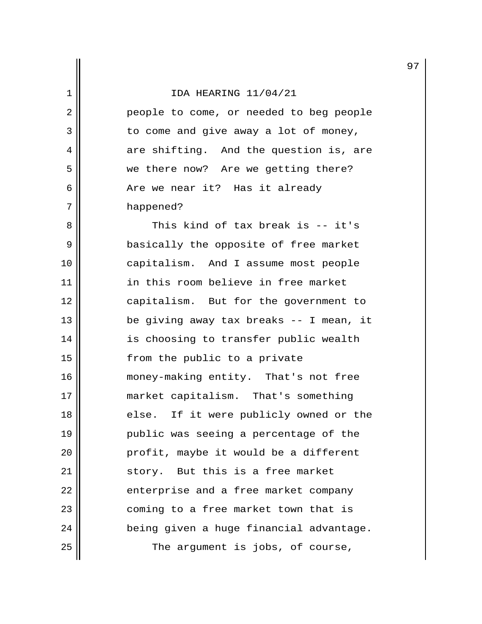2 || People to come, or needed to beg people  $3 \parallel$  to come and give away a lot of money, 4 are shifting. And the question is, are 5 | we there now? Are we getting there? 6 || The We near it? Has it already 7 | happened?

8 || This kind of tax break is -- it's 9 || basically the opposite of free market 10 capitalism. And I assume most people 11 in this room believe in free market 12 capitalism. But for the government to 13 || be giving away tax breaks -- I mean, it 14 || is choosing to transfer public wealth 15 || from the public to a private 16 || money-making entity. That's not free 17 market capitalism. That's something 18 || else. If it were publicly owned or the 19 public was seeing a percentage of the 20 || profit, maybe it would be a different  $21$   $\parallel$  story. But this is a free market  $22$  || enterprise and a free market company 23 || coming to a free market town that is  $24$  || being given a huge financial advantage.  $25$   $\parallel$  The argument is jobs, of course,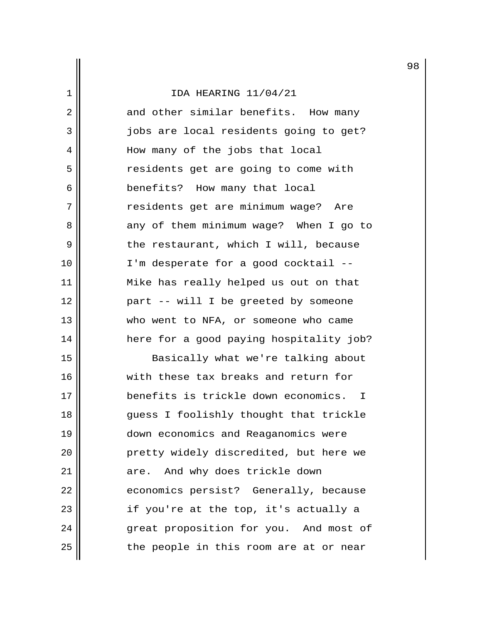|                |                                          | 9 |
|----------------|------------------------------------------|---|
| 1              | IDA HEARING 11/04/21                     |   |
| $\overline{2}$ | and other similar benefits. How many     |   |
| 3              | jobs are local residents going to get?   |   |
| 4              | How many of the jobs that local          |   |
| 5              | residents get are going to come with     |   |
| 6              | benefits? How many that local            |   |
| 7              | residents get are minimum wage? Are      |   |
| 8              | any of them minimum wage? When I go to   |   |
| 9              | the restaurant, which I will, because    |   |
| 10             | I'm desperate for a good cocktail --     |   |
| 11             | Mike has really helped us out on that    |   |
| 12             | part -- will I be greeted by someone     |   |
| 13             | who went to NFA, or someone who came     |   |
| 14             | here for a good paying hospitality job?  |   |
| 15             | Basically what we're talking about       |   |
| 16             | with these tax breaks and return for     |   |
| 17             | benefits is trickle down economics.<br>I |   |
| 18             | guess I foolishly thought that trickle   |   |
| 19             | down economics and Reaganomics were      |   |
| 20             | pretty widely discredited, but here we   |   |
| 21             | And why does trickle down<br>are.        |   |
| 22             | economics persist? Generally, because    |   |
| 23             | if you're at the top, it's actually a    |   |
| 24             | great proposition for you. And most of   |   |
| 25             | the people in this room are at or near   |   |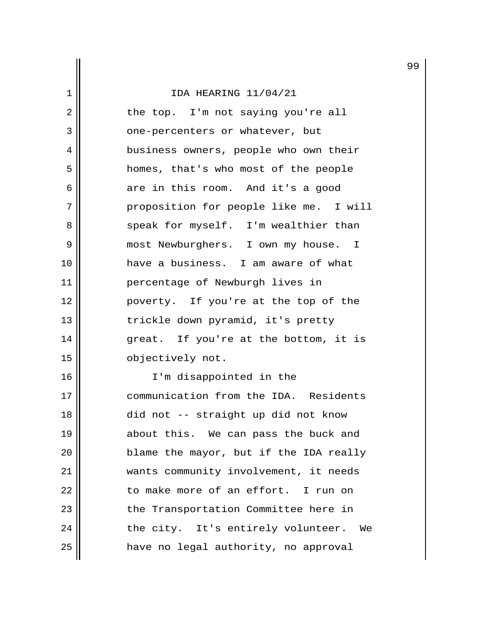2 || the top. I'm not saying you're all 3 || one-percenters or whatever, but 4 || business owners, people who own their 5 homes, that's who most of the people  $6 \parallel$  are in this room. And it's a good 7 | proposition for people like me. I will 8 speak for myself. I'm wealthier than 9 || most Newburghers. I own my house. I 10 have a business. I am aware of what 11 percentage of Newburgh lives in 12 poverty. If you're at the top of the 13 || trickle down pyramid, it's pretty 14 great. If you're at the bottom, it is 15 || objectively not.

16 || I'm disappointed in the 17 communication from the IDA. Residents 18 || did not -- straight up did not know 19 || about this. We can pass the buck and 20 blame the mayor, but if the IDA really 21 wants community involvement, it needs  $22$   $\parallel$  to make more of an effort. I run on 23 || the Transportation Committee here in  $24$  || the city. It's entirely volunteer. We 25 have no legal authority, no approval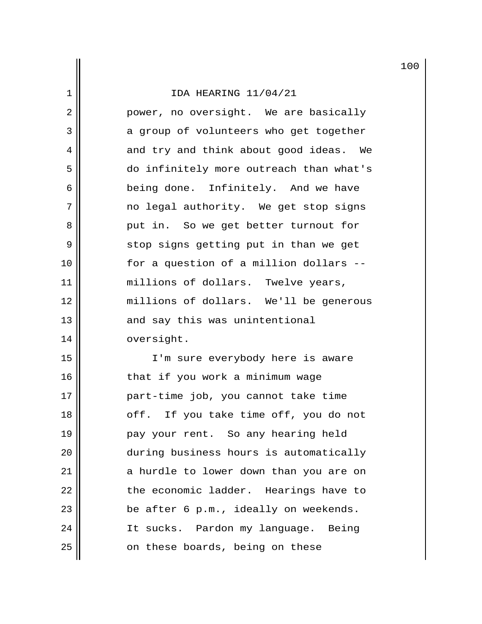2 || power, no oversight. We are basically 3 a group of volunteers who get together 4 and try and think about good ideas. We 5 do infinitely more outreach than what's 6 || being done. Infinitely. And we have 7 || mo legal authority. We get stop signs 8 put in. So we get better turnout for 9 || stop signs getting put in than we get 10 for a question of a million dollars -- 11 || millions of dollars. Twelve years, 12 millions of dollars. We'll be generous 13 || and say this was unintentional 14 | oversight.

15 I'm sure everybody here is aware 16 || that if you work a minimum wage 17 part-time job, you cannot take time 18 || cff. If you take time off, you do not 19 || pay your rent. So any hearing held 20 during business hours is automatically 21 || a hurdle to lower down than you are on 22 | The economic ladder. Hearings have to  $23$  || be after 6 p.m., ideally on weekends. 24 | It sucks. Pardon my language. Being 25 | conthese boards, being on these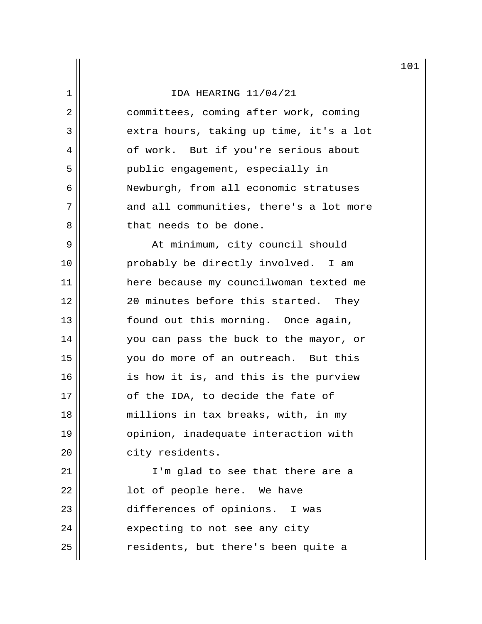|                |                                         | 10 |
|----------------|-----------------------------------------|----|
| 1              | IDA HEARING 11/04/21                    |    |
| $\overline{2}$ | committees, coming after work, coming   |    |
| 3              | extra hours, taking up time, it's a lot |    |
| 4              | of work. But if you're serious about    |    |
| 5              | public engagement, especially in        |    |
| 6              | Newburgh, from all economic stratuses   |    |
| 7              | and all communities, there's a lot more |    |
| 8              | that needs to be done.                  |    |
| 9              | At minimum, city council should         |    |
| 10             | probably be directly involved. I am     |    |
| 11             | here because my councilwoman texted me  |    |
| 12             | 20 minutes before this started. They    |    |
| 13             | found out this morning. Once again,     |    |
| 14             | you can pass the buck to the mayor, or  |    |
| 15             | you do more of an outreach. But this    |    |
| 16             | is how it is, and this is the purview   |    |
| 17             | of the IDA, to decide the fate of       |    |
| 18             | millions in tax breaks, with, in my     |    |
| 19             | opinion, inadequate interaction with    |    |
| 20             | city residents.                         |    |
| 21             | I'm glad to see that there are a        |    |
| 22             | lot of people here. We have             |    |
| 23             | differences of opinions. I was          |    |
| 24             | expecting to not see any city           |    |
| 25             | residents, but there's been quite a     |    |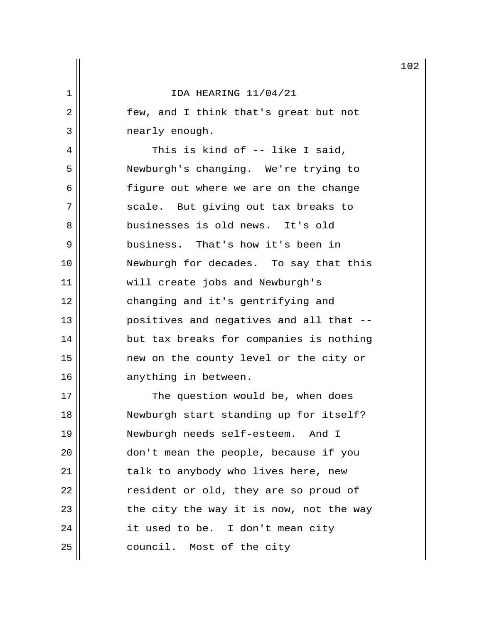2 || few, and I think that's great but not 3 | mearly enough.

4 || This is kind of -- like I said, 5 Newburgh's changing. We're trying to 6 || figure out where we are on the change 7 || scale. But giving out tax breaks to 8 businesses is old news. It's old 9 business. That's how it's been in 10 Newburgh for decades. To say that this 11 || will create jobs and Newburgh's 12 || changing and it's gentrifying and 13 || Positives and negatives and all that --14 || but tax breaks for companies is nothing 15 new on the county level or the city or 16 || anything in between.

17 || The question would be, when does 18 Newburgh start standing up for itself? 19 Newburgh needs self-esteem. And I 20 || don't mean the people, because if you 21 || talk to anybody who lives here, new 22 | Tesident or old, they are so proud of  $23$  || the city the way it is now, not the way  $24$  || it used to be. I don't mean city 25 | council. Most of the city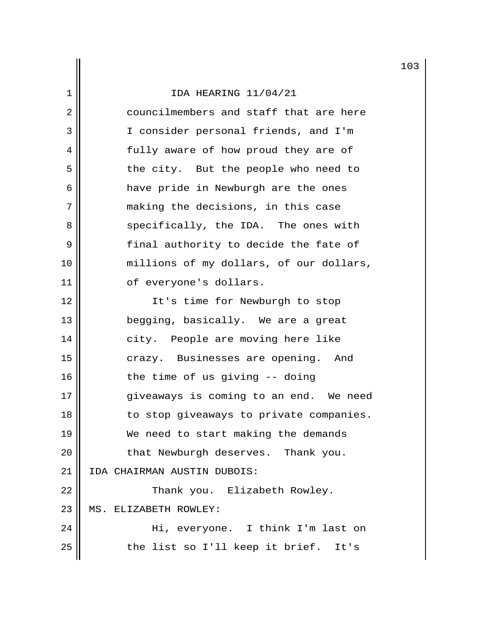|                |                                         | 10 |
|----------------|-----------------------------------------|----|
| 1              | IDA HEARING 11/04/21                    |    |
| $\overline{2}$ | councilmembers and staff that are here  |    |
| 3              | I consider personal friends, and I'm    |    |
| 4              | fully aware of how proud they are of    |    |
| 5              | the city. But the people who need to    |    |
| 6              | have pride in Newburgh are the ones     |    |
| 7              | making the decisions, in this case      |    |
| 8              | specifically, the IDA. The ones with    |    |
| 9              | final authority to decide the fate of   |    |
| 10             | millions of my dollars, of our dollars, |    |
| 11             | of everyone's dollars.                  |    |
| 12             | It's time for Newburgh to stop          |    |
| 13             | begging, basically. We are a great      |    |
| 14             | city. People are moving here like       |    |
| 15             | crazy. Businesses are opening. And      |    |
| 16             | the time of us giving -- doing          |    |
| 17             | giveaways is coming to an end. We need  |    |
| 18             | to stop giveaways to private companies. |    |
| 19             | We need to start making the demands     |    |
| 20             | that Newburgh deserves. Thank you.      |    |
| 21             | IDA CHAIRMAN AUSTIN DUBOIS:             |    |
| 22             | Thank you. Elizabeth Rowley.            |    |
| 23             | MS. ELIZABETH ROWLEY:                   |    |
| 24             | Hi, everyone. I think I'm last on       |    |
| 25             | the list so I'll keep it brief. It's    |    |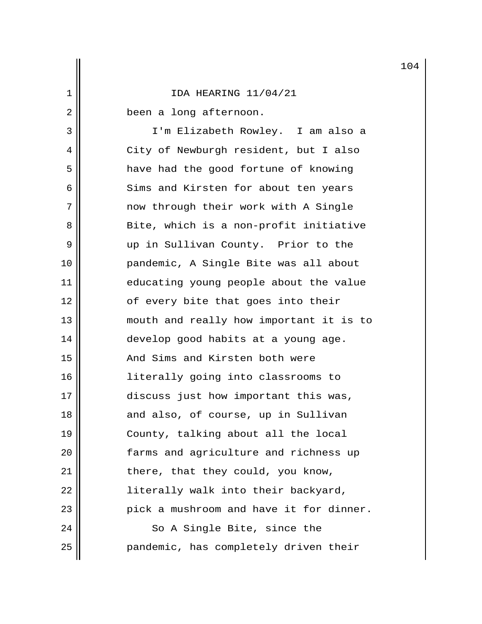2 | been a long afternoon.

 3 I'm Elizabeth Rowley. I am also a 4 || City of Newburgh resident, but I also 5 || have had the good fortune of knowing 6 || Sims and Kirsten for about ten years 7 || The mow through their work with A Single 8 Bite, which is a non-profit initiative 9 || up in Sullivan County. Prior to the 10 pandemic, A Single Bite was all about 11 educating young people about the value 12 || cf every bite that goes into their 13 || mouth and really how important it is to 14 || develop good habits at a young age. 15 || The And Sims and Kirsten both were 16 literally going into classrooms to 17 discuss just how important this was, 18 || and also, of course, up in Sullivan 19 County, talking about all the local 20 farms and agriculture and richness up 21 || there, that they could, you know, 22 || literally walk into their backyard, 23 || pick a mushroom and have it for dinner. 24 || So A Single Bite, since the 25 | pandemic, has completely driven their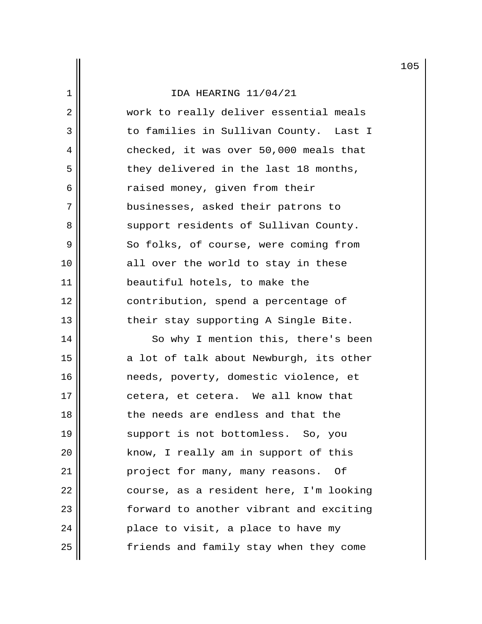# 1 IDA HEARING 11/04/21 2 || work to really deliver essential meals 3 || to families in Sullivan County. Last I  $4 \parallel$  checked, it was over 50,000 meals that  $5$  | they delivered in the last 18 months, 6 | Traised money, given from their 7 || businesses, asked their patrons to 8 Support residents of Sullivan County. 9 || So folks, of course, were coming from 10 || all over the world to stay in these 11 || beautiful hotels, to make the 12 || contribution, spend a percentage of 13 || their stay supporting A Single Bite. 14 || So why I mention this, there's been 15 || a lot of talk about Newburgh, its other 16 | meeds, poverty, domestic violence, et

17 || cetera, et cetera. We all know that 18 || The needs are endless and that the 19 || support is not bottomless. So, you 20 || know, I really am in support of this 21 | project for many, many reasons. Of 22 course, as a resident here, I'm looking 23 forward to another vibrant and exciting  $24$  || place to visit, a place to have my 25 friends and family stay when they come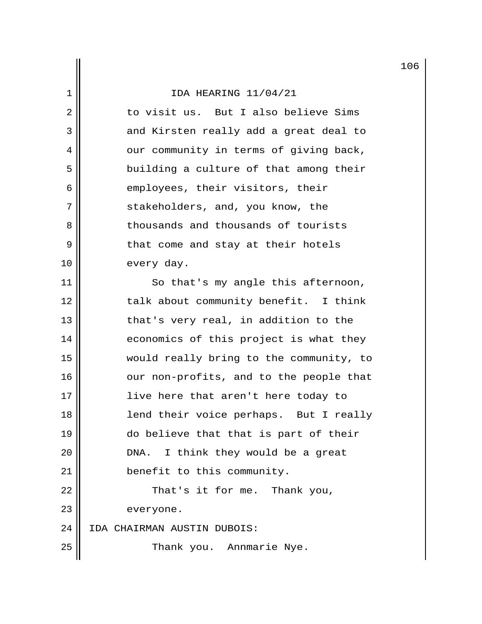2 || to visit us. But I also believe Sims 3 and Kirsten really add a great deal to 4 our community in terms of giving back, 5 || building a culture of that among their  $6 \parallel$  employees, their visitors, their 7 || stakeholders, and, you know, the 8 || Thousands and thousands of tourists  $9 \parallel$  that come and stay at their hotels 10 every day.

11 || So that's my angle this afternoon, 12 || talk about community benefit. I think 13 || that's very real, in addition to the 14 | economics of this project is what they 15 would really bring to the community, to 16 || our non-profits, and to the people that 17 || live here that aren't here today to 18 || lend their voice perhaps. But I really 19 do believe that that is part of their  $20$  || DNA. I think they would be a great 21 | benefit to this community.  $22$  || That's it for me. Thank you, 23 everyone. 24 IDA CHAIRMAN AUSTIN DUBOIS: 25 || Thank you. Annmarie Nye.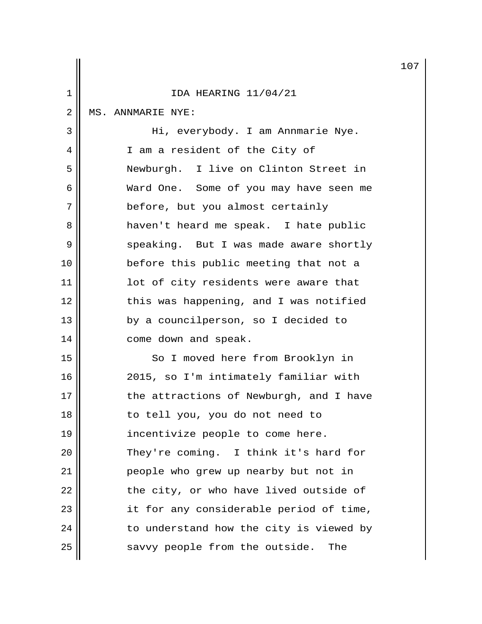|                |                                         | 10 |
|----------------|-----------------------------------------|----|
| 1              | IDA HEARING 11/04/21                    |    |
| $\overline{2}$ | MS. ANNMARIE NYE:                       |    |
| $\mathfrak{Z}$ | Hi, everybody. I am Annmarie Nye.       |    |
| 4              | I am a resident of the City of          |    |
| 5              | Newburgh. I live on Clinton Street in   |    |
| 6              | Ward One. Some of you may have seen me  |    |
| 7              | before, but you almost certainly        |    |
| 8              | haven't heard me speak. I hate public   |    |
| 9              | speaking. But I was made aware shortly  |    |
| 10             | before this public meeting that not a   |    |
| 11             | lot of city residents were aware that   |    |
| 12             | this was happening, and I was notified  |    |
| 13             | by a councilperson, so I decided to     |    |
| 14             | come down and speak.                    |    |
| 15             | So I moved here from Brooklyn in        |    |
| 16             | 2015, so I'm intimately familiar with   |    |
| 17             | the attractions of Newburgh, and I have |    |
| 18             | to tell you, you do not need to         |    |
| 19             | incentivize people to come here.        |    |
| 20             | They're coming. I think it's hard for   |    |
| 21             | people who grew up nearby but not in    |    |
| 22             | the city, or who have lived outside of  |    |
| 23             | it for any considerable period of time, |    |
| 24             | to understand how the city is viewed by |    |
| 25             | savvy people from the outside.<br>The   |    |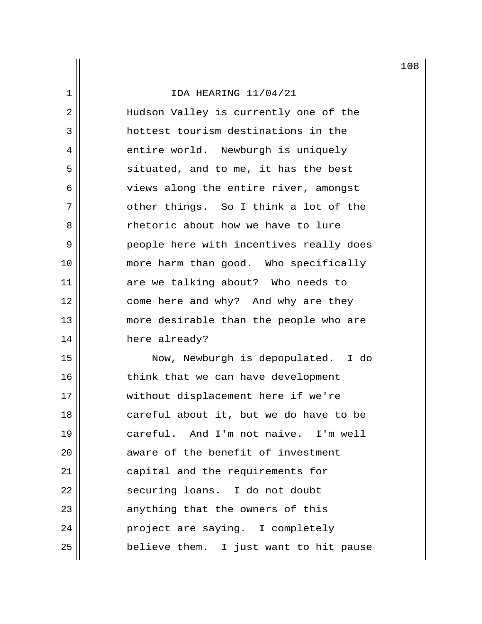2 || Hudson Valley is currently one of the 3 hottest tourism destinations in the 4 | entire world. Newburgh is uniquely  $5 \parallel$  situated, and to me, it has the best 6 || views along the entire river, amongst 7 || other things. So I think a lot of the 8 || Thetoric about how we have to lure 9 | People here with incentives really does 10 more harm than good. Who specifically 11 are we talking about? Who needs to 12 || come here and why? And why are they 13 more desirable than the people who are 14 || here already?

15 Now, Newburgh is depopulated. I do 16 || think that we can have development 17 || without displacement here if we're 18 || careful about it, but we do have to be 19 careful. And I'm not naive. I'm well 20 **aware of the benefit of investment** 21 | capital and the requirements for 22 || securing loans. I do not doubt  $23$  || anything that the owners of this 24 || Project are saying. I completely  $25$  || believe them. I just want to hit pause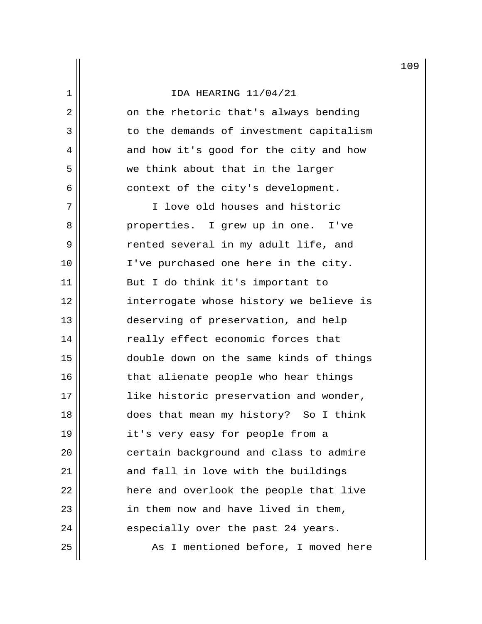2 | on the rhetoric that's always bending 3 || Intitude to the demands of investment capitalism 4 || and how it's good for the city and how 5 || we think about that in the larger  $6 \parallel$  context of the city's development.

 7 I love old houses and historic 8 || Properties. I grew up in one. I've 9 || rented several in my adult life, and 10 || I've purchased one here in the city. 11 || But I do think it's important to 12 || interrogate whose history we believe is 13 deserving of preservation, and help 14 || really effect economic forces that 15 double down on the same kinds of things 16 || that alienate people who hear things 17 || like historic preservation and wonder, 18 does that mean my history? So I think 19 || it's very easy for people from a 20 | certain background and class to admire 21 and fall in love with the buildings 22 || There and overlook the people that live 23 || in them now and have lived in them,  $24$  || especially over the past 24 years. 25 || As I mentioned before, I moved here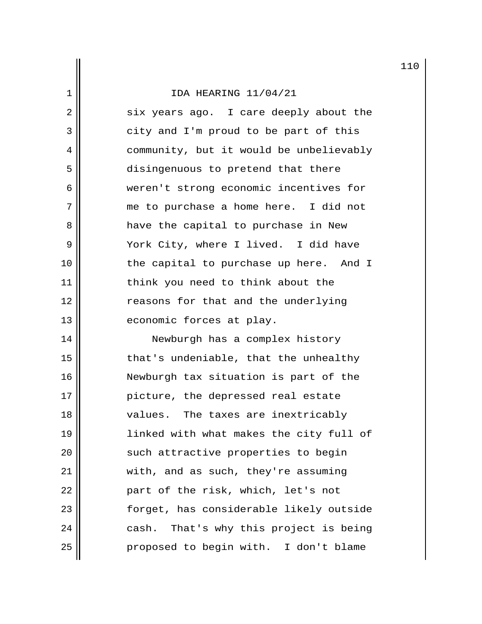2 six years ago. I care deeply about the 3 || city and I'm proud to be part of this 4 | community, but it would be unbelievably 5 disingenuous to pretend that there 6 weren't strong economic incentives for 7 || me to purchase a home here. I did not 8 have the capital to purchase in New 9 || York City, where I lived. I did have 10 || the capital to purchase up here. And I 11 || think you need to think about the 12 || reasons for that and the underlying 13 || economic forces at play.

14 || Newburgh has a complex history 15 || that's undeniable, that the unhealthy 16 Newburgh tax situation is part of the 17 || picture, the depressed real estate 18 || values. The taxes are inextricably 19 linked with what makes the city full of 20 || such attractive properties to begin 21 || with, and as such, they're assuming 22 || part of the risk, which, let's not 23 forget, has considerable likely outside  $24$  || cash. That's why this project is being 25 proposed to begin with. I don't blame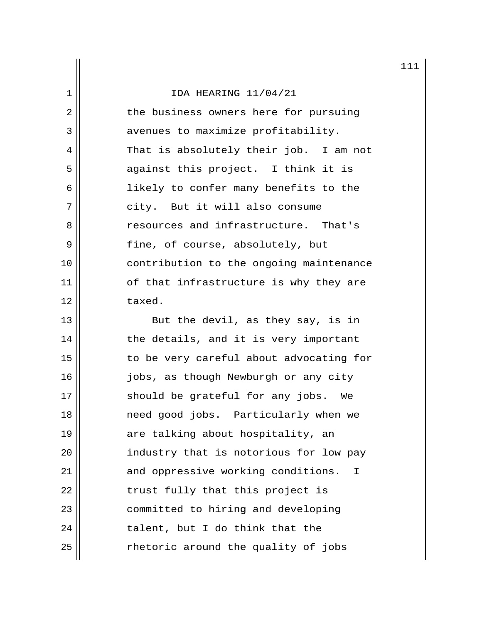| 1  | IDA HEARING 11/04/21                    |
|----|-----------------------------------------|
| 2  | the business owners here for pursuing   |
| 3  | avenues to maximize profitability.      |
| 4  | That is absolutely their job. I am not  |
| 5  | against this project. I think it is     |
| 6  | likely to confer many benefits to the   |
| 7  | city. But it will also consume          |
| 8  | resources and infrastructure. That's    |
| 9  | fine, of course, absolutely, but        |
| 10 | contribution to the ongoing maintenance |
| 11 | of that infrastructure is why they are  |
| 12 | taxed.                                  |

13 || But the devil, as they say, is in  $14$   $\parallel$  the details, and it is very important  $15$   $\parallel$  to be very careful about advocating for 16 || jobs, as though Newburgh or any city 17 || should be grateful for any jobs. We 18 need good jobs. Particularly when we 19 || are talking about hospitality, an 20 | industry that is notorious for low pay 21 || and oppressive working conditions. I  $22$  || trust fully that this project is 23 | committed to hiring and developing  $24$   $\parallel$  talent, but I do think that the  $25$   $\parallel$  rhetoric around the quality of jobs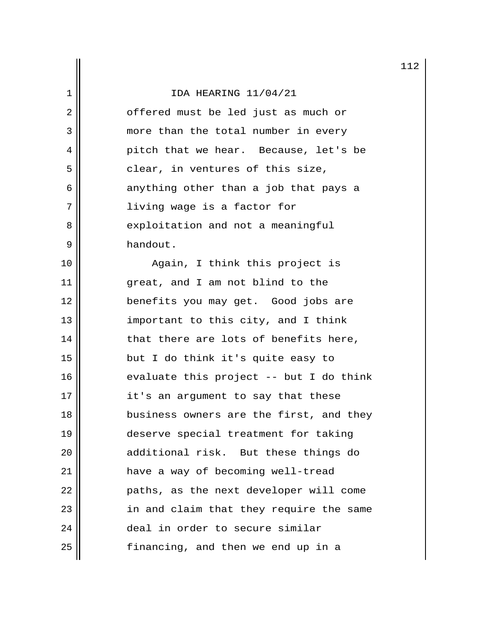|                |                                          | 11 |
|----------------|------------------------------------------|----|
| 1              | IDA HEARING 11/04/21                     |    |
| $\overline{2}$ | offered must be led just as much or      |    |
| 3              | more than the total number in every      |    |
| 4              | pitch that we hear. Because, let's be    |    |
| 5              | clear, in ventures of this size,         |    |
| 6              | anything other than a job that pays a    |    |
| 7              | living wage is a factor for              |    |
| 8              | exploitation and not a meaningful        |    |
| 9              | handout.                                 |    |
| 10             | Again, I think this project is           |    |
| 11             | great, and I am not blind to the         |    |
| 12             | benefits you may get. Good jobs are      |    |
| 13             | important to this city, and I think      |    |
| 14             | that there are lots of benefits here,    |    |
| 15             | but I do think it's quite easy to        |    |
| 16             | evaluate this project $-$ but I do think |    |
| 17             | it's an argument to say that these       |    |
| 18             | business owners are the first, and they  |    |
| 19             | deserve special treatment for taking     |    |
| 20             | additional risk. But these things do     |    |
| 21             | have a way of becoming well-tread        |    |
| 22             | paths, as the next developer will come   |    |
| 23             | in and claim that they require the same  |    |
| 24             | deal in order to secure similar          |    |
| 25             | financing, and then we end up in a       |    |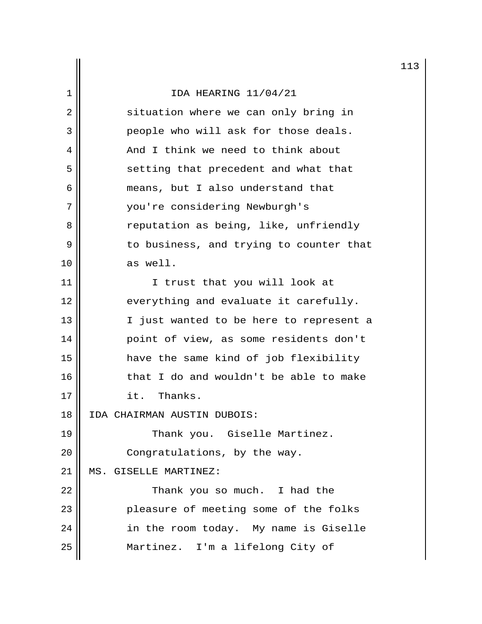|    |                                         | 11 |
|----|-----------------------------------------|----|
| 1  | IDA HEARING 11/04/21                    |    |
| 2  | situation where we can only bring in    |    |
| 3  | people who will ask for those deals.    |    |
| 4  | And I think we need to think about      |    |
| 5  | setting that precedent and what that    |    |
| 6  | means, but I also understand that       |    |
| 7  | you're considering Newburgh's           |    |
| 8  | reputation as being, like, unfriendly   |    |
| 9  | to business, and trying to counter that |    |
| 10 | as well.                                |    |
| 11 | I trust that you will look at           |    |
| 12 | everything and evaluate it carefully.   |    |
| 13 | I just wanted to be here to represent a |    |
| 14 | point of view, as some residents don't  |    |
| 15 | have the same kind of job flexibility   |    |
| 16 | that I do and wouldn't be able to make  |    |
| 17 | it. Thanks.                             |    |
| 18 | IDA CHAIRMAN AUSTIN DUBOIS:             |    |
| 19 | Thank you. Giselle Martinez.            |    |
| 20 | Congratulations, by the way.            |    |
| 21 | MS. GISELLE MARTINEZ:                   |    |
| 22 | Thank you so much. I had the            |    |
| 23 | pleasure of meeting some of the folks   |    |
| 24 | in the room today. My name is Giselle   |    |
| 25 | Martinez. I'm a lifelong City of        |    |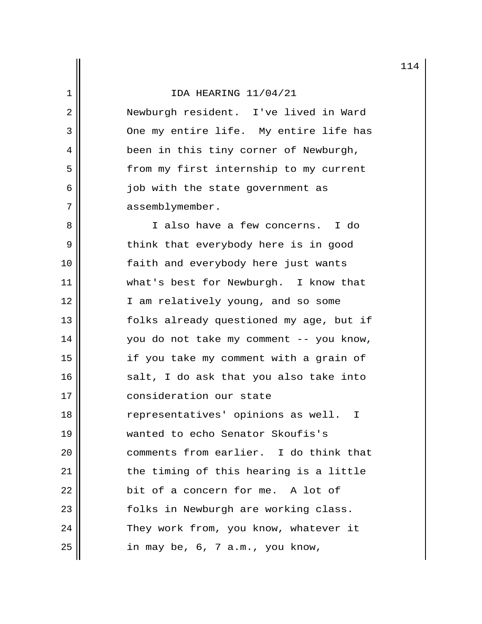2 || Newburgh resident. I've lived in Ward 3 || One my entire life. My entire life has 4 || been in this tiny corner of Newburgh, 5 | from my first internship to my current 6 || job with the state government as 7 | assemblymember.

8 || I also have a few concerns. I do 9 || think that everybody here is in good 10 || [aith and everybody here just wants 11 what's best for Newburgh. I know that 12 || I am relatively young, and so some 13 folks already questioned my age, but if 14 you do not take my comment -- you know, 15 if you take my comment with a grain of  $16$   $\parallel$  salt, I do ask that you also take into 17 consideration our state 18 representatives' opinions as well. I 19 wanted to echo Senator Skoufis's 20 comments from earlier. I do think that 21 || the timing of this hearing is a little  $22$  || bit of a concern for me. A lot of 23 || folks in Newburgh are working class. 24 | They work from, you know, whatever it  $25$  || in may be, 6, 7 a.m., you know,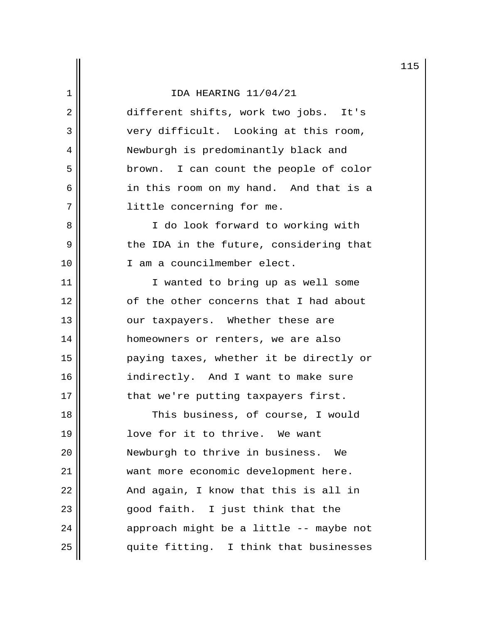2 different shifts, work two jobs. It's 3 Very difficult. Looking at this room, 4 || Newburgh is predominantly black and 5 || brown. I can count the people of color 6 || in this room on my hand. And that is a 7 || little concerning for me.

8 || I do look forward to working with 9 || the IDA in the future, considering that 10 || I am a councilmember elect.

11 || I wanted to bring up as well some 12 || comparent concerns that I had about 13 || our taxpayers. Whether these are 14 | homeowners or renters, we are also 15 paying taxes, whether it be directly or 16 || indirectly. And I want to make sure 17 || that we're putting taxpayers first.

18 || This business, of course, I would 19 || love for it to thrive. We want 20 || Newburgh to thrive in business. We 21 || want more economic development here.  $22$  || And again, I know that this is all in 23 || good faith. I just think that the  $24$  || approach might be a little -- maybe not  $25$  || quite fitting. I think that businesses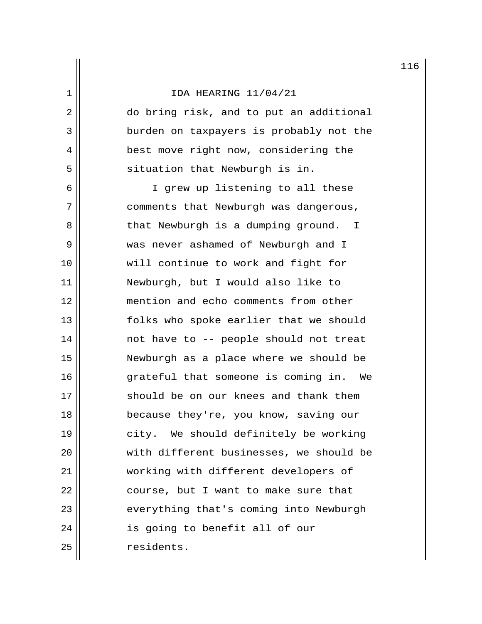2 do bring risk, and to put an additional 3 | burden on taxpayers is probably not the 4 || best move right now, considering the  $5 \parallel$  situation that Newburgh is in.

6 || I grew up listening to all these 7 | comments that Newburgh was dangerous, 8 || That Newburgh is a dumping ground. I 9 was never ashamed of Newburgh and I 10 will continue to work and fight for 11 Newburgh, but I would also like to 12 mention and echo comments from other 13 || folks who spoke earlier that we should 14 || mot have to -- people should not treat 15 Newburgh as a place where we should be 16 grateful that someone is coming in. We 17 should be on our knees and thank them 18 || because they're, you know, saving our 19 || city. We should definitely be working 20 with different businesses, we should be 21 working with different developers of  $22$  || course, but I want to make sure that 23 || everything that's coming into Newburgh  $24$  || is going to benefit all of our 25 | residents.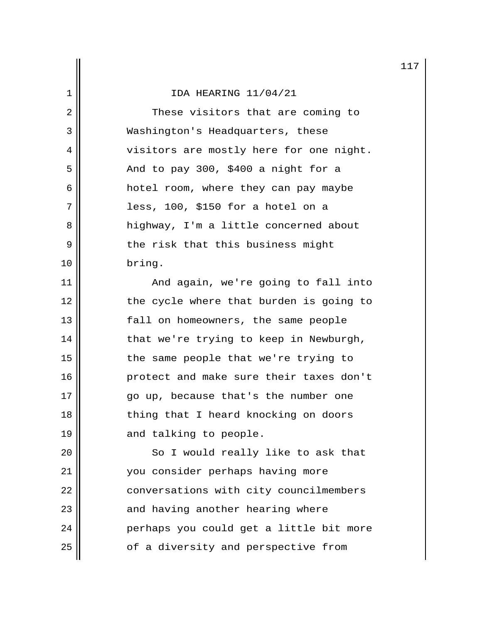2 || These visitors that are coming to 3 Washington's Headquarters, these 4 | visitors are mostly here for one night.  $5 \parallel$  And to pay 300, \$400 a night for a 6 hotel room, where they can pay maybe  $7 \parallel$  less, 100, \$150 for a hotel on a 8 highway, I'm a little concerned about  $9 \parallel$  the risk that this business might 10 bring.

11 || And again, we're going to fall into 12 || the cycle where that burden is going to 13 fall on homeowners, the same people 14 || that we're trying to keep in Newburgh, 15 || the same people that we're trying to 16 protect and make sure their taxes don't 17 go up, because that's the number one 18 || thing that I heard knocking on doors 19 || and talking to people.

20 || So I would really like to ask that 21 you consider perhaps having more 22 | conversations with city councilmembers 23 || and having another hearing where 24 || Perhaps you could get a little bit more  $25$  |  $\sqrt{ }$  of a diversity and perspective from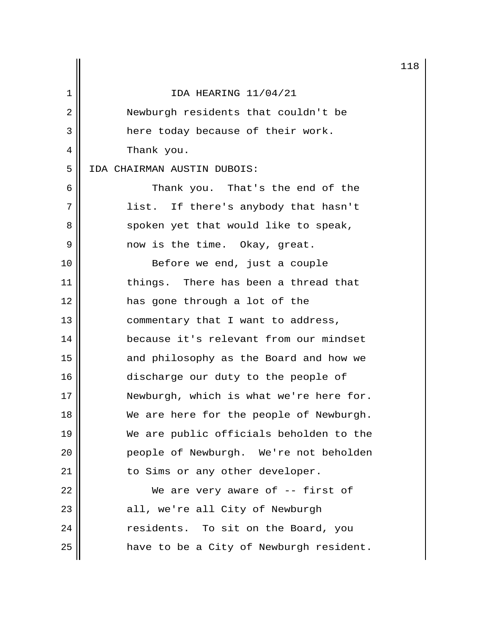|    |                                         | 11 |
|----|-----------------------------------------|----|
| 1  | IDA HEARING 11/04/21                    |    |
| 2  | Newburgh residents that couldn't be     |    |
| 3  | here today because of their work.       |    |
| 4  | Thank you.                              |    |
| 5  | IDA CHAIRMAN AUSTIN DUBOIS:             |    |
| 6  | Thank you. That's the end of the        |    |
| 7  | list. If there's anybody that hasn't    |    |
| 8  | spoken yet that would like to speak,    |    |
| 9  | now is the time. Okay, great.           |    |
| 10 | Before we end, just a couple            |    |
| 11 | things. There has been a thread that    |    |
| 12 | has gone through a lot of the           |    |
| 13 | commentary that I want to address,      |    |
| 14 | because it's relevant from our mindset  |    |
| 15 | and philosophy as the Board and how we  |    |
| 16 | discharge our duty to the people of     |    |
| 17 | Newburgh, which is what we're here for. |    |
| 18 | We are here for the people of Newburgh. |    |
| 19 | We are public officials beholden to the |    |
| 20 | people of Newburgh. We're not beholden  |    |
| 21 | to Sims or any other developer.         |    |
| 22 | We are very aware of $-$ - first of     |    |
| 23 | all, we're all City of Newburgh         |    |
| 24 | residents. To sit on the Board, you     |    |
| 25 | have to be a City of Newburgh resident. |    |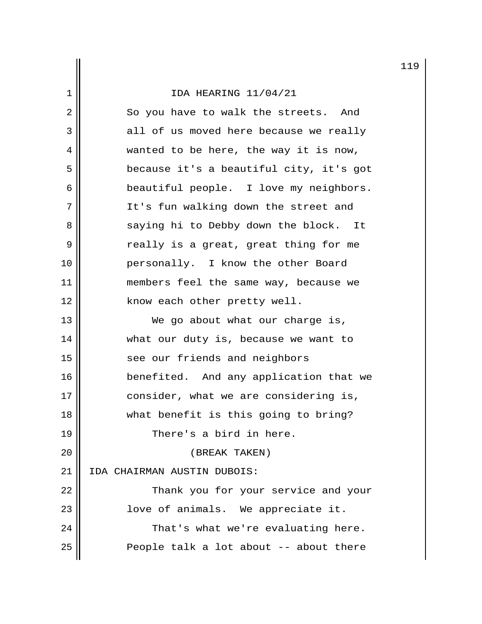|    |                                         | 11 |
|----|-----------------------------------------|----|
| 1  | IDA HEARING 11/04/21                    |    |
| 2  | So you have to walk the streets. And    |    |
| 3  | all of us moved here because we really  |    |
| 4  | wanted to be here, the way it is now,   |    |
| 5  | because it's a beautiful city, it's got |    |
| 6  | beautiful people. I love my neighbors.  |    |
| 7  | It's fun walking down the street and    |    |
| 8  | saying hi to Debby down the block. It   |    |
| 9  | really is a great, great thing for me   |    |
| 10 | personally. I know the other Board      |    |
| 11 | members feel the same way, because we   |    |
| 12 | know each other pretty well.            |    |
| 13 | We go about what our charge is,         |    |
| 14 | what our duty is, because we want to    |    |
| 15 | see our friends and neighbors           |    |
| 16 | benefited. And any application that we  |    |
| 17 | consider, what we are considering is,   |    |
| 18 | what benefit is this going to bring?    |    |
| 19 | There's a bird in here.                 |    |
| 20 | (BREAK TAKEN)                           |    |
| 21 | IDA CHAIRMAN AUSTIN DUBOIS:             |    |
| 22 | Thank you for your service and your     |    |
| 23 | love of animals. We appreciate it.      |    |
| 24 | That's what we're evaluating here.      |    |
| 25 | People talk a lot about -- about there  |    |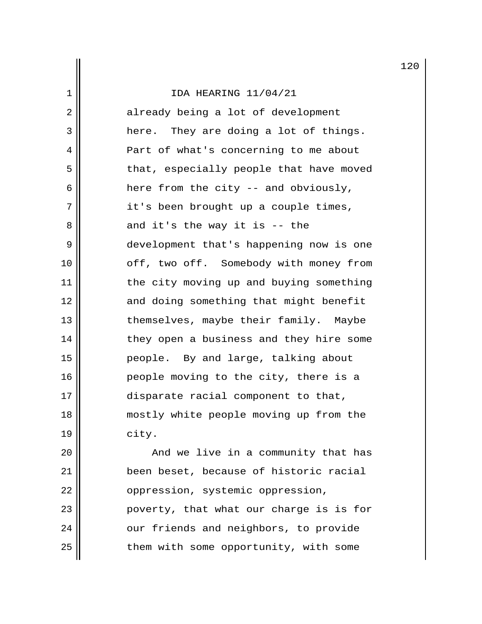| $\mathbf 1$    | IDA HEARING 11/04/21                    |
|----------------|-----------------------------------------|
| $\overline{2}$ | already being a lot of development      |
| 3              | here. They are doing a lot of things.   |
| 4              | Part of what's concerning to me about   |
| 5              | that, especially people that have moved |
| 6              | here from the city -- and obviously,    |
| 7              | it's been brought up a couple times,    |
| 8              | and it's the way it is -- the           |
| 9              | development that's happening now is one |
| 10             | off, two off. Somebody with money from  |
| 11             | the city moving up and buying something |
| 12             | and doing something that might benefit  |
| 13             | themselves, maybe their family. Maybe   |
| 14             | they open a business and they hire some |
| 15             | people. By and large, talking about     |
| 16             | people moving to the city, there is a   |
| 17             | disparate racial component to that,     |
| 18             | mostly white people moving up from the  |
| 19             | city.                                   |
|                |                                         |

 $\mathbb I$ 

  $\parallel$  and we live in a community that has 21 | been beset, because of historic racial 22 | oppression, systemic oppression, poverty, that what our charge is is for  $\parallel$  our friends and neighbors, to provide them with some opportunity, with some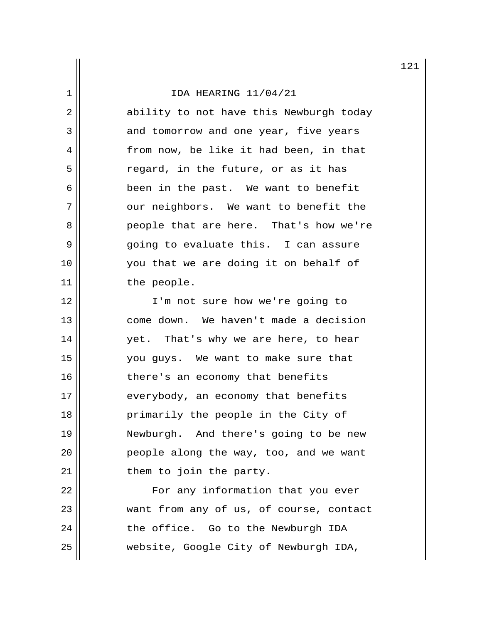2 ability to not have this Newburgh today 3 and tomorrow and one year, five years 4 | from now, be like it had been, in that  $5$   $\parallel$  regard, in the future, or as it has 6 been in the past. We want to benefit 7 | Our neighbors. We want to benefit the 8 **people that are here.** That's how we're 9 going to evaluate this. I can assure 10 you that we are doing it on behalf of 11 || the people.

12 || I'm not sure how we're going to 13 || come down. We haven't made a decision 14 yet. That's why we are here, to hear 15 you guys. We want to make sure that 16 || there's an economy that benefits 17 || everybody, an economy that benefits 18 primarily the people in the City of 19 Newburgh. And there's going to be new 20 || People along the way, too, and we want  $21$  || them to join the party.

22 | For any information that you ever 23 || want from any of us, of course, contact  $24$   $\parallel$  the office. Go to the Newburgh IDA 25 website, Google City of Newburgh IDA,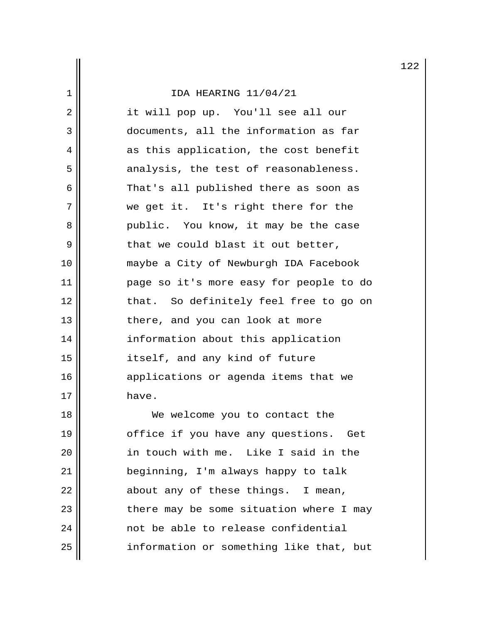| $\overline{2}$ | it will pop up. You'll see all our      |
|----------------|-----------------------------------------|
| 3              | documents, all the information as far   |
| 4              | as this application, the cost benefit   |
| 5              | analysis, the test of reasonableness.   |
| 6              | That's all published there as soon as   |
| 7              | we get it. It's right there for the     |
| 8              | public. You know, it may be the case    |
| 9              | that we could blast it out better,      |
| 10             | maybe a City of Newburgh IDA Facebook   |
| 11             | page so it's more easy for people to do |
| 12             | that. So definitely feel free to go on  |
| 13             | there, and you can look at more         |
| 14             | information about this application      |
| 15             | itself, and any kind of future          |
| 16             | applications or agenda items that we    |
| 17             | have.                                   |
| 18             | We welcome you to contact the           |
| 19             | office if you have any questions. Get   |
| 20             | in touch with me. Like I said in the    |
| 21             | beginning, I'm always happy to talk     |
| 22             | about any of these things. I mean,      |
| 23             | there may be some situation where I may |

24 not be able to release confidential<br>25 information or something like that, information or something like that, but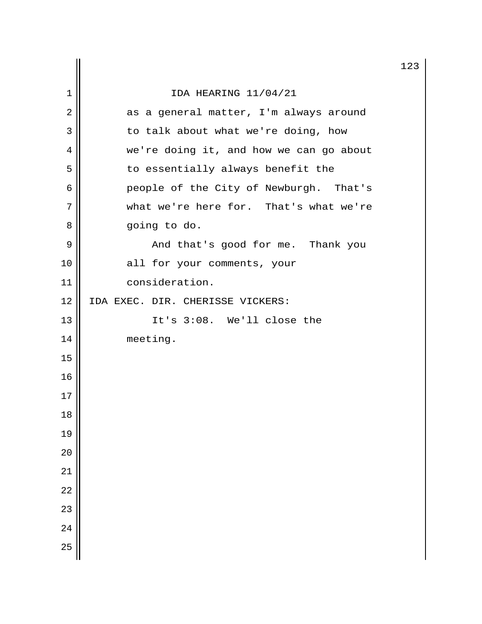|        |                                         | 12 |
|--------|-----------------------------------------|----|
| 1      | IDA HEARING 11/04/21                    |    |
| 2      | as a general matter, I'm always around  |    |
| 3      | to talk about what we're doing, how     |    |
| 4      | we're doing it, and how we can go about |    |
| 5      | to essentially always benefit the       |    |
| 6      | people of the City of Newburgh. That's  |    |
| 7      | what we're here for. That's what we're  |    |
| 8      | going to do.                            |    |
| 9      | And that's good for me. Thank you       |    |
| 10     | all for your comments, your             |    |
| 11     | consideration.                          |    |
| 12     | IDA EXEC. DIR. CHERISSE VICKERS:        |    |
| 13     | It's 3:08. We'll close the              |    |
| 14     | meeting.                                |    |
| 15     |                                         |    |
| 16     |                                         |    |
| 17     |                                         |    |
| $18\,$ |                                         |    |
| 19     |                                         |    |
| 20     |                                         |    |
| 21     |                                         |    |
| 22     |                                         |    |
| 23     |                                         |    |
| 24     |                                         |    |
| 25     |                                         |    |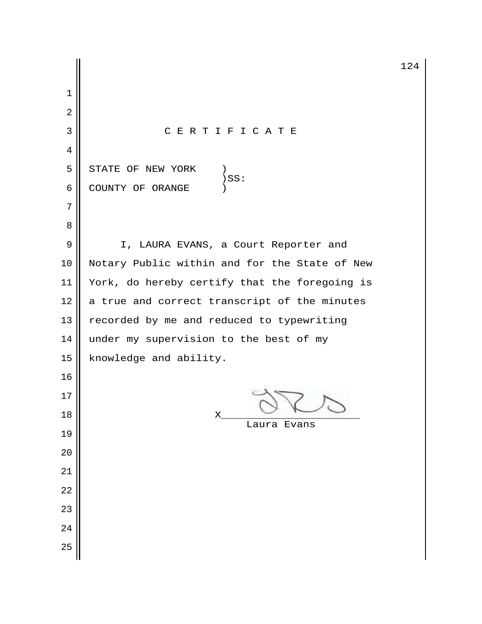3 C E R T I F I C A T E  $5 \parallel$  STATE OF NEW YORK )<br>)SS:  $\parallel$   $)$  SS: 6 COUNTY OF ORANGE 9 | I, LAURA EVANS, a Court Reporter and 10 || Notary Public within and for the State of New 11 | York, do hereby certify that the foregoing is a true and correct transcript of the minutes  $\parallel$  recorded by me and reduced to typewriting 14  $\parallel$  under my supervision to the best of my 15 | knowledge and ability.  $\mathsf{18} \parallel \qquad \qquad \mathsf{X} \qquad \qquad \sqrt{2} \qquad \qquad \sqrt{2}$  Laura Evans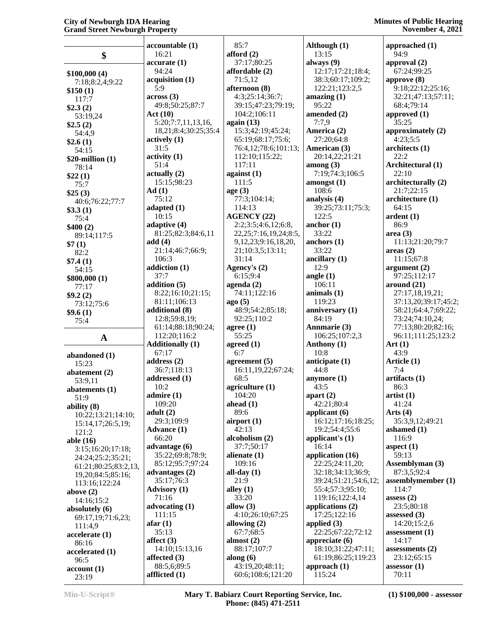|                                 | accountable (1)                | 85:7                                 | Although (1)                     | approached (1)               |
|---------------------------------|--------------------------------|--------------------------------------|----------------------------------|------------------------------|
| \$                              | 16:21                          | afford $(2)$                         | 13:15                            | 94:9                         |
|                                 | accurate(1)                    | 37:17;80:25                          | always $(9)$                     | approval (2)                 |
|                                 | 94:24                          | affordable (2)                       | 12:17;17:21;18:4;                | 67:24;99:25                  |
| \$100,000(4)<br>7:18;8:2,4;9:22 | acquisition (1)                | 71:5,12                              | 38:3;60:17;109:2;                | approve $(8)$                |
| \$150(1)                        | 5:9                            | afternoon (8)                        | 122:21;123:2,5                   | 9:18;22:12;25:16;            |
| 117:7                           | across(3)                      | 4:3;25:14;36:7;                      | amazing $(1)$                    | 32:21;47:13;57:11;           |
| \$2.3(2)                        | 49:8;50:25;87:7                | 39:15;47:23;79:19;                   | 95:22                            | 68:4;79:14                   |
| 53:19,24                        | Act(10)                        | 104:2;106:11                         | amended (2)                      | approved (1)                 |
| \$2.5(2)                        | 5:20;7:7,11,13,16,             | again (13)                           | 7:7,9                            | 35:25                        |
| 54:4,9                          | 18,21;8:4;30:25;35:4           | 15:3;42:19;45:24;                    | America (2)                      | approximately (2)            |
| \$2.6(1)                        | actively (1)                   | 65:19;68:17;75:6;                    | 27:20;64:8                       | 4:23;5:5                     |
| 54:15                           | 31:5                           | 76:4,12;78:6;101:13;                 | American (3)                     | architects(1)                |
| $$20$ -million $(1)$            | activity <sub>(1)</sub>        | 112:10;115:22;                       | 20:14,22;21:21                   | 22:2                         |
| 78:14                           | 51:4                           | 117:11                               | among $(3)$                      | Architectural (1)            |
| \$22(1)                         | actually(2)                    | against $(1)$                        | 7:19;74:3;106:5                  | 22:10                        |
| 75:7                            | 15:15:98:23                    | 111:5                                | amongst(1)                       | architecturally (2)          |
| \$25(3)                         | Ad(1)                          | age(3)                               | 108:6                            | 21:7;22:15                   |
| 40:6;76:22;77:7                 | 75:12                          | 77:3;104:14;                         | analysis (4)                     | architecture (1)             |
| \$3.3(1)                        | adapted (1)                    | 114:13                               | 39:25;73:11;75:3;                | 64:15                        |
| 75:4                            | 10:15                          | <b>AGENCY (22)</b>                   | 122:5                            | ardent(1)                    |
| \$400(2)                        | adaptive (4)                   | 2:2;3:5;4:6,12;6:8,                  | anchor $(1)$<br>33:22            | 86:9                         |
| 89:14;117:5                     | 81:25;82:3;84:6,11             | 22, 25; 7: 16, 19, 24; 8: 5,         |                                  | area(3)                      |
| \$7(1)                          | add(4)<br>21:14;46:7;66:9;     | 9,12,23;9:16,18,20,                  | anchors $(1)$<br>33:22           | 11:13;21:20;79:7             |
| 82:2                            | 106:3                          | 21;10:3,5;13:11;<br>31:14            | ancillary $(1)$                  | areas(2)<br>11:15;67:8       |
| \$7.4(1)                        | addiction (1)                  | Agency's (2)                         | 12:9                             | argument $(2)$               |
| 54:15                           | 37:7                           | 6:15:9:4                             | angle $(1)$                      | 97:25;112:17                 |
| \$800,000(1)                    | addition (5)                   | agenda $(2)$                         | 106:11                           | around $(21)$                |
| 77:17                           | 8:22;16:10;21:15;              | 74:11;122:16                         | animals $(1)$                    | 27:17,18,19,21;              |
| \$9.2(2)                        | 81:11;106:13                   | ago(5)                               | 119:23                           | 37:13,20;39:17;45:2;         |
| 73:12;75:6                      | additional (8)                 | 48:9;54:2;85:18;                     | anniversary (1)                  | 58:21;64:4,7;69:22;          |
| \$9.6(1)<br>75:4                | 12:8;59:8,19;                  | 92:25;110:2                          | 84:19                            | 73:24;74:10,24;              |
|                                 | 61:14;88:18;90:24;             | agree $(1)$                          | Annmarie (3)                     | 77:13;80:20;82:16;           |
| $\mathbf{A}$                    | 112:20;116:2                   | 55:25                                | 106:25;107:2,3                   | 96:11;111:25;123:2           |
|                                 | <b>Additionally (1)</b>        | agreed $(1)$                         | Anthony (1)                      | Art $(1)$                    |
| abandoned (1)                   | 67:17                          | 6:7                                  | 10:8                             | 43:9                         |
|                                 | address $(2)$                  | agreement $(5)$                      | anticipate $(1)$                 |                              |
|                                 |                                |                                      |                                  | Article (1)                  |
| 15:23                           | 36:7;118:13                    | 16:11,19,22;67:24;                   | $44:\bar{8}$                     | 7:4                          |
| abatement $(2)$                 | addressed (1)                  | 68:5                                 | anymore $(1)$                    | artifacts (1)                |
| 53:9,11                         | 10:2                           | agriculture $(1)$                    | 43:5                             | 86:3                         |
| abatements (1)<br>51:9          | admire (1)                     | 104:20                               | apart $(2)$                      | artist(1)                    |
| ability (8)                     | 109:20                         | ahead $(1)$                          | 42:21;80:4                       | 41:24                        |
| 10:22;13:21;14:10;              | adult(2)                       | 89:6                                 | applicant $(6)$                  | Arts $(4)$                   |
| 15:14,17;26:5,19;               | 29:3;109:9                     | airport $(1)$                        | 16:12;17:16;18:25;               | 35:3,9,12;49:21              |
| 121:2                           | <b>Advance</b> (1)             | 42:13                                | 19:2;54:4;55:6                   | ashamed (1)                  |
| able (16)                       | 66:20                          | alcoholism (2)                       | applicant's $(1)$                | 116:9                        |
| 3:15;16:20;17:18;               | advantage (6)                  | 37:7;50:17                           | 16:14                            | aspect $(1)$                 |
| 24:24;25:2;35:21;               | 35:22;69:8;78:9;               | alienate $(1)$                       | application (16)                 | 59:13                        |
| 61:21;80:25;83:2,13,            | 85:12;95:7;97:24               | 109:16                               | 22:25;24:11,20;                  | Assemblyman (3)              |
| 19,20;84:5;85:16;               | advantages (2)                 | all-day $(1)$                        | 32:18;34:13;36:9;                | 87:3,5;92:4                  |
| 113:16;122:24                   | 35:17;76:3                     | 21:9                                 | 39:24;51:21;54:6,12;             | assemblymember (1)           |
| above $(2)$                     | <b>Advisory</b> (1)            | alley $(1)$                          | 55:4;57:3;95:10;                 | 114:7                        |
| 14:16;15:2                      | 71:16                          | 33:20                                | 119:16;122:4,14                  | assess $(2)$                 |
| absolutely (6)                  | advocating (1)<br>111:15       | allow $(3)$<br>4:10;26:10;67:25      | applications (2)<br>17:25;122:16 | 23:5;80:18<br>assessed $(3)$ |
| 69:17,19;71:6,23;               | afar(1)                        | allowing $(2)$                       | applied $(3)$                    | 14:20;15:2,6                 |
| 111:4,9                         | 35:13                          | 67:7;68:5                            | 22:25;67:22;72:12                | assessment $(1)$             |
| accelerate(1)                   | affect $(3)$                   | almost $(2)$                         | appreciate $(6)$                 | 14:17                        |
| 86:16                           | 14:10;15:13,16                 | 88:17;107:7                          | 18:10;31:22;47:11;               | assessments $(2)$            |
| accelerated (1)                 | affected (3)                   | along $(6)$                          | 61:19;86:25;119:23               | 23:12;65:15                  |
| 96:5<br>account(1)              | 88:5,6;89:5<br>afflicted $(1)$ | 43:19,20;48:11;<br>60:6;108:6;121:20 | approach $(1)$<br>115:24         | assessor $(1)$               |

**Min-U-Script® Mary T. Babiarz Court Reporting Service, Inc. Phone: (845) 471-2511**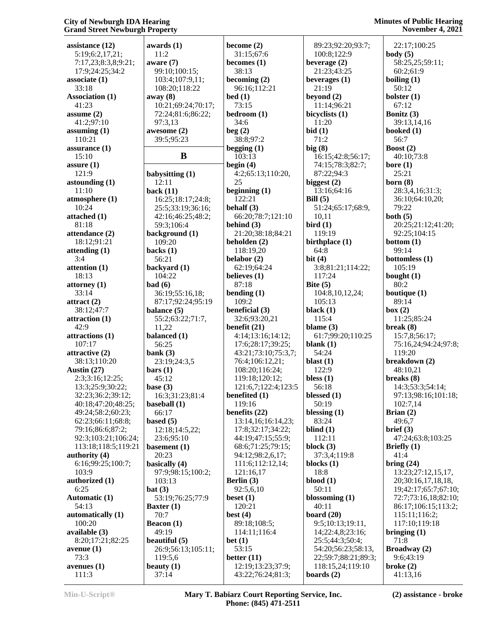| assistance (12)           | award         |
|---------------------------|---------------|
| 5:19;6:2,17,21;           | 11:2          |
| 7:17,23;8:3,8;9:21;       | aware         |
|                           | 99:1          |
| 17:9;24:25;34:2           |               |
| associate (1)             | 103:          |
| 33:18                     | 108:          |
| <b>Association (1)</b>    | away (        |
| 41:23                     | 10:2          |
| assume $(2)$              | 72:2          |
| 41:2;97:10                | 97:3          |
| assuming $(1)$            | awesol        |
| 110:21                    | 39:5          |
| assurance $(1)$           |               |
| 15:10                     |               |
| assure $(1)$              |               |
| 121:9                     | babysi        |
| astounding $(1)$          | 12:1          |
| 11:10                     | back (        |
| atmosphere (1)            | 16:2          |
| 10:24                     | 25:5          |
| attached (1)              | 42:1          |
|                           |               |
| 81:18                     | 59:3          |
| attendance (2)            | backg         |
| 18:12;91:21               | 109:          |
| attending (1)             | <b>backs</b>  |
| 3:4                       | 56:2          |
| attention (1)             | <b>backy</b>  |
| 18:13                     | 104:          |
| attorney (1)              | bad (6        |
| 33:14                     | 36:1          |
| attract (2)               | 87:1          |
| 38:12;47:7                | baland        |
| attraction (1)            | 55:2          |
| 42:9                      |               |
|                           | 11,2          |
|                           | balanc        |
| attractions (1)<br>107:17 | 56:2          |
| attractive (2)            |               |
|                           | bank (        |
| 38:13;110:20              | 23:1          |
| Austin (27)               | bars (1       |
| 2:3;3:16;12:25;           | 45:1          |
| 13:3;25:9;30:22;          | base (3       |
| 32:23;36:2;39:12;         | 16:3          |
| 40:18;47:20;48:25;        | baseba        |
| 49:24;58:2;60:23;         | 66:1          |
| 62:23;66:11;68:8;         | based         |
| 79:16;86:6;87:2;          | 12:1          |
| 92:3;103:21;106:24;       | 23:6          |
| 113:18;118:5;119:21       | basem         |
| authority (4)             | 20:2          |
| 6:16;99:25;100:7;         | basica        |
| 103:9                     | 97:9          |
| authorized (1)            | 103:          |
| 6:25                      | bat(3)        |
| <b>Automatic (1)</b>      | 53:1          |
| 54:13                     | <b>Baxter</b> |
| automatically (1)         | 70:7          |
| 100:20                    | <b>Beaco</b>  |
| available (3)             | 49:1          |
| 8:20;17:21;82:25          | beauti        |
| avenue (1)                | 26:9          |
| 73:3                      | 119:          |
| avenues (1)               | beauty        |

| awards (1)         | become $(2)$        | 89           |
|--------------------|---------------------|--------------|
| 11:2               | 31:15;67:6          | 10           |
| aware (7)          | becomes $(1)$       | beve         |
|                    |                     | 21           |
| 99:10;100:15;      | 38:13               |              |
| 103:4;107:9,11;    | becoming $(2)$      | beve         |
| 108:20;118:22      | 96:16;112:21        | 21           |
| away (8)           | bed(1)              | beyo         |
| 10:21;69:24;70:17; | 73:15               | 11           |
| 72:24;81:6;86:22;  | bedroom (1)         | bicy         |
| 97:3,13            | 34:6                | 11           |
| awesome (2)        | beg(2)              | bid (        |
| 39:5;95:23         | 38:8;97:2           | 71           |
|                    | begging $(1)$       | big (        |
| B                  | 103:13              | 16           |
|                    | begin $(4)$         | 74           |
| babysitting (1)    | 4:2;65:13;110:20,   | 87           |
| 12:11              | 25                  | <b>bigg</b>  |
| <b>back</b> (11)   | beginning $(1)$     | 13           |
| 16:25;18:17;24:8;  | 122:21              | <b>Bill</b>  |
| 25:5;33:19;36:16;  | behalf (3)          | 51           |
| 42:16;46:25;48:2;  | 66:20;78:7;121:10   | 10           |
| 59:3;106:4         | behind $(3)$        | bird         |
| background (1)     | 21:20;38:18;84:21   | 11           |
| 109:20             | beholden (2)        | birth        |
|                    | 118:19,20           | 64           |
| backs (1)<br>56:21 |                     |              |
|                    | belabor (2)         | bit(         |
| backyard (1)       | 62:19;64:24         | 3:           |
| 104:22             | believes (1)        | 11           |
| <b>bad</b> (6)     | 87:18               | <b>Bite</b>  |
| 36:19;55:16,18;    | bending $(1)$       | 10           |
| 87:17;92:24;95:19  | 109:2               | 10           |
| balance (5)        | beneficial (3)      | blac         |
| 55:2;63:22;71:7,   | 32:6;93:20,21       | 11           |
| 11,22              | benefit $(21)$      | blan         |
| balanced (1)       | 4:14;13:16;14:12;   | 61           |
| 56:25              | 17:6;28:17;39:25;   | blan         |
| bank (3)           | 43:21;73:10;75:3,7; | 54           |
| 23:19;24:3,5       | 76:4;106:12,21;     | blast        |
| bars(1)            | 108:20;116:24;      | 12           |
| 45:12              | 119:18;120:12;      | bless        |
| base (3)           | 121:6,7;122:4;123:5 | 56           |
| 16:3;31:23;81:4    | benefited (1)       | bless        |
| baseball (1)       | 119:16              | 50           |
| 66:17              | benefits $(22)$     | bless        |
| based (5)          | 13:14,16;16:14,23;  | 83           |
| 12:18;14:5,22;     | 17:8;32:17;34:22;   | blino        |
| 23:6;95:10         | 44:19;47:15;55:9;   | 11           |
| basement (1)       | 68:6;71:25;79:15;   | bloc         |
| 20:23              | 94:12;98:2,6,17;    | 37           |
| basically (4)      | 111:6;112:12,14;    | bloc         |
| 97:9;98:15;100:2;  | 121:16,17           | 18           |
| 103:13             | Berlin (3)          | bloo         |
| bat(3)             | 92:5,6,10           | 50           |
| 53:19;76:25;77:9   | beset $(1)$         | <b>bloss</b> |
| <b>Baxter</b> (1)  | 120:21              | 40           |
| 70:7               | best $(4)$          | boar         |
|                    |                     |              |
| Beacon (1)         | 89:18;108:5;        | 9:           |
| 49:19              | 114:11;116:4        | 14           |
| beautiful (5)      | bet $(1)$           | 25           |
| 26:9;56:13;105:11; | 53:15               | 54           |
| 119:5,6            | better (11)         | 22           |
| beauty (1)         | 12:19;13:23;37:9;   | 11           |
| 37:14              | 43:22;76:24;81:3;   | boar         |

|        | 89:23;92:20;93:7;   | 22:17;100:25        |
|--------|---------------------|---------------------|
|        | 100:8;122:9         | body $(5)$          |
|        | beverage $(2)$      | 58:25,25;59:1       |
|        |                     |                     |
|        | 21:23;43:25         | 60:2;61:9           |
|        | beverages $(1)$     | boiling $(1)$       |
|        | 21:19               | 50:12               |
|        | beyond $(2)$        | bolster (1)         |
|        | 11:14;96:21         | 67:12               |
|        | bicyclists (1)      | Bonitz (3)          |
|        | 11:20               | 39:13,14,16         |
|        | bid(1)              | booked (1)          |
|        | 71:2                | 56:7                |
|        | big(8)              | <b>Boost</b> $(2)$  |
|        | 16:15;42:8;56:17;   | 40:10;73:8          |
|        | 74:15;78:3;82:7;    | bore $(1)$          |
| 20,    | 87:22;94:3          | 25:21               |
|        | biggest $(2)$       | born $(8)$          |
|        | 13:16;64:16         | 28:3,4,16;31:       |
|        | Bill $(5)$          | 36:10;64:10,2       |
|        | 51:24;65:17;68:9,   | 79:22               |
| :10    | 10,11               | both $(5)$          |
|        | bird(1)             | 20:25;21:12;4       |
| :21    | 119:19              | 92:25;104:15        |
|        | birthplace (1)      | bottom $(1)$        |
|        | 64:8                | 99:14               |
|        | bit $(4)$           | bottomless (1)      |
|        |                     |                     |
|        | 3:8;81:21;114:22;   | 105:19              |
|        | 117:24              | bought $(1)$        |
|        | Bite $(5)$          | 80:2                |
|        | 104:8,10,12,24;     | boutique (1)        |
|        | 105:13              | 89:14               |
|        | black $(1)$         | box (2)             |
|        | 115:4               | 11:25;85:24         |
|        | blame $(3)$         | break(8)            |
| 12;    | 61:7;99:20;110:25   | 15:7,8;56:17;       |
| 25;    | blank $(1)$         | 75:16,24;94:2       |
| :3,7;  | 54:24               | 119:20              |
|        | blast $(1)$         | breakdown (2)       |
|        | 122:9               | 48:10,21            |
|        | bless $(1)$         | breaks (8)          |
| 123:5  | 56:18               | 14:3;53:3;54:       |
|        | blessed (1)         | 97:13;98:16;1       |
|        | 50:19               | 102:7,14            |
|        | blessing $(1)$      | Brian $(2)$         |
| $-23;$ | 83:24               | 49:6,7              |
| 22;    | blind $(1)$         | brief (3)           |
| :9;    | 112:11              | 47:24;63:8;10       |
| 15;    | block $(3)$         | Briefly $(1)$       |
| 7;     | 37:3,4;119:8        | 41:4                |
| 4;     | blocks $(1)$        | bring $(24)$        |
|        | 18:8                | 13:23;27:12,1       |
|        | $blood (1)$         | 20;30:16,17,1       |
|        | 50:11               | 19;42:17;65:7       |
|        | blossoming $(1)$    | 72:7;73:16,18       |
|        | 40:11               | 86:17;106:15        |
|        | board $(20)$        | 115:11;116:2        |
|        | 9:5;10:13;19:11,    | 117:10;119:1        |
|        | 14;22:4,8;23:16;    | bringing $(1)$      |
|        | 25:5;44:3;50:4;     | 71:8                |
|        |                     |                     |
|        | 54:20;56:23;58:13,  | <b>Broadway</b> (2) |
|        | 22;59:7;88:21;89:3; | 9:6;43:19           |
| :9;    | 118:15,24;119:10    | broke $(2)$         |
| :3;    | boards $(2)$        | 41:13,16            |

 22:17;100:25 **body (5)** 58:25,25;59:11; 60:2;61:9 **boiling (1)** 50:12 **bolster (1)** 67:12 **Bonitz (3)** 39:13,14,16 **booked (1)** 56:7 **Boost (2)** 40:10;73:8 **bore (1)** 25:21 **born (8)** 28:3,4,16;31:3; 36:10;64:10,20; 79:22 **both (5)** 20:25;21:12;41:20; 92:25;104:15 **bottom (1)** 99:14 **bottomless (1)** 105:19 **bought (1)** 80:2 **boutique (1)** 89:14 **box (2)** 11:25;85:24 **break (8)** 15:7,8;56:17; 75:16,24;94:24;97:8; 119:20 **breakdown (2)** 48:10,21 **breaks (8)** 14:3;53:3;54:14; 97:13;98:16;101:18; 102:7,14 **Brian (2)** 49:6,7 **brief (3)** 47:24;63:8;103:25 **Briefly (1)** 41:4 **bring (24)** 13:23;27:12,15,17, 20;30:16,17,18,18, 19;42:17;65:7;67:10; 72:7;73:16,18;82:10; 86:17;106:15;113:2; 115:11;116:2; 117:10;119:18 **bringing (1)** 71:8 **Broadway (2)** 9:6;43:19 41:13,16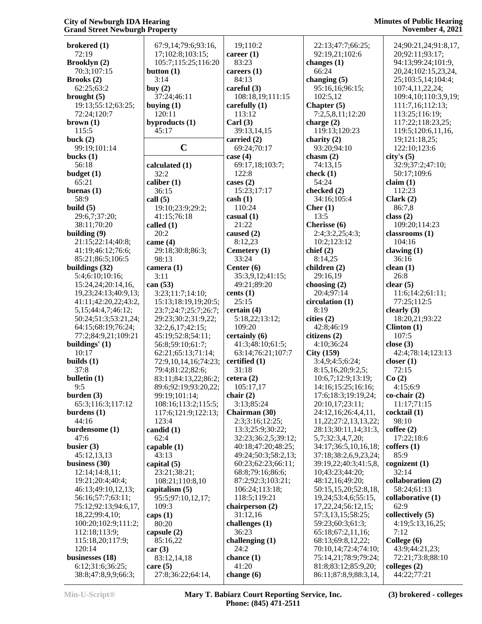| <b>Minutes of Public Hearing</b> |
|----------------------------------|
| <b>November 4, 2021</b>          |

| brokered (1)                | 67:9,14;79:6;93:16,                 | 19;110:2                            | 22:13;47:7;66:25;                            | 24;90:21,24;91:8,17,                           |
|-----------------------------|-------------------------------------|-------------------------------------|----------------------------------------------|------------------------------------------------|
| 72:19                       | 17;102:8;103:15;                    | career $(1)$                        | 92:19,21;102:6                               | 20;92:11;93:17;                                |
|                             |                                     | 83:23                               |                                              |                                                |
| Brooklyn (2)<br>70:3;107:15 | 105:7;115:25;116:20<br>button $(1)$ | careers $(1)$                       | changes $(1)$<br>66:24                       | 94:13;99:24;101:9,<br>20, 24; 102: 15, 23, 24, |
|                             | 3:14                                | 84:13                               | changing $(5)$                               | 25;103:5,14;104:4;                             |
| Brooks(2)<br>62:25:63:2     | buy $(2)$                           | careful (3)                         | 95:16,16;96:15;                              | 107:4,11,22,24;                                |
| brought $(5)$               | 37:24;46:11                         | 108:18,19;111:15                    | 102:5,12                                     | 109:4, 10; 110:3, 9, 19;                       |
| 19:13;55:12;63:25;          | buying $(1)$                        | carefully $(1)$                     | Chapter (5)                                  | 111:7,16;112:13;                               |
| 72:24;120:7                 | 120:11                              | 113:12                              | 7:2,5,8,11;12:20                             | 113:25;116:19;                                 |
| brown (1)                   | byproducts (1)                      | Carl $(3)$                          | charge $(2)$                                 | 117:22;118:23,25;                              |
| 115:5                       | 45:17                               | 39:13,14,15                         | 119:13;120:23                                | 119:5;120:6,11,16,                             |
| buck $(2)$                  |                                     | carried (2)                         | charity $(2)$                                | 19;121:18,25;                                  |
| 99:19;101:14                | $\mathbf C$                         | 69:24;70:17                         | 93:20;94:10                                  | 122:10;123:6                                   |
| bucks $(1)$                 |                                     | case $(4)$                          | chasm $(2)$                                  | city's(5)                                      |
| 56:18                       | calculated (1)                      | 69:17,18;103:7;                     | 74:13,15                                     | 32:9;37:2;47:10;                               |
| budget(1)                   | 32:2                                | 122:8                               | check $(1)$                                  | 50:17;109:6                                    |
| 65:21                       | caliber $(1)$                       | cases $(2)$                         | 54:24                                        | claim(1)                                       |
| buenas $(1)$                | 36:15                               | 15:23;17:17                         | checked (2)                                  | 112:23                                         |
| 58:9                        | call $(5)$                          | $\cosh(1)$                          | 34:16;105:4                                  | Clark(2)                                       |
| build $(5)$                 | 19:10;23:9;29:2;                    | 110:24                              | Cher $(1)$                                   | 86:7,8                                         |
| 29:6,7;37:20;               | 41:15;76:18                         | casual(1)                           | 13:5                                         | class $(2)$                                    |
| 38:11;70:20                 | called (1)                          | 21:22                               | Cherisse (6)                                 | 109:20;114:23                                  |
| building $(9)$              | 20:2                                | caused $(2)$                        | 2:4;3:2,25;4:3;                              | classrooms (1)                                 |
| 21:15;22:14;40:8;           | came $(4)$                          | 8:12,23                             | 10:2;123:12                                  | 104:16                                         |
| 41:19;46:12;76:6;           | 29:18;30:8;86:3;                    | Cemetery (1)                        | chief(2)                                     | clawing $(1)$                                  |
| 85:21;86:5;106:5            | 98:13                               | 33:24                               | 8:14,25                                      | 36:16                                          |
| buildings (32)              | camera (1)                          | Center $(6)$                        | children (2)                                 | clean(1)                                       |
| 5:4;6:10;10:16;             | 3:11                                | 35:3,9,12;41:15;                    | 29:16,19                                     | 26:8                                           |
| 15:24,24;20:14,16,          | can $(53)$                          | 49:21;89:20                         | choosing $(2)$                               | clear(5)                                       |
| 19,23;24:13;40:9,13;        | 3:23;11:7;14:10;                    | cents $(1)$                         | 20:4;97:14                                   | 11:6; 14:2; 61:11;                             |
| 41:11;42:20,22;43:2,        | 15:13;18:19,19;20:5;                | 25:15                               | circulation (1)                              | 77:25;112:5                                    |
| 5, 15; 44: 4, 7; 46: 12;    | 23:7;24:7;25:7;26:7;                | certain(4)                          | 8:19                                         | clearly $(3)$                                  |
| 50:24;51:3;53:21,24;        | 29:23;30:2;31:9,22;                 | 5:18,22;13:12;                      | cities (2)                                   | 18:20,21;93:22                                 |
| 64:15;68:19;76:24;          | 32:2,6,17;42:15;                    | 109:20                              | 42:8;46:19                                   | Clinton $(1)$                                  |
| 77:2;84:9,21;109:21         | 45:19;52:8;54:11;                   | certainly (6)                       | citizens (2)                                 | 107:5                                          |
| buildings' (1)              | 56:8;59:10;61:7;                    | 41:3;48:10;61:5;                    | 4:10;36:24                                   | close $(3)$                                    |
| 10:17                       | 62:21;65:13;71:14;                  | 63:14;76:21;107:7                   | City(159)                                    | 42:4;78:14;123:13                              |
| builds $(1)$                | 72:9,10,14,16;74:23;                | certified (1)                       | 3:4,9;4:5;6:24;                              | closer $(1)$                                   |
| 37:8                        | 79:4;81:22;82:6;                    | 31:18                               | 8:15,16,20;9:2,5;                            | 72:15                                          |
| bulletin (1)                | 83:11;84:13,22;86:2;                | cetera(2)                           | 10:6,7;12:9;13:19;                           | Co(2)                                          |
| 9:5                         | 89:6;92:19;93:20,22;                | 105:17,17                           | 14:16;15:25;16:16;                           | 4:15;6:9                                       |
| burden $(3)$                | 99:19;101:14;                       | chair $(2)$                         | 17:6;18:3;19:19,24;                          | $co$ -chair $(2)$                              |
| 65:3;116:3;117:12           | 108:16;113:2;115:5;                 | 3:13;85:24                          | 20:10,17;23:11;                              | 11:17;71:15                                    |
| burdens $(1)$               | 117:6;121:9;122:13;                 | Chairman (30)                       | 24:12,16;26:4,4,11,                          | cocktail (1)                                   |
| 44:16<br>burdensome (1)     | 123:4<br>candid $(1)$               | 2:3;3:16;12:25;<br>13:3;25:9;30:22; | 11,22;27:2,13,13,22;<br>28:13;30:11,14;31:3, | 98:10<br>cofree(2)                             |
| 47:6                        | 62:4                                | 32:23;36:2,5;39:12;                 | 5,7;32:3,4,7,20;                             | 17:22;18:6                                     |
| busier $(3)$                | capable $(1)$                       | 40:18;47:20;48:25;                  | 34:17;36:5,10,16,18;                         | coffers(1)                                     |
| 45:12,13,13                 | 43:13                               | 49:24;50:3;58:2,13;                 | 37:18;38:2,6,9,23,24;                        | 85:9                                           |
| business $(30)$             | capital (5)                         | 60:23;62:23;66:11;                  | 39:19,22;40:3;41:5,8,                        | cognizent $(1)$                                |
| 12:14;14:8,11;              | 23:21;38:21;                        | 68:8;79:16;86:6;                    | 10;43:23;44:20;                              | 32:14                                          |
| 19:21;20:4;40:4;            | 108:21;110:8,10                     | 87:2;92:3;103:21;                   | 48:12,16;49:20;                              | collaboration (2)                              |
| 46:13;49:10,12,13;          | capitalism (5)                      | 106:24;113:18;                      | 50:15,15,20;52:8,18,                         | 58:24;61:13                                    |
| 56:16;57:7;63:11;           | 95:5;97:10,12,17;                   | 118:5;119:21                        | 19,24;53:4,6;55:15,                          | collaborative (1)                              |
| 75:12;92:13;94:6,17,        | 109:3                               | chairperson (2)                     | 17, 22, 24; 56: 12, 15;                      | 62:9                                           |
| 18,22;99:4,10;              | caps $(1)$                          | 31:12,16                            | 57:3,13,15;58:25;                            | collectively (5)                               |
| 100:20;102:9;111:2;         | 80:20                               | challenges (1)                      | 59:23;60:3;61:3;                             | 4:19;5:13,16,25;                               |
| 112:18;113:9;               | capsule $(2)$                       | 36:23                               | 65:18;67:2,11,16;                            | 7:12                                           |
| 115:18,20;117:9;            | 85:16,22                            | challenging $(1)$                   | 68:13;69:8,12,22;                            | College (6)                                    |
| 120:14                      | car(3)                              | 24:2                                | 70:10,14;72:4;74:10;                         | 43:9;44:21,23;                                 |
| businesses (18)             | 83:12,14,18                         | chance $(1)$                        | 75:14,21;78:9;79:24;                         | 72:21;73:8;88:10                               |
| 6:12;31:6;36:25;            | care $(5)$                          | 41:20                               | 81:8;83:12;85:9,20;                          | colleges (2)                                   |
| 38:8;47:8,9,9;66:3;         | 27:8;36:22;64:14,                   | change (6)                          | 86:11;87:8,9;88:3,14,                        | 44:22;77:21                                    |
|                             |                                     |                                     |                                              |                                                |

**Min-U-Script® Mary T. Babiarz Court Reporting Service, Inc. Phone: (845) 471-2511**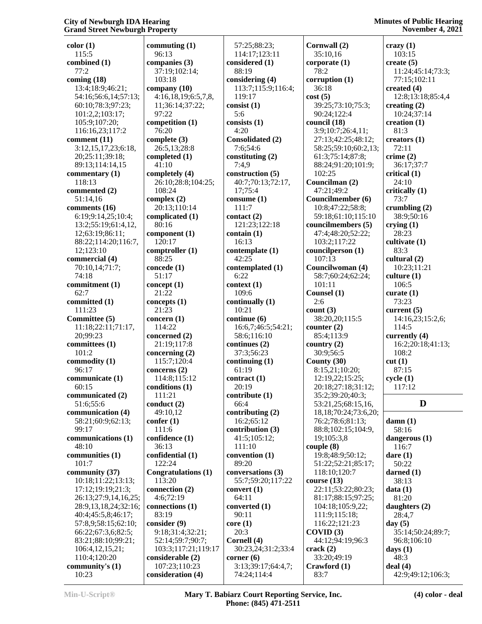**color (1)** 115:5 **combined (1)** 77:2 **coming (18)** 13:4;18:9;46:21; 54:16;56:6,14;57:13; 60:10;78:3;97:23; 101:2,2;103:17; 105:9;107:20; 116:16,23;117:2 **comment (11)** 3:12,15,17,23;6:18, 20;25:11;39:18; 89:13;114:14,15 **commentary (1)** 118:13 **commented (2)** 51:14,16 **comments (16)** 6:19;9:14,25;10:4; 13:2;55:19;61:4,12, 12;63:19;86:11; 88:22;114:20;116:7, 12;123:10 **commercial (4)** 70:10,14;71:7; 74:18 **commitment (1)** 62:7 **committed (1)** 111:23 **Committee (5)** 11:18;22:11;71:17, 20;99:23 **committees (1)** 101:2 **commodity (1)** 96:17 **communicate (1)** 60:15 **communicated (2)** 51:6;55:6 **communication (4)** 58:21;60:9;62:13; 99:17 **communications (1)** 48:10 **communities (1)** 101:7 **community (37)** 10:18;11:22;13:13; 17:12;19:19;21:3; 26:13;27:9,14,16,25; 28:9,13,18,24;32:16; 40:4;45:5,8;46:17; 57:8,9;58:15;62:10; 66:22;67:3,6;82:5; 83:21;88:10;99:21; 106:4,12,15,21; 110:4;120:20 **community's (1)** 10:23

**commuting (1)** 96:13 **companies (3)** 37:19;102:14; 103:18 **company (10)** 4:16,18,19;6:5,7,8, 11;36:14;37:22; 97:22 **competition (1)** 76:20 **complete (3)** 26:5,13;28:8 **completed (1)** 41:10 **completely (4)** 26:10;28:8;104:25; 108:24 **complex (2)** 20:13;110:14 **complicated (1)** 80:16 **component (1)** 120:17 **comptroller (1)** 88:25 **concede (1)** 51:17 **concept (1)** 21:22 **concepts (1)** 21:23 **concern (1)** 114:22 **concerned (2)** 21:19;117:8 **concerning (2)** 115:7;120:4 **concerns (2)** 114:8;115:12 **conditions (1)** 111:21 **conduct (2)** 49:10,12 **confer (1)** 111:6 **confidence (1)** 36:13 **confidential (1)** 122:24 **Congratulations (1)** 113:20 **connection (2)** 4:6;72:19 **connections (1)** 83:19 **consider (9)** 9:18;31:4;32:21; 52:14;59:7;90:7; 103:3;117:21;119:17 **considerable (2)** 107:23;110:23 **consideration (4)**

 57:25;88:23; 114:17;123:11 **considered (1)** 88:19 **considering (4)** 113:7;115:9;116:4; 119:17 **consist (1)** 5:6 **consists (1)** 4:20 **Consolidated (2)** 7:6;54:6 **constituting (2)** 7:4,9 **construction (5)** 40:7;70:13;72:17, 17;75:4 **consume (1)** 111:7 **contact (2)** 121:23;122:18 **contain (1)** 16:13 **contemplate (1)** 42:25 **contemplated (1)** 6:22 **context (1)** 109:6 **continually (1)** 10:21 **continue (6)** 16:6,7;46:5;54:21; 58:6;116:10 **continues (2)** 37:3;56:23 **continuing (1)** 61:19 **contract (1)** 20:19 **contribute (1)** 66:4 **contributing (2)** 16:2;65:12 **contribution (3)** 41:5;105:12; 111:10 **convention (1)** 89:20 **conversations (3)** 55:7;59:20;117:22 **convert (1)** 64:11 **converted (1)** 90:11 **core (1)** 20:3 **Cornell (4)** 30:23,24;31:2;33:4 **corner (6)** 3:13;39:17;64:4,7; 74:24;114:4

**Cornwall (2)** 35:10,16 **corporate (1)** 78:2 **corruption (1)** 36:18 **cost (5)** 39:25;73:10;75:3; 90:24;122:4 **council (18)** 3:9;10:7;26:4,11; 27:13;42:25;48:12; 58:25;59:10;60:2,13; 61:3;75:14;87:8; 88:24;91:20;101:9; 102:25 **Councilman (2)** 47:21;49:2 **Councilmember (6)** 10:8;47:22;58:8; 59:18;61:10;115:10 **councilmembers (5)** 47:4;48:20;52:22; 103:2;117:22 **councilperson (1)** 107:13 **Councilwoman (4)** 58:7;60:24;62:24; 101:11 **Counsel (1)** 2:6 **count (3)** 38:20,20;115:5 **counter (2)** 85:4;113:9 **country (2)** 30:9;56:5 **County (30)** 8:15,21;10:20; 12:19,22;15:25; 20:18;27:18;31:12; 35:2;39:20;40:3; 53:21,25;68:15,16, 18,18;70:24;73:6,20; 76:2;78:6;81:13; 88:8;102:15;104:9, 19;105:3,8 **couple (8)** 19:8;48:9;50:12; 51:22;52:21;85:17; 118:10;120:7 **course (13)** 22:11;53:22;80:23; 81:17;88:15;97:25; 104:18;105:9,22; 111:9;115:18; 116:22;121:23 **COVID (3)** 44:12;94:19;96:3 **crack (2)** 33:20;49:19 **Crawford (1)** 83:7

## **Minutes of Public Hearing November 4, 2021**

**crazy (1)** 103:15 **create (5)** 11:24;45:14;73:3; 77:15;102:11 **created (4)** 12:8;13:18;85:4,4 **creating (2)** 10:24;37:14 **creation (1)** 81:3 **creators (1)** 72:11 **crime (2)** 36:17;37:7 **critical (1)** 24:10 **critically (1)** 73:7 **crumbling (2)** 38:9;50:16 **crying (1)** 28:23 **cultivate (1)** 83:3 **cultural (2)** 10:23;11:21 **culture (1)** 106:5 **curate (1)** 73:23 **current (5)** 14:16,23;15:2,6; 114:5 **currently (4)** 16:2;20:18;41:13; 108:2 **cut (1)** 87:15 **cycle (1)** 117:12 **D damn (1)** 58:16 **dangerous (1)** 116:7 **dare (1)** 50:22 **darned (1)** 38:13 **data (1)** 81:20 **daughters (2)** 28:4,7 **day (5)** 35:14;50:24;89:7; 96:8;106:10 **days (1)** 48:3 **deal (4)** 42:9;49:12;106:3;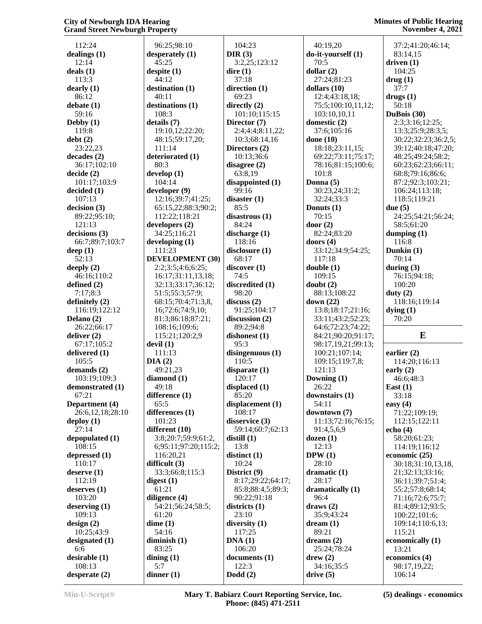112:24 **dealings (1)** 12:14 **deals (1)** 113:3 **dearly (1)** 86:12 **debate (1)** 59:16 **Debby (1)** 119:8 **debt (2)** 23:22,23 **decades (2)** 36:17;102:10 **decide (2)** 101:17;103:9 **decided (1)** 107:13 **decision (3)** 89:22;95:10; 121:13 **decisions (3)** 66:7;89:7;103:7 **deep (1)** 52:13 **deeply (2)** 46:16;110:2 **defined (2)** 7:17;8:3 **definitely (2)** 116:19;122:12 **Delano (2)** 26:22;66:17 **deliver (2)** 67:17;105:2 **delivered (1)** 105:5 **demands (2)** 103:19;109:3 **demonstrated (1)** 67:21 **Department (4)** 26:6,12,18;28:10 **deploy (1)** 27:14 **depopulated (1)** 108:15 **depressed (1)** 110:17 **deserve (1)** 112:19 **deserves (1)** 103:20 **deserving (1)** 109:13 **design (2)** 10:25;43:9 **designated (1)** 6:6 **desirable (1)** 108:13 **desperate (2)**

 96:25;98:10 **desperately (1)** 45:25 **despite (1)** 44:12 **destination (1)** 40:11 **destinations (1)** 108:3 **details (7)** 19:10,12;22:20; 48:15;59:17,20; 111:14 **deteriorated (1)** 80:3 **develop (1)** 104:14 **developer (9)** 12:16;39:7;41:25; 65:15,22;88:3;90:2; 112:22;118:21 **developers (2)** 34:25;116:21 **developing (1)** 111:23 **DEVELOPMENT (30)** 2:2;3:5;4:6;6:25; 16:17;31:11,13,18; 32:13;33:17;36:12; 51:5;55:3;57:9; 68:15;70:4;71:3,8, 16;72:6;74:9,10; 81:3;86:18;87:21; 108:16;109:6; 115:21;120:2,9 **devil (1)** 111:13 **DIA (2)** 49:21,23 **diamond (1)** 49:18 **difference (1)** 65:5 **differences (1)** 101:23 **different (10)** 3:8;20:7;59:9;61:2, 6;95:11;97:20;115:2; 116:20,21 **difficult (3)** 33:3;66:8;115:3 **digest (1)** 61:21 **diligence (4)** 54:21;56:24;58:5; 61:20 **dime (1)** 54:16 **diminish (1)** 83:25 **dining (1)** 5:7 **dinner (1)**

 104:23 **DIR (3)** 3:2,25;123:12 **dire (1)** 37:18 **direction (1)** 69:23 **directly (2)** 101:10;115:15 **Director (7)** 2:4;4:4;8:11,22; 10:3;68:14,16 **Directors (2)** 10:13;36:6 **disagree (2)** 63:8,19 **disappointed (1)** 99:16 **disaster (1)** 85:5 **disastrous (1)** 84:24 **discharge (1)** 118:16 **disclosure (1)** 68:17 **discover (1)** 74:5 **discredited (1)** 98:20 **discuss (2)** 91:25;104:17 **discussion (2)** 89:2;94:8 **dishonest (1)** 95:3 **disingenuous (1)** 110:5 **disparate (1)** 120:17 **displaced (1)** 85:20 **displacement (1)** 108:17 **disservice (3)** 59:14;60:7;62:13 **distill (1)** 13:8 **distinct (1)** 10:24 **District (9)** 8:17;29:22;64:17; 85:8;88:4,5;89:3; 90:22;91:18 **districts (1)** 23:10 **diversity (1)** 117:25 **DNA (1)** 106:20 **documents (1)** 122:3 **Dodd (2)**

 40:19,20 **do-it-yourself (1)** 70:5 **dollar (2)** 27:24;81:23 **dollars (10)** 12:4;43:18,18; 75:5;100:10,11,12; 103:10,10,11 **domestic (2)** 37:6;105:16 **done (10)** 18:18;23:11,15; 69:22;73:11;75:17; 78:16;81:15;100:6; 101:8 **Donna (5)** 30:23,24;31:2; 32:24;33:3 **Donuts (1)** 70:15 **door (2)** 82:24;83:20 **doors (4)** 33:12;34:9;54:25; 117:18 **double (1)** 109:15 **doubt (2)** 88:13;108:22 **down (22)** 13:8;18:17;21:16; 33:11;43:2;52:23; 64:6;72:23;74:22; 84:21;90:20;91:17; 98:17,19,21;99:13; 100:21;107:14; 109:15;119:7,8; 121:13 **Downing (1)** 26:22 **downstairs (1)** 54:11 **downtown (7)** 11:13;72:16;76:15; 91:4,5,6,9 **dozen (1)** 12:13 **DPW (1)** 28:10 **dramatic (1)** 28:17 **dramatically (1)** 96:4 **draws (2)** 35:9;43:24 **dream (1)** 89:21 **dreams (2)** 25:24;78:24 **drew (2)** 34:16;35:5 **drive (5)**

 37:2;41:20;46:14; 83:14,15 **driven (1)** 104:25 **drug (1)** 37:7 **drugs (1)** 50:18 **DuBois (30)** 2:3;3:16;12:25; 13:3;25:9;28:3,5; 30:22;32:23;36:2,5; 39:12;40:18;47:20; 48:25;49:24;58:2; 60:23;62:23;66:11; 68:8;79:16;86:6; 87:2;92:3;103:21; 106:24;113:18; 118:5;119:21 **due (5)** 24:25;54:21;56:24; 58:5;61:20 **dumping (1)** 116:8 **Dunkin (1)** 70:14 **during (3)** 76:15;94:18; 100:20 **duty (2)** 118:16;119:14 **dying (1)** 70:20 **E earlier (2)** 114:20;116:13 **early (2)** 46:6;48:3 **East (1)** 33:18 **easy (4)** 71:22;109:19; 112:15;122:11 **echo (4)** 58:20;61:23;

 114:19;116:12 **economic (25)** 30:18;31:10,13,18, 21;32:13;33:16; 36:11;39:7;51:4; 55:2;57:8;68:14; 71:16;72:6;75:7; 81:4;89:12;93:5; 100:22;101:6; 109:14;110:6,13; 115:21 **economically (1)** 13:21 **economics (4)** 98:17,19,22;

**Min-U-Script® Mary T. Babiarz Court Reporting Service, Inc. Phone: (845) 471-2511**

106:14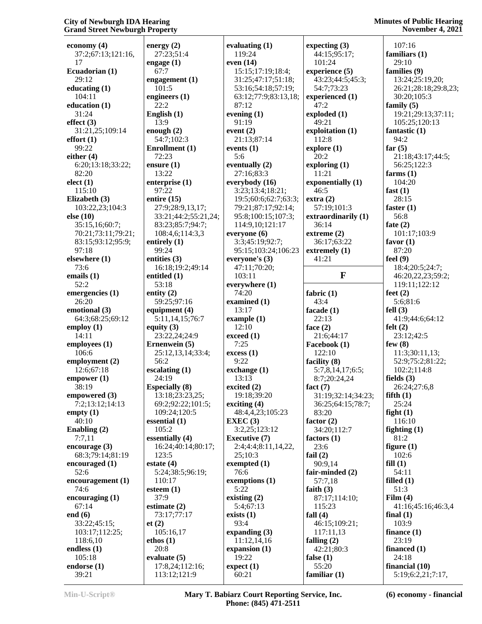**economy (4)** 37:2;67:13;121:16, 17 **Ecuadorian (1)** 29:12 **educating (1)** 104:11 **education (1)** 31:24 **effect (3)** 31:21,25;109:14 **effort (1)** 99:22 **either (4)** 6:20;13:18;33:22; 82:20 **elect (1)** 115:10 **Elizabeth (3)** 103:22,23;104:3 **else (10)** 35:15,16;60:7; 70:21;73:11;79:21; 83:15;93:12;95:9; 97:18 **elsewhere (1)** 73:6 **emails (1)** 52:2 **emergencies (1)** 26:20 **emotional (3)** 64:3;68:25;69:12 **employ (1)** 14:11 **employees (1)** 106:6 **employment (2)** 12:6;67:18 **empower (1)** 38:19 **empowered (3)** 7:2;13:12;14:13 **empty (1)** 40:10 **Enabling (2)** 7:7,11 **encourage (3)** 68:3;79:14;81:19 **encouraged (1)** 52:6 **encouragement (1)** 74:6 **encouraging (1)** 67:14 **end (6)** 33:22;45:15; 103:17;112:25; 118:6,10 **endless (1)** 105:18 **endorse (1)** 39:21

**energy (2)** 27:23;51:4 **engage (1)** 67:7 **engagement (1)** 101:5 **engineers (1)** 22:2 **English (1)** 13:9 **enough (2)** 54:7;102:3 **Enrollment (1)** 72:23 **ensure (1)** 13:22 **enterprise (1)** 97:22 **entire (15)** 27:9;28:9,13,17; 33:21;44:2;55:21,24; 83:23;85:7;94:7; 108:4,6;114:3,3 **entirely (1)** 99:24 **entities (3)** 16:18;19:2;49:14 **entitled (1)** 53:18 **entity (2)** 59:25;97:16 **equipment (4)** 5:11,14,15;76:7 **equity (3)** 23:22,24;24:9 **Ernenwein (5)** 25:12,13,14;33:4; 56:2 **escalating (1)** 24:19 **Especially (8)** 13:18;23:23,25; 69:2;92:22;101:5; 109:24;120:5 **essential (1)** 105:2 **essentially (4)** 16:24;40:14;80:17; 123:5 **estate (4)** 5:24;38:5;96:19; 110:17 **esteem (1)** 37:9 **estimate (2)** 73:17;77:17 **et (2)** 105:16,17 **ethos (1)** 20:8 **evaluate (5)** 17:8,24;112:16;

113:12;121:9

**evaluating (1)** 119:24 **even (14)** 15:15;17:19;18:4; 31:25;47:17;51:18; 53:16;54:18;57:19; 63:12;77:9;83:13,18; 87:12 **evening (1)** 91:19 **event (2)** 21:13;87:14 **events (1)** 5:6 **eventually (2)** 27:16;83:3 **everybody (16)** 3:23;13:4;18:21; 19:5;60:6;62:7;63:3; 79:21;87:17;92:14; 95:8;100:15;107:3; 114:9,10;121:17 **everyone (6)** 3:3;45:19;92:7; 95:15;103:24;106:23 **everyone's (3)** 47:11;70:20; 103:11 **everywhere (1)** 74:20 **examined (1)** 13:17 **example (1)** 12:10 **exceed (1)** 7:25 **excess (1)** 9:22 **exchange (1)** 13:13 **excited (2)** 19:18;39:20 **exciting (4)** 48:4,4,23;105:23 **EXEC (3)** 3:2,25;123:12 **Executive (7)** 2:4;4:4;8:11,14,22, 25;10:3 **exempted (1)** 76:6 **exemptions (1)** 5:22 **existing (2)** 5:4;67:13 **exists (1)** 93:4 **expanding (3)** 11:12,14,16 **expansion (1)** 19:22 **expect (1)** 60:21

**expecting (3)** 44:15;95:17; 101:24 **experience (5)** 43:23;44:5;45:3; 54:7;73:23 **experienced (1)** 47:2 **exploded (1)** 49:21 **exploitation (1)** 112:8 **explore (1)** 20:2 **exploring (1)** 11:21 **exponentially (1)** 46:5 **extra (2)** 57:19;101:3 **extraordinarily (1)** 36:14 **extreme (2)** 36:17;63:22 **extremely (1)** 41:21 **F fabric (1)** 43:4 **facade (1)** 22:13 **face (2)** 21:6;44:17 **Facebook (1)** 122:10 **facility (8)** 5:7,8,14,17;6:5; 8:7;20:24,24 **fact (7)** 31:19;32:14;34:23; 36:25;64:15;78:7; 83:20 **factor (2)** 34:20;112:7 **factors (1)** 23:6 **fail (2)** 90:9,14 **fair-minded (2)** 57:7,18 **faith (3)** 87:17;114:10; 115:23 **fall (4)** 46:15;109:21; 117:11,13 **falling (2)** 42:21;80:3 **false (1)** 55:20 **familiar (1)**

 107:16 **familiars (1)** 29:10 **families (9)** 13:24;25:19,20; 26:21;28:18;29:8,23; 30:20;105:3 **family (5)** 19:21;29:13;37:11; 105:25;120:13 **fantastic (1)** 94:2 **far (5)** 21:18;43:17;44:5; 56:25;122:3 **farms (1)** 104:20 **fast (1)** 28:15 **faster (1)** 56:8 **fate (2)** 101:17;103:9 **favor (1)** 87:20 **feel (9)** 18:4;20:5;24:7; 46:20,22,23;59:2; 119:11;122:12 **feet (2)** 5:6;81:6 **fell (3)** 41:9;44:6;64:12 **felt (2)** 23:12;42:5 **few (8)** 11:3;30:11,13; 52:9;75:2;81:22; 102:2;114:8 **fields (3)** 26:24;27:6,8 **fifth (1)** 25:24 **fight (1)** 116:10 **fighting (1)** 81:2 **figure (1)** 102:6 **fill (1)** 54:11 **filled (1)** 51:3 **Film (4)** 41:16;45:16;46:3,4 **final (1)** 103:9 **finance (1)** 23:19 **financed (1)** 24:18 **financial (10)** 5:19;6:2,21;7:17,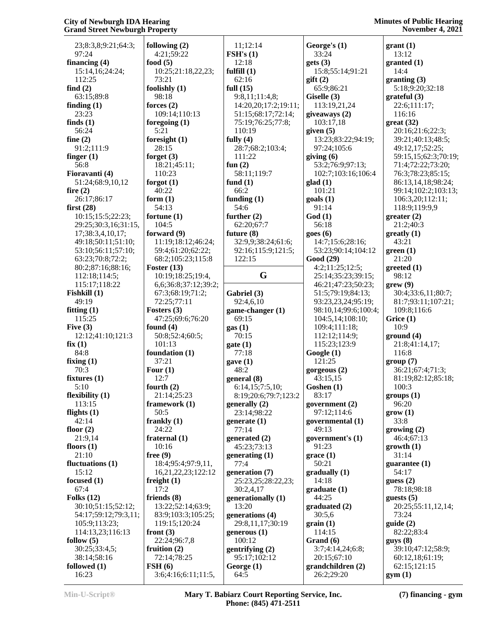| 23;8:3,8;9:21;64:3;                    | following $(2)$              | 11;12:14                    | George's (1)                      | grant(1)                              |
|----------------------------------------|------------------------------|-----------------------------|-----------------------------------|---------------------------------------|
| 97:24                                  | 4:21;59:22                   | $\bf FSH's$ (1)             | 33:24                             | 13:12                                 |
| financing $(4)$                        | food $(5)$                   | 12:18                       | gets(3)                           | granted (1)                           |
| 15:14,16;24:24;                        | 10:25;21:18,22,23;           | fulfill $(1)$               | 15:8;55:14;91:21                  | 14:4                                  |
| 112:25                                 | 73:21                        | 62:16                       | $g$ ift $(2)$                     | granting(3)                           |
| find $(2)$                             | foolishly $(1)$              | full $(15)$                 | 65:9;86:21                        | 5:18;9:20;32:18                       |
| 63:15;89:8                             | 98:18                        | 9:8,11;11:4,8;              | Giselle (3)                       | grateful(3)                           |
| finding $(1)$                          | forces $(2)$                 | 14:20,20;17:2;19:11;        | 113:19,21,24                      | 22:6;111:17;                          |
| 23:23                                  | 109:14;110:13                | 51:15;68:17;72:14;          | giveaways (2)                     | 116:16                                |
| finds $(1)$<br>56:24                   | foregoing $(1)$<br>5:21      | 75:19;76:25;77:8;<br>110:19 | 103:17,18                         | $gr(32)$                              |
| fine $(2)$                             | foresight $(1)$              | fully $(4)$                 | given $(5)$<br>13:23;83:22;94:19; | 20:16;21:6;22:3;<br>39:21;40:13;48:5; |
| 91:2;111:9                             | 28:15                        | 28:7;68:2;103:4;            | 97:24;105:6                       | 49:12,17;52:25;                       |
| finger $(1)$                           | forget $(3)$                 | 111:22                      | giving $(6)$                      | 59:15,15;62:3;70:19;                  |
| 56:8                                   | 18:21;45:11;                 | fun $(2)$                   | 53:2;76:9;97:13;                  | 71:4;72:22;73:20;                     |
| Fioravanti (4)                         | 110:23                       | 58:11;119:7                 | 102:7;103:16;106:4                | 76:3;78:23;85:15;                     |
| 51:24;68:9,10,12                       | forgot $(1)$                 | fund $(1)$                  | $\text{glad}(1)$                  | 86:13,14,18;98:24;                    |
| fire $(2)$                             | 40:22                        | 66:2                        | 101:21                            | 99:14;102:2;103:13;                   |
| 26:17;86:17                            | form $(1)$                   | funding $(1)$               | $\text{goals}$ (1)                | 106:3,20;112:11;                      |
| first $(28)$                           | 54:13                        | 54:6                        | 91:14                             | 118:9;119:9,9                         |
| 10:15;15:5;22:23;                      | fortune $(1)$                | further $(2)$               | God(1)                            | greater (2)                           |
| 29:25;30:3,16;31:15,                   | 104:5<br>forward (9)         | 62:20;67:7<br>future $(8)$  | 56:18<br>goes(6)                  | 21:2;40:3<br>$greatly (1)$            |
| 17;38:3,4,10,17;<br>49:18;50:11;51:10; | 11:19;18:12;46:24;           | 32:9,9;38:24;61:6;          | 14:7;15:6;28:16;                  | 43:21                                 |
| 53:10;56:11;57:10;                     | 59:4;61:20;62:22;            | 92:16;115:9;121:5;          | 53:23;90:14;104:12                | green(1)                              |
| 63:23;70:8;72:2;                       | 68:2;105:23;115:8            | 122:15                      | Good (29)                         | 21:20                                 |
| 80:2;87:16;88:16;                      | Foster $(13)$                |                             | 4:2;11:25;12:5;                   | greeted(1)                            |
| 112:18;114:5;                          | 10:19;18:25;19:4,            | G                           | 25:14;35:23;39:15;                | 98:12                                 |
| 115:17;118:22                          | 6,6;36:8;37:12;39:2;         |                             | 46:21;47:23;50:23;                | green(9)                              |
| Fishkill $(1)$                         | 67:3;68:19;71:2;             | Gabriel (3)                 | 51:5;79:19;84:13;                 | 30:4;33:6,11;80:7;                    |
| 49:19                                  | 72:25;77:11                  | 92:4,6,10                   | 93:23,23,24;95:19;                | 81:7;93:11;107:21;                    |
| fitting $(1)$                          | Fosters (3)                  | game-changer (1)            | 98:10,14;99:6;100:4;              | 109:8;116:6                           |
| 115:25                                 | 47:25;69:6;76:20             | 69:15                       | 104:5,14;108:10;                  | $G$ rice $(1)$                        |
| Five $(3)$<br>12:12;41:10;121:3        | found $(4)$                  | gas(1)                      | 109:4;111:18;<br>112:12;114:9;    | 10:9                                  |
| fix(1)                                 | 50:8;52:4;60:5;<br>101:13    | 70:15<br>gate(1)            | 115:23;123:9                      | ground(4)<br>21:8;41:14,17;           |
| 84:8                                   | foundation $(1)$             | 77:18                       | Google(1)                         | 116:8                                 |
| fixing $(1)$                           | 37:21                        | gave(1)                     | 121:25                            | group(7)                              |
| 70:3                                   | Four $(1)$                   | 48:2                        | gorgeous $(2)$                    | 36:21;67:4;71:3;                      |
| fixtures $(1)$                         | 12:7                         | general (8)                 | 43:15,15                          | 81:19;82:12;85:18;                    |
| 5:10                                   | fourth $(2)$                 | 6:14,15;7:5,10;             | Goshen (1)                        | 100:3                                 |
| flexibility $(1)$                      | 21:14;25:23                  | 8:19;20:6;79:7;123:2        | 83:17                             | groups (1)                            |
| 113:15                                 | framework $(1)$              | generally $(2)$             | government $(2)$                  | 96:20                                 |
| flights $(1)$                          | 50:5                         | 23:14;98:22                 | 97:12;114:6                       | grow(1)                               |
| 42:14                                  | frankly $(1)$                | generate $(1)$              | governmental (1)                  | 33:8                                  |
| floor $(2)$<br>21:9,14                 | 24:22<br>fraternal $(1)$     | 77:14<br>generated $(2)$    | 49:13<br>government's (1)         | growing (2)<br>46:4;67:13             |
| floors $(1)$                           | 10:16                        | 45:23;73:13                 | 91:23                             | growth(1)                             |
| 21:10                                  | free $(9)$                   | generating $(1)$            | $\text{grace}$ (1)                | 31:14                                 |
| fluctuations (1)                       | 18:4;95:4;97:9,11,           | 77:4                        | 50:21                             | guarantee $(1)$                       |
| 15:12                                  | 16,21,22,23;122:12           | generation (7)              | gradually (1)                     | 54:17                                 |
| focused $(1)$                          | freight $(1)$                | 25:23,25;28:22,23;          | 14:18                             | guess $(2)$                           |
| 67:4                                   | 17:2                         | 30:2,4,17                   | graduate(1)                       | 78:18;98:18                           |
| Folks $(12)$                           | friends $(8)$                | generationally (1)          | 44:25                             | guests $(5)$                          |
| 30:10;51:15;52:12;                     | 13:22;52:14;63:9;            | 13:20                       | graduated (2)                     | 20:25;55:11,12,14;                    |
| 54:17;59:12;79:3,11;                   | 83:9;103:3;105:25;           | generations (4)             | 30:5,6                            | 73:24                                 |
| 105:9;113:23;<br>114:13,23;116:13      | 119:15;120:24<br>front $(3)$ | 29:8,11,17;30:19            | grain(1)<br>114:15                | guide(2)<br>82:22;83:4                |
| follow $(5)$                           | 22:24;96:7,8                 | generous $(1)$<br>100:12    | Grand (6)                         | guys(8)                               |
| 30:25;33:4,5;                          | fruition $(2)$               | gentrifying (2)             | 3:7;4:14,24;6:8;                  | 39:10;47:12;58:9;                     |
| 38:14;58:16                            | 72:14;78:25                  | 95:17;102:12                | 20:15;67:10                       | 60:12,18:61:19;                       |
| followed $(1)$                         | $\text{FSH}$ (6)             | George $(1)$                | grandchildren (2)                 | 62:15;121:15                          |
| 16:23                                  | 3:6;4:16;6:11;11:5           | 64:5                        | 26:2;29:20                        | gym(1)                                |

**Min-U-Script® Mary T. Babiarz Court Reporting Service, Inc. Phone: (845) 471-2511**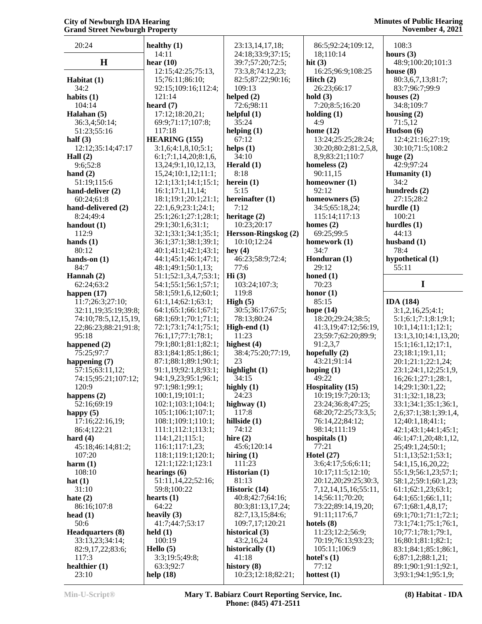## **Minutes of Public Hearing November 4, 2021**

| 20:24                    | healthy $(1)$             | 23:13,14,17,18;                     | 86:5;92:24;109:12,         | 108:3                                       |
|--------------------------|---------------------------|-------------------------------------|----------------------------|---------------------------------------------|
|                          | 14:11                     | 24:18;33:9;37:15;                   | 18;110:14                  | hours $(3)$                                 |
| H                        | hear $(10)$               | 39:7;57:20;72:5;                    | hit $(3)$                  | 48:9;100:20;101:3                           |
|                          | 12:15;42:25;75:13,        | 73:3,8;74:12,23;                    | 16:25;96:9;108:25          | house $(8)$                                 |
| Habitat (1)              | 15;76:11;86:10;           | 82:5;87:22;90:16;                   | Hitch $(2)$                | 80:3,6,7,13;81:7;                           |
| 34:2                     | 92:15;109:16;112:4;       | 109:13                              | 26:23;66:17                | 83:7;96:7;99:9                              |
| habits $(1)$             | 121:14                    | helped $(2)$                        | hold $(3)$                 | houses $(2)$                                |
| 104:14                   | heard $(7)$               | 72:6;98:11                          | 7:20;8:5;16:20             | 34:8;109:7                                  |
| Halahan (5)              | 17:12;18:20,21;           | helpful $(1)$                       | holding $(1)$              | housing $(2)$                               |
| 36:3,4;50:14;            | 69:9;71:17;107:8;         | 35:24                               | 4:9                        | 71:5,12                                     |
| 51:23;55:16              | 117:18                    | helping $(1)$                       | home $(12)$                | Hudson (6)                                  |
| half $(3)$               | <b>HEARING (155)</b>      | 67:12                               | 13:24;25:25;28:24;         | 12:4;21:16;27:19;                           |
| 12:12;35:14;47:17        | 3:1,6;4:1,8,10;5:1;       | helps $(1)$                         | 30:20;80:2;81:2,5,8,       | 30:10;71:5;108:2                            |
| Hall $(2)$               | 6:1;7:1,14,20;8:1,6       | 34:10                               | 8,9;83:21;110:7            | huge $(2)$                                  |
| 9:6;52:8                 | 13, 24; 9: 1, 10, 12, 13, | Herald $(1)$                        | homeless $(2)$             | 42:9;97:24                                  |
| hand $(2)$               | 15,24;10:1,12;11:1;       | 8:18                                | 90:11,15                   | Humanity $(1)$                              |
| 51:19;115:6              | 12:1;13:1;14:1;15:1;      | herein $(1)$                        | homeowner (1)              | 34:2                                        |
| hand-deliver (2)         | 16:1;17:1,11,14;          | 5:15                                | 92:12                      | hundreds (2)                                |
| 60:24;61:8               | 18:1;19:1;20:1;21:1;      | hereinafter (1)                     |                            | 27:15;28:2                                  |
| hand-delivered (2)       |                           | 7:12                                | homeowners (5)             |                                             |
|                          | 22:1,6,9;23:1;24:1;       |                                     | 34:5;65:18,24;             | hurdle $(1)$                                |
| 8:24;49:4                | 25:1;26:1;27:1;28:1;      | heritage (2)                        | 115:14;117:13              | 100:21                                      |
| handout $(1)$            | 29:1;30:1,6;31:1;         | 10:23;20:17                         | homes $(2)$                | hurdles $(1)$                               |
| 112:9                    | 32:1;33:1;34:1;35:1;      | Hersson-Ringskog (2)                | 69:25;99:5                 | 44:13                                       |
| hands $(1)$              | 36:1;37:1;38:1;39:1;      | 10:10;12:24                         | homework (1)               | husband $(1)$                               |
| 80:12                    | 40:1;41:1;42:1;43:1;      | hey $(4)$                           | 34:7                       | 78:4                                        |
| hands-on $(1)$           | 44:1;45:1;46:1;47:1;      | 46:23;58:9;72:4;                    | Honduran (1)               | hypothetical (1)                            |
| 84:7                     | 48:1;49:1;50:1,13;        | 77:6                                | 29:12                      | 55:11                                       |
| Hannah $(2)$             | 51:1;52:1,3,4,7;53:1;     | Hi(3)                               | honed $(1)$                |                                             |
| 62:24;63:2               | 54:1;55:1;56:1;57:1;      | 103:24;107:3;                       | 70:23                      | I                                           |
| happen $(17)$            | 58:1;59:1,6,12;60:1;      | 119:8                               | honor $(1)$                |                                             |
| 11:7;26:3;27:10;         | 61:1,14;62:1;63:1;        | High $(5)$                          | 85:15                      | <b>IDA</b> (184)                            |
| 32:11,19;35:19;39:8;     | 64:1;65:1;66:1;67:1;      | 30:5;36:17;67:5;                    | hope $(14)$                | 3:1,2,16,25;4:1;                            |
| 74:10;78:5,12,15,19,     | 68:1;69:1;70:1;71:1;      | 78:13;80:24                         | 18:20;29:24;38:5;          | 5:1;6:1;7:1;8:1;9:1;                        |
| 22;86:23;88:21;91:8;     | 72:1;73:1;74:1;75:1;      | High-end $(1)$                      | 41:3,19;47:12;56:19,       | 10:1,14;11:1;12:1;                          |
| 95:18                    | 76:1,17;77:1;78:1;        | 11:23                               | 23;59:7;62:20;89:9;        | 13:1,3,10;14:1,13,20;                       |
| happened $(2)$           | 79:1;80:1;81:1;82:1;      | highest (4)                         | 91:2,3,7                   | 15:1;16:1,12;17:1,                          |
| 75:25;97:7               | 83:1;84:1;85:1;86:1;      | 38:4;75:20;77:19,                   | hopefully $(2)$            | 23;18:1;19:1,11;                            |
| happening (7)            | 87:1;88:1;89:1;90:1;      | 23                                  | 43:21;91:14                | 20:1;21:1;22:1,24;                          |
| 57:15;63:11,12;          | 91:1,19;92:1,8;93:1;      | highlight (1)                       | hoping $(1)$               | 23:1;24:1,12;25:1,9,                        |
| 74:15;95:21;107:12;      |                           |                                     |                            |                                             |
|                          | 94:1,9,23;95:1;96:1;      | 34:15                               | 49:22                      | 16;26:1;27:1;28:1,                          |
| 120:9                    | 97:1;98:1;99:1;           |                                     | <b>Hospitality (15)</b>    | 14;29:1;30:1,22;                            |
|                          | 100:1,19;101:1;           | highly $(1)$<br>24:23               | 10:19;19:7;20:13;          | 31:1;32:1,18,23;                            |
| happens $(2)$            |                           | highway $(1)$                       |                            |                                             |
| 52:16;69:19              | 102:1;103:1;104:1;        | 117:8                               | 23:24;36:8;47:25;          | 33:1;34:1;35:1;36:1,                        |
| happy $(5)$              | 105:1;106:1;107:1;        |                                     | 68:20;72:25;73:3,5;        | 2,6;37:1;38:1;39:1,4,                       |
| 17:16;22:16,19;          | 108:1;109:1;110:1;        | hillside (1)                        | 76:14,22;84:12;            | 12;40:1,18;41:1;                            |
| 86:4;122:21              | 111:1;112:1;113:1;        | 74:12                               | 98:14;111:19               | 42:1;43:1;44:1;45:1;                        |
| hard $(4)$               | 114:1,21;115:1;           | hire $(2)$                          | hospitals $(1)$<br>77:21   | 46:1;47:1,20;48:1,12,                       |
| 45:18;46:14;81:2;        | 116:1;117:1,23;           | 45:6;120:14                         |                            | 25;49:1,24;50:1;                            |
| 107:20                   | 118:1;119:1;120:1;        | hiring $(1)$                        | Hotel $(27)$               | 51:1,13;52:1;53:1;                          |
| harm(1)                  | 121:1;122:1;123:1         | 111:23                              | 3:6;4:17;5:6;6:11;         | 54:1,15,16,20,22;                           |
| 108:10                   | hearings $(6)$            | Historian (1)                       | 10:17;11:5;12:10;          | 55:1,9;56:1,23;57:1;                        |
| hat $(1)$                | 51:11,14,22;52:16;        | 81:13                               | 20:12,20;29:25;30:3,       | 58:1,2;59:1;60:1,23;                        |
| 31:10                    | 59:8;100:22               | Historic (14)                       | 7, 12, 14, 15, 16; 55: 11, | 61:1;62:1,23;63:1;                          |
| hate $(2)$               | hearts $(1)$              | 40:8;42:7;64:16;                    | 14;56:11;70:20;            | 64:1;65:1;66:1,11;                          |
| 86:16;107:8              | 64:22                     | 80:3;81:13,17,24;                   | 73:22;89:14,19,20;         | 67:1;68:1,4,8,17;                           |
| head $(1)$               | heavily $(3)$             | 82:7,13,15;84:6;                    | 91:11;117:6,7              | 69:1;70:1;71:1;72:1;                        |
| 50:6                     | 41:7;44:7;53:17           | 109:7,17;120:21                     | hotels $(8)$               | 73:1;74:1;75:1;76:1,                        |
| <b>Headquarters (8)</b>  | $\text{held}(1)$          | historical (3)                      | 11:23;12:2;56:9;           | 10;77:1;78:1;79:1,                          |
| 33:13,23;34:14;          | 100:19                    | 43:2,16,24                          | 70:19;76:13;93:23;         | 16;80:1;81:1;82:1;                          |
| 82:9,17,22;83:6;         | Hello $(5)$               | historically (1)                    | 105:11;106:9               | 83:1;84:1;85:1;86:1,                        |
| 117:3                    | 3:3;19:5;49:8;            | 41:18                               | hotel's $(1)$              | 6;87:1,2;88:1,21;                           |
| healthier $(1)$<br>23:10 | 63:3;92:7<br>help $(18)$  | history $(8)$<br>10:23;12:18;82:21; | 77:12<br>hottest $(1)$     | 89:1;90:1;91:1;92:1,<br>3;93:1;94:1;95:1,9; |

**Min-U-Script® Mary T. Babiarz Court Reporting Service, Inc. Phone: (845) 471-2511**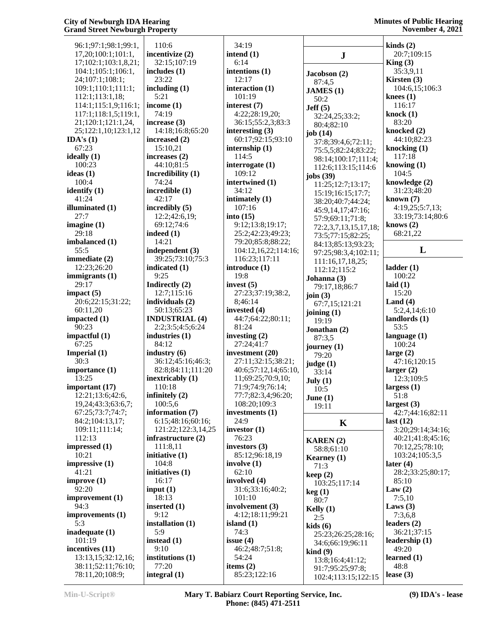| 96:1;97:1;98:1;99:1,    | 110:0           |
|-------------------------|-----------------|
| 17,20;100:1;101:1,      | incenti         |
|                         | 32:1!           |
| 17;102:1;103:1,8,21;    |                 |
| 104:1;105:1;106:1,      | include         |
| 24;107:1;108:1;         | 23:22           |
| 109:1;110:1;111:1;      | includi         |
| 112:1;113:1,18;         | 5:21            |
| 114:1;115:1,9;116:1;    | income          |
| 117:1;118:1,5;119:1,    | 74:19           |
| 21;120:1;121:1,24,      | increas         |
| 25;122:1,10;123:1,12    | 14:18           |
| IDA's $(1)$             | increas         |
| 67:23                   | 15:10           |
| ideally (1)             | increas         |
| 100:23                  | 44:10           |
| ideas (1)               | Incredi         |
| 100:4                   | 74:24           |
| identify (1)            | incredi         |
| 41:24                   | 42:1'           |
| illuminated (1)         | incredi         |
| 27:7                    | 12:2;           |
| imagine $(1)$           | 69:12           |
| 29:18                   | indeed          |
| imbalanced (1)          | 14:2            |
| 55:5                    | indeper         |
| immediate (2)           | 39:2:           |
| 12:23;26:20             | indicat<br>9:25 |
| immigrants (1)<br>29:17 | <b>Indired</b>  |
| impact (5)              | 12:7;           |
| 20:6;22:15;31:22;       | individ         |
| 60:11,20                | 50:11           |
| impacted (1)            | <b>INDUS</b>    |
| 90:23                   | 2:2:3           |
| impactful (1)           | industr         |
| 67:25                   | 84:12           |
| Imperial (1)            | industr         |
| 30:3                    | 36:1'           |
| importance (1)          | 82:8;           |
| 13:25                   | inextri         |
| important (17)          | 110:            |
| 12:21;13:6;42:6,        | infinite        |
| 19,24;43:3;63:6,7;      | 100:            |
| 67:25;73:7;74:7;        | inform          |
| 84:2;104:13,17;         | 6:15            |
| 109:11;111:14;          | 121:            |
| 112:13                  | infrasti        |
| impressed (1)           | 111:            |
| 10:21                   | initiati        |
| impressive (1)          | 104:8           |
| 41:21                   | initiati        |
| improve (1)             | 16:1'           |
| 92:20                   | input (         |
| improvement (1)         | 18:13           |
| 94:3                    | inserte         |
| improvements (1)        | 9:12            |
| 5:3                     | installa        |
| inadequate (1)          | 5:9             |
| 101:19                  | instead         |
| incentives (11)         | 9:10            |
| 13:13,15;32:12,16;      | institut        |
| 38:11;52:11;76:10;      | 77:20           |
| 78:11,20;108:9;         | integra         |

 110:6 **ivize** (2) 5:107:19 **inc in** $\mathbf{a}$  **in**  23:22 **ing** (1) 5:21 **e** (1) 74:19 **i**se (3) 8;16:8;65:20 **increased (2)** 0.21 **increases (2)** 0;81:5 **ibility** (1) 74:24 **ible** (1) 42:17 **ibly** (5)  $:42:6,19;$ 2:74:6 **indeed (1)** 14:21 **indent** (3) 39:25;73:10;75:3 **ied** (1) 9:25  $\text{ctly}$  (2) :115:16 **luals** (2) 3:65:23 **ISTRIAL (4)**  2:2;3:5;4:5;6:24  $ries (1)$  84:12 **industry** (6) 36:12;45:16;46:3; 82:8;84:11;111:20 cably (1) 110:18 **ily** (2) 5,6 **inguration** (7) 6:15;48:16;60:16; 22;122:3,14,25 **inducture (2)** 8,11 **ive** (1) 104:8 **ives** (1) 16:17  $\mathbf{1}$  18:13 **i** (1) 9:12 **indum** (1) 5:9 **i** (1) 9:10 **iions** (1) 77:20 **integral (1)**

 34:19 **intend (1)** 6:14 **intentions (1)** 12:17 **interaction (1)** 101:19 **interest (7)** 4:22;28:19,20; 36:15;55:2,3;83:3 **interesting (3)** 60:17;92:15;93:10 **internship (1)** 114:5 **interrogate (1)** 109:12 **intertwined (1)** 34:12 **intimately (1)** 107:16 **into (15)** 9:12;13:8;19:17; 25:2;42:23;49:23; 79:20;85:8;88:22; 104:12,16,22;114:16; 116:23;117:11 **introduce (1)** 19:8 **invest (5)** 27:23;37:19;38:2, 8;46:14 **invested (4)** 44:7;64:22;80:11; 81:24 **investing (2)** 27:24;41:7 **investment (20)** 27:11;32:15;38:21; 40:6;57:12,14;65:10, 11;69:25;70:9,10; 71:9;74:9;76:14; 77:7;82:3,4;96:20; 108:20;109:3 **investments (1)** 24:9 **investor (1)** 76:23 **investors (3)** 85:12;96:18,19 **involve (1)** 62:10 **involved (4)** 31:6;33:16;40:2; 101:10 **involvement (3)** 4:12;18:11;99:21 **island (1)** 74:3 **issue (4)** 46:2;48:7;51:8; 54:24 **items (2)** 85:23;122:16

|                                | kinds $(2)$                   |
|--------------------------------|-------------------------------|
| J                              | 20:7;109:15                   |
|                                | King(3)<br>35:3,9,11          |
| <b>Jacobson (2)</b>            | Kirsten (3)                   |
| 87:4,5<br><b>JAMES</b> (1)     | 104:6,15;106:3                |
| 50:2                           | knees $(1)$                   |
| Jeff(5)                        | 116:17                        |
| 32:24,25;33:2;                 | knock $(1)$                   |
| 80:4;82:10                     | 83:20                         |
| job (14)                       | knocked (2)                   |
| 37:8;39:4,6;72:11;             | 44:10;82:23                   |
| 75:5,5;82:24;83:22;            | knocking $(1)$<br>117:18      |
| 98:14;100:17;111:4;            | knowing $(1)$                 |
| 112:6;113:15;114:6             | 104:5                         |
| jobs (39)<br>11:25;12:7;13:17; | knowledge (2)                 |
| 15:19;16:15;17:7;              | 31:23;48:20                   |
| 38:20;40:7;44:24;              | known(7)                      |
| 45:9,14,17;47:16;              | 4:19,25;5:7,13;               |
| 57:9;69:11;71:8;               | 33:19;73:14;80:6              |
| 72:2,3,7,13,15,17,18;          | knows $(2)$                   |
| 73:5;77:15;82:25;              | 68:21,22                      |
| 84:13;85:13;93:23;             | L                             |
| 97:25;98:3,4;102:11;           |                               |
| 111:16,17,18,25;               | ladder(1)                     |
| 112:12;115:2                   | 100:22                        |
| Johanna (3)                    | laid $(1)$                    |
| 79:17,18;86:7<br>join $(3)$    | 15:20                         |
| 67:7,15;121:21                 | Land $(4)$                    |
| joining (1)                    | 5:2,4,14;6:10                 |
| 19:19                          | landlords (1)                 |
| Jonathan (2)                   | 53:5                          |
| 87:3,5                         | language (1)                  |
| journey (1)                    | 100:24                        |
| 79:20                          | large $(2)$<br>47:16;120:15   |
| judge (1)<br>33:14             | larger $(2)$                  |
| July $(1)$                     | 12:3;109:5                    |
| 10:5                           | largess(1)                    |
| June $(1)$                     | 51:8                          |
| 19:11                          | largest (3)                   |
|                                | 42:7;44:16;82:11              |
| K                              | last(12)<br>3:20;29:14;34:16; |
|                                | 40:21;41:8;45:16;             |
| KAREN (2)<br>58:8;61:10        | 70:12,25;78:10;               |
| Kearney (1)                    | 103:24;105:3,5                |
| 71:3                           | later $(4)$                   |
| keep (2)                       | 28:2;33:25;80:17;             |
| 103:25;117:14                  | 85:10                         |
| keg (1)                        | Law $(2)$                     |
| 80:7                           | 7:5,10                        |
| Kelly (1)                      | Laws $(3)$                    |
| 2:5                            | 7:3,6,8<br>leaders $(2)$      |
| kids (6)                       | 36:21;37:15                   |
| 25:23;26:25;28:16;             | leadership (1)                |
| 34:6;66:19;96:11<br>kind (9)   | 49:20                         |
| 13:8;16:4;41:12;               | learned(1)                    |
| 91:7;95:25;97:8;               | 48:8                          |
|                                |                               |
| 102:4;113:15;122:15            | lease $(3)$                   |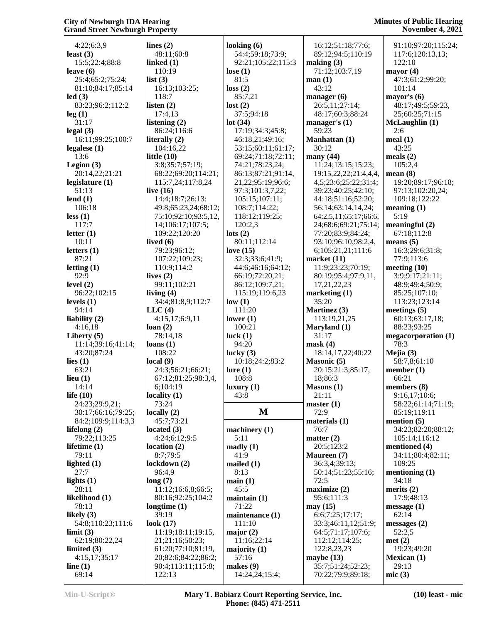4:22;6:3,9 **least (3)** 15:5;22:4;88:8 **leave (6)** 25:4;65:2;75:24; 81:10;84:17;85:14 **led (3)** 83:23;96:2;112:2 **leg (1)** 31:17 **legal (3)** 16:11;99:25;100:7 **legalese (1)** 13:6 **Legion (3)** 20:14,22;21:21 **legislature (1)** 51:13 **lend (1)** 106:18 **less (1)** 117:7 **letter (1)** 10:11 **letters (1)** 87:21 **letting (1)**  $92.9$ **level (2)** 96:22;102:15 **levels (1)** 94:14 **liability (2)** 4:16,18 **Liberty (5)** 11:14;39:16;41:14; 43:20;87:24 **lies (1)** 63:21 **lieu (1)** 14:14 **life (10)** 24:23;29:9,21; 30:17;66:16;79:25; 84:2;109:9;114:3,3 **lifelong (2)** 79:22;113:25 **lifetime (1)** 79:11 **lighted (1)** 27:7 **lights (1)** 28:11 **likelihood (1)** 78:13 **likely (3)** 54:8;110:23;111:6 **limit (3)** 62:19;80:22,24 **limited (3)** 4:15,17;35:17 **line (1)** 69:14

| . <b>.</b>           |                    |                |
|----------------------|--------------------|----------------|
| lines $(2)$          | looking $(6)$      |                |
| 48:11;60:8           | 54:4;59:18;73:9;   |                |
| linked (1)           | 92:21;105:22;115:3 | m              |
| 110:19               | lose $(1)$         |                |
| list $(3)$           | 81:5               | m              |
| 16:13;103:25;        | loss(2)            |                |
| 118:7                | 85:7,21            | m              |
| listen $(2)$         | lost(2)            |                |
| 17:4,13              | 37:5;94:18         |                |
| listening (2)        | lot(34)            | m              |
| 86:24;116:6          | 17:19;34:3;45:8;   |                |
| literally (2)        | 46:18,21;49:16;    | M <sub>i</sub> |
| 104:16,22            | 53:15;60:11;61:17; |                |
| little $(10)$        | 69:24;71:18;72:11; | m              |
| 3:8;35:7;57:19;      | 74:21;78:23,24;    |                |
| 68:22;69:20;114:21;  | 86:13;87:21;91:14, |                |
| 115:7,24;117:8,24    | 21,22;95:19;96:6;  |                |
| live $(16)$          | 97:3;101:3,7,22;   |                |
| 14:4;18:7;26:13;     | 105:15;107:11;     |                |
| 49:8;65:23,24;68:12; | 108:7;114:22;      |                |
| 75:10;92:10;93:5,12, | 118:12;119:25;     |                |
| 14;106:17;107:5;     | 120:2,3            |                |
| 109:22;120:20        | lots $(2)$         |                |
| lived $(6)$          | 80:11;112:14       |                |
| 79:23;96:12;         | love $(15)$        |                |
| 107:22;109:23;       | 32:3;33:6;41:9;    | ma             |
| 110:9;114:2          | 44:6;46:16;64:12;  |                |
| lives $(2)$          | 66:19;72:20,21;    |                |
| 99:11;102:21         | 86:12;109:7,21;    |                |
| living $(4)$         | 115:19;119:6,23    | m              |
| 34:4;81:8,9;112:7    | low(1)             |                |
| LLC(4)               | 111:20             | M <sub>i</sub> |
| 4:15,17;6:9,11       | lower $(1)$        |                |
| loan(2)              | 100:21             | M <sub>i</sub> |
| 78:14,18             | luck $(1)$         |                |
| loans(1)             | 94:20              | m              |
| 108:22               | lucky $(3)$        |                |
| local(9)             | 10:18;24:2;83:2    | M <sub>i</sub> |
| 24:3;56:21;66:21;    | lure(1)            |                |
| 67:12;81:25;98:3,4,  | 108:8              |                |
| 6;104:19             | luxury(1)          | M <sub>i</sub> |
| locality $(1)$       | 43:8               |                |
| 73:24                |                    | m              |
| locally $(2)$        | M                  |                |
| 45:7;73:21           |                    | m              |
| located $(3)$        | machinery $(1)$    |                |
| 4:24;6:12;9:5        | 5:11               | m              |
| location $(2)$       | mady(1)            |                |
| 8:7;79:5             | 41:9               | M <sub>i</sub> |
| lockdown (2)         | mailed (1)         |                |
| 96:4,9               | 8:13               |                |
| long(7)              | main(1)            |                |
| 11:12;16:6,8;66:5;   | 45:5               | m              |
| 80:16;92:25;104:2    | $main(1)$          |                |
| longtime $(1)$       | 71:22              | m              |
| 39:19                | maintenance (1)    |                |
| look $(17)$          | 111:10             |                |
| 11:19;18:11;19:15,   | major $(2)$        |                |
| 21;21:16;50:23;      | 11:16;22:14        |                |
| 61:20;77:10;81:19,   | majority (1)       |                |
| 20;82:6;84:22;86:2;  | 57:16              | m              |
| 90:4;113:11;115:8;   | makes $(9)$        |                |
| 122:13               | 14:24,24;15:4;     |                |

 92:21;105:22;115:3 **making (3) M** 72:9 16:12;51:18;77:6; 89:12;94:5;110:19 71:12;103:7,19 **man (1)** 43:12 **manager (6)** 26:5,11;27:14; 48:17;60:3;88:24 **manager's (1)** 59:23 **Manhattan (1)** 30:12 **many (44)** 11:24;13:15;15:23; 19:15,22,22;21:4,4,4, 4,5;23:6;25:22;31:4; 39:23;40:25;42:10; 44:18;51:16;52:20; 56:14;63:14,14,24; 64:2,5,11;65:17;66:6, 24;68:6;69:21;75:14; 77:20;83:9;84:24; 93:10;96:10;98:2,4, 6;105:21,21;111:6 **market (11)** 11:9;23:23;70:19; 80:19;95:4;97:9,11, 17,21,22,23 **marketing (1)** 35:20 **Martinez (3)** 113:19,21,25 **Maryland (1)** 31:17 **mask (4)** 18:14,17,22;40:22 **Masonic (5)** 20:15;21:3;85:17, 18;86:3 **Masons (1)** 21:11 **master (1) materials (1)** 76:7 **matter (2)** 20:5;123:2 **Maureen (7)** 36:3,4;39:13; 50:14;51:23;55:16; 72:5 **maximize (2)** 95:6;111:3 **may (15)** 6:6;7:25;17:17; 33:3;46:11,12;51:9; 64:5;71:17;107:6; 112:12;114:25; 122:8,23,23 **maybe (13)** 35:7;51:24;52:23; 70:22;79:9;89:18;

## **Minutes of Public Hearing November 4, 2021**

 91:10;97:20;115:24; 117:6;120:13,13; 122:10 **mayor (4)** 47:3;61:2;99:20; 101:14 **mayor's (6)** 48:17;49:5;59:23, 25;60:25;71:15 **McLaughlin (1)** 2:6 **meal (1)** 43:25 **meals (2)** 105:2,4 **mean (8)** 19:20;89:17;96:18; 97:13;102:20,24; 109:18;122:22 **meaning (1)** 5:19 **meaningful (2)** 67:18;112:8 **means (5)** 16:3;29:6;31:8; 77:9;113:6 **meeting (10)** 3:9;9:17;21:11; 48:9;49:4;50:9; 85:25;107:10; 113:23;123:14 **meetings (5)** 60:13;63:17,18; 88:23;93:25 **megacorporation (1)** 78:3 **Mejia (3)** 58:7,8;61:10 **member (1)** 66:21 **members (8)** 9:16,17;10:6; 58:22;61:14;71:19; 85:19;119:11 **mention (5)** 34:23;82:20;88:12; 105:14;116:12 **mentioned (4)** 34:11;80:4;82:11; 109:25 **mentioning (1)** 34:18 **merits (2)** 17:9;48:13 **message (1)** 62:14 **messages (2)** 52:2,5 **met (2)** 19:23;49:20 **Mexican (1)** 29:13 **mic (3)**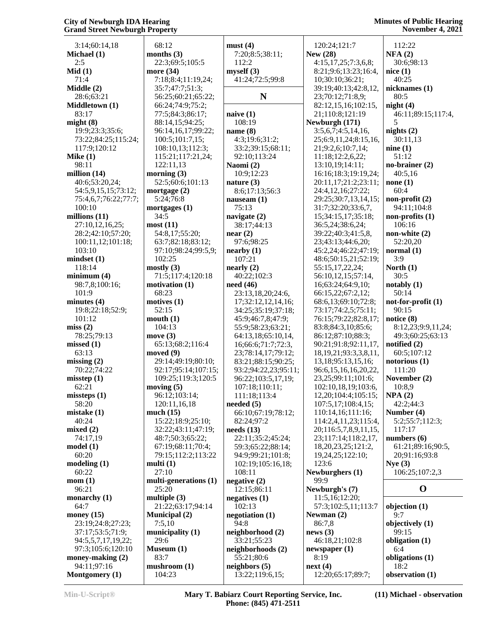| 3:14;60:14,18<br>Michael (1)                | 68<br>mon  |
|---------------------------------------------|------------|
| 2:5                                         | 22         |
| Mid(1)<br>71:4                              | mor<br>7:  |
| Middle (2)                                  | 35         |
| 28:6;63:21<br>Middletown (1)                | 56<br>66   |
| 83:17                                       | 77         |
| might(8)                                    | 88         |
| 19:9;23:3;35:6;<br>73:22;84:25;115:24;      | 96<br>10   |
| 117:9;120:12                                | 10         |
| Mike $(1)$<br>98:11                         | 11<br>12   |
| million (14)                                | mor        |
| 40:6;53:20,24;                              | 52         |
| 54:5,9,15,15;73:12;<br>75:4,6,7;76:22;77:7; | mor<br>5:  |
| 100:10                                      | mor        |
| millions (11)                               | 34         |
| 27:10,12,16,25;<br>28:2;42:10;57:20;        | most<br>54 |
| 100:11,12;101:18;                           | 63         |
| 103:10<br>mindset(1)                        | 97<br>10   |
| 118:14                                      | most       |
| minimum(4)                                  | 71         |
| 98:7,8;100:16;<br>101:9                     | moti<br>68 |
| minutes <sub>(4)</sub>                      | moti       |
| 19:8;22:18;52:9;<br>101:12                  | 52<br>mou  |
| miss(2)                                     | 10         |
| 78:25;79:13                                 | mov        |
| missed(1)<br>63:13                          | 65<br>mov  |
| missing(2)                                  | 29         |
| 70:22;74:22<br>misstop(1)                   | 92<br>10   |
| 62:21                                       | mov.       |
| missteps(1)                                 | 96         |
| 58:20<br>mistake (1)                        | 12<br>muc  |
| 40:24                                       | 15         |
| mixed(2)<br>74:17,19                        | 32<br>48   |
| model(1)                                    | 67         |
| 60:20                                       | 79         |
| modeling(1)<br>60:22                        | mult<br>27 |
| mom(1)                                      | mult       |
| 96:21                                       | 25         |
| monarchy (1)<br>64:7                        | mult<br>21 |
| money $(15)$                                | Mur        |
| 23:19;24:8;27:23;<br>37:17;53:5;71:9;       | 7:<br>mun  |
| 94:5,5,7,17,19,22;                          | 29         |
| 97:3;105:6;120:10                           | Mus        |
| money-making (2)<br>94:11;97:16             | 83<br>mus  |
| Montgomery (1)                              | 10         |

| 68:12                                 | must         |
|---------------------------------------|--------------|
| months (3)                            | 7:2          |
| 22:3;69:5;105:5                       | 112          |
| more (34)<br>7:18;8:4;11:19,24;       | mysel<br>41: |
| 35:7;47:7;51:3;                       |              |
| 56:25;60:21;65:22;                    |              |
| 66:24;74:9;75:2;                      |              |
| 77:5;84:3;86:17;                      | naive        |
| 88:14,15;94:25;<br>96:14,16,17;99:22; | 108<br>name  |
| 100:5;101:7,15;                       | 4:3          |
| 108:10,13;112:3;                      | 33:          |
| 115:21;117:21,24;                     | 92:          |
| 122:11,13                             | <b>Naom</b>  |
| morning (3)<br>52:5;60:6;101:13       | 10:<br>natur |
| mortgage (2)                          | 8:6          |
| 5:24;76:8                             | nause        |
| mortgages (1)                         | 75:          |
| 34:5                                  | navig        |
| most (11)<br>54:8,17;55:20;           | 38:          |
| 63:7;82:18;83:12;                     | near<br>97:  |
| 97:10;98:24;99:5,9;                   | nearb        |
| 102:25                                | 107          |
| mostly(3)                             | nearl        |
| 71:5;117:4;120:18                     | 40:          |
| motivation (1)<br>68:23               | need<br>23:  |
| motives (1)                           | 17;          |
| 52:15                                 | 34:          |
| mouth (1)                             | 45:          |
| 104:13                                | 55:          |
| move (3)<br>65:13;68:2;116:4          | 64:<br>16;   |
| moved (9)                             | 23;          |
| 29:14;49:19;80:10;                    | 83:          |
| 92:17;95:14;107:15;                   | 93:          |
| 109:25;119:3;120:5                    | 96:          |
| moving (5)<br>96:12;103:14;           | 107<br>111   |
| 120:11,16,18                          | neede        |
| much (15)                             | 66:          |
| 15:22;18:9;25:10;                     | 82:          |
| 32:22;43:11;47:19;                    | needs<br>22: |
| 48:7;50:3;65:22;<br>67:19;68:11;70:4; | 59:          |
| 79:15;112:2;113:22                    | 94:          |
| multi (1)                             | 102          |
| 27:10                                 | 108          |
| multi-generations (1)                 | negat        |
| 25:20<br>multiple (3)                 | 12:<br>negat |
| 21:22;63:17;94:14                     | 102          |
| <b>Municipal (2)</b>                  | negot        |
| 7:5,10                                | 94:          |
| municipality (1)                      | neigh        |
| 29:6<br>Museum (1)                    | 33:          |
| 83:7                                  | neigh<br>55: |
| mushroom (1)                          | neigh        |
| 104:23                                | 13:          |

| must (4)             | 120:24;121:7      |
|----------------------|-------------------|
| 7:20;8:5;38:11;      | <b>New (28)</b>   |
| 112:2                | 4:15,17,25;7:     |
| myself (3)           | 8:21;9:6;13:2     |
| 41:24;72:5;99:8      | 10;30:10;36:2     |
|                      | 39:19;40:13;4     |
| N                    | 23;70:12;71:8     |
|                      | 82:12,15,16;1     |
| naive (1)            | 21;110:8;121      |
| 108:19               | Newburgh (171     |
| name (8)             | 3:5,6,7;4:5,14    |
| 4:3;19:6;31:2;       | 25;6:9,11,24;8    |
| 33:2;39:15;68:11;    | 21;9:2,6;10:7     |
| 92:10;113:24         | 11:18;12:2,6,     |
| Naomi (2)            | 13:10,19;14:1     |
| 10:9;12:23           | 16:16;18:3;19     |
| nature (3)           | 20:11,17;21:2     |
| 8:6;17:13;56:3       | 24:4,12,16;27     |
|                      | 29:25;30:7,13     |
| nauseam (1)<br>75:13 | 31:7;32:20;33     |
| navigate (2)         | 15;34:15,17;3     |
| 38:17;44:13          | 36:5,24;38:6,     |
| near(2)              | 39:22;40:3;41     |
| 97:6;98:25           | 23;43:13;44:6     |
| nearby (1)           | 45:2,24;46:22     |
| 107:21               | 48:6;50:15,21     |
| nearly (2)           | 55:15,17,22,2     |
| 40:22;102:3          | 56:10,12,15;5     |
| need (46)            | 16;63:24;64:9     |
| 23:13,18,20;24:6,    | 66:15,22;67:2     |
| 17;32:12,12,14,16;   | 68:6,13;69:10     |
| 34:25;35:19;37:18;   | 73:17;74:2,5;     |
| 45:9;46:7,8;47:9;    | 76:15;79:22;8     |
| 55:9;58:23;63:21;    | 83:8;84:3,10;     |
| 64:13,18;65:10,14,   | 86:12;87:10;8     |
| 16;66:6;71:7;72:3,   | 90:21;91:8;92     |
| 23;78:14,17;79:12;   | 18, 19, 21; 93: 3 |
| 83:21;88:15;90:25;   | 13,18;95:13,1     |
| 93:2;94:22,23;95:11; | 96:6,15,16,16     |
| 96:22;103:5,17,19;   | 23,25;99:11;1     |
| 107:18;110:11;       | 102:10,18,19      |
| 111:18;113:4         | 12,20;104:4;1     |
| needed (5)           | 107:5,17;108      |
| 66:10;67:19;78:12;   | 110:14,16;11      |
| 82:24;97:2           | 114:2,4,11,23     |
| needs (13)           | 20;116:5,7,8,9    |
| 22:11;35:2;45:24;    | 23;117:14;11      |
| 59:3;65:22;88:14;    | 18,20,23,25;1     |
| 94:9;99:21;101:8;    | 19,24,25;122      |
| 102:19;105:16,18;    | 123:6             |
| 108:11               | Newburghers (     |
| negative (2)         | 99:9              |
| 12:15;86:11          | Newburgh's (7)    |
| negatives (1)        | 11:5,16;12:20     |
| 102:13               | 57:3;102:5,11     |
| negotiation (1)      | Newman $(2)$      |
| 94:8                 | 86:7,8            |
| neighborhood (2)     | news(3)           |
| 33:21;55:23          | 46:18,21;102      |
| neighborhoods (2)    | newspaper(1)      |
| 55:21;80:6           | 8:19              |
| neighbors (5)        | next(4)           |
| 13:22;119:6,15;      | 12:20;65:17;8     |

| <b>New (28)</b>                             | NFA(2)                      |
|---------------------------------------------|-----------------------------|
| 4:15,17,25;7:3,6,8;                         | 30:6;98:13                  |
| 8:21;9:6;13:23;16:4,                        | nice(1)                     |
| 10;30:10;36:21;                             | 40:25                       |
| 39:19;40:13;42:8,12,                        | nicknames (1)               |
| 23;70:12;71:8,9;                            | 80:5                        |
| 82:12,15,16;102:15,                         | night(4)                    |
| 21;110:8;121:19<br>Newburgh (171)           | 46:11;89:15;117:4<br>5      |
| 3:5,6,7;4:5,14,16,                          | nights $(2)$                |
| 25;6:9,11,24;8:15,16,                       | 30:11,13                    |
| 21;9:2,6;10:7,14;                           | nine(1)                     |
| 11:18;12:2,6,22;                            | 51:12                       |
| 13:10,19;14:11;                             | no-brainer (2)              |
| 16:16;18:3;19:19,24;                        | 40:5,16                     |
| 20:11,17;21:2;23:11;                        | none $(1)$                  |
| 24:4,12,16;27:22;                           | 60:4                        |
| 29:25;30:7,13,14,15;                        | $non\text{-}profit(2)$      |
| 31:7;32:20;33:6,7,                          | 94:11;104:8                 |
| 15;34:15,17;35:18;                          | non-profits $(1)$<br>106:16 |
| 36:5,24;38:6,24;<br>39:22;40:3;41:5,8,      | non-white $(2)$             |
| 23;43:13;44:6,20;                           | 52:20,20                    |
| 45:2,24;46:22;47:19;                        | normal (1)                  |
| 48:6;50:15,21;52:19;                        | 3:9                         |
| 55:15,17,22,24;                             | North $(1)$                 |
| 56:10,12,15;57:14,                          | 30:5                        |
| 16;63:24;64:9,10;                           | notably (1)                 |
| 66:15,22;67:2,12;                           | 50:14                       |
| 68:6,13;69:10;72:8;                         | not-for-profit (1)          |
| 73:17;74:2,5;75:11;<br>76:15;79:22;82:8,17; | 90:15<br>notice (8)         |
| 83:8;84:3,10;85:6;                          | 8:12,23;9:9,11,24;          |
| 86:12;87:10;88:3;                           | 49:3;60:25;63:13            |
| 90:21;91:8;92:11,17,                        | notified (2)                |
| 18, 19, 21; 93: 3, 3, 8, 11,                | 60:5;107:12                 |
| 13, 18; 95: 13, 15, 16;                     | notorious (1)               |
| 96:6,15,16,16,20,22,                        | 111:20                      |
| 23,25;99:11;101:6;                          | November (2)                |
| 102:10,18,19;103:6,<br>12,20;104:4;105:15;  | 10:8,9<br>NPA(2)            |
| 107:5,17;108:4,15;                          | 42:2;44:3                   |
| 110:14,16;111:16;                           | Number (4)                  |
| 114:2,4,11,23;115:4,                        | 5:2;55:7;112:3;             |
| 20;116:5,7,8,9,11,15,                       | 117:17                      |
| 23;117:14;118:2,17,                         | numbers (6)                 |
| 18, 20, 23, 25; 121: 2,                     | 61:21;89:16;90:5,           |
| 19,24,25;122:10;                            | 20;91:16;93:8               |
| 123:6                                       | Nye(3)                      |
| Newburghers (1)<br>99:9                     | 106:25;107:2,3              |
| Newburgh's (7)                              | O                           |
| 11:5,16;12:20;                              |                             |
| 57:3;102:5,11;113:7                         | objection (1)               |
| Newman (2)                                  | 9:7                         |
| 86:7,8                                      | objectively (1)             |
| news $(3)$                                  | 99:15                       |
| 46:18,21;102:8                              | obligation (1)              |
| newspaper (1)<br>8:19                       | 6:4<br>obligations (1)      |
| next (4)                                    | 18:2                        |
| 12:20;65:17;89:7;                           | observation (1)             |

 112:22 **NFA (2)** 30:6;98:13 **nice (1)** 40:25 **nicknames (1)** 80:5 **night (4)** 46:11;89:15;117:4, 5 **nights (2)** 30:11,13 **nine (1)** 51:12 **no-brainer (2)** 40:5,16 60:4 94:11;104:8 **non-profits (1)** 106:16 **non-white (2)** 52:20,20 3:9 **North (1)** 30:5 **notably (1)** 50:14 **not-for-profit (1)** 90:15 8:12,23;9:9,11,24; 49:3;60:25;63:13 **notified (2)** 60:5;107:12 **notorious (1)** 111:20 **November (2)** 10:8,9 42:2;44:3 **Number (4)** 5:2;55:7;112:3; 117:17 **numbers (6)** 61:21;89:16;90:5, 20;91:16;93:8 **Nye (3)** 106:25;107:2,3 **O** 9:7 **objectively (1)** 99:15 **obligation (1)**

**Min-U-Script® Mary T. Babiarz Court Reporting Service, Inc. Phone: (845) 471-2511**

**(11) Michael - observation**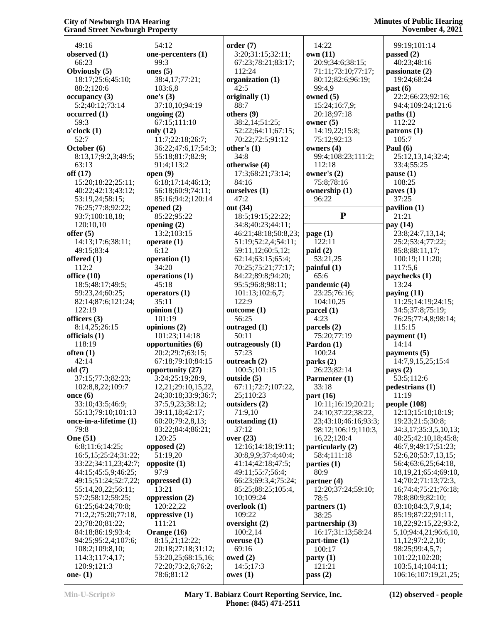49:16 **observed (1)** 66:23 **Obviously (5)** 18:17;25:6;45:10; 88:2;120:6 **occupancy (3)** 5:2;40:12;73:14 **occurred (1)** 59:3 **o'clock (1)** 52:7 **October (6)** 8:13,17;9:2,3;49:5; 63:13 **off (17)** 15:20;18:22;25:11; 40:22;42:13;43:12; 53:19,24;58:15; 76:25;77:8;92:22; 93:7;100:18,18; 120:10,10 **offer (5)** 14:13;17:6;38:11; 49:15;83:4 **offered (1)** 112:2 **office (10)** 18:5;48:17;49:5; 59:23,24;60:25; 82:14;87:6;121:24; 122:19 **officers (3)** 8:14,25;26:15 **officials (1)** 118:19 **often (1)** 42:14 **old (7)** 37:15;77:3;82:23; 102:8,8,22;109:7 **once (6)** 33:10;43:5;46:9; 55:13;79:10;101:13 **once-in-a-lifetime (1)** 79:8 **One (51)** 6:8;11:6;14:25; 16:5,15;25:24;31:22; 33:22;34:11,23;42:7; 44:15;45:5,9;46:25; 49:15;51:24;52:7,22; 55:14,20,22;56:11; 57:2;58:12;59:25; 61:25;64:24;70:8; 71:2,2;75:20;77:18, 23;78:20;81:22; 84:18;86:19;93:4; 94:25;95:2,4;107:6; 108:2;109:8,10; 114:3;117:4,17; 120:9;121:3 **one- (1)**

 54:12 **one-percenters (1)** 99:3 **ones (5)** 38:4,17;77:21; 103:6,8 **one's (3)** 37:10,10;94:19 **ongoing (2)** 67:15;111:10 **only (12)** 11:7;22:18;26:7; 36:22;47:6,17;54:3; 55:18;81:7;82:9; 91:4;113:2 **open (9)** 6:18;17:14;46:13; 56:18;60:9;74:11; 85:16;94:2;120:14 **opened (2)** 85:22;95:22 **opening (2)** 13:2;103:15 **operate (1)** 6:12 **operation (1)** 34:20 **operations (1)** 45:18 **operators (1)** 35:11 **opinion (1)** 101:19 **opinions (2)** 101:23;114:18 **opportunities (6)** 20:2;29:7;63:15; 67:18;79:10;84:15 **opportunity (27)** 3:24;25:19;28:9, 12,21;29:10,15,22, 24;30:18;33:9;36:7; 37:5,9,23;38:12; 39:11,18;42:17; 60:20;79:2,8,13; 83:22;84:4;86:21; 120:25 **opposed (2)** 51:19,20 **opposite (1)** 97:9 **oppressed (1)** 13:21 **oppression (2)** 120:22,22 **oppressive (1)** 111:21 **Orange (16)** 8:15,21;12:22; 20:18;27:18;31:12; 53:20,25;68:15,16; 72:20;73:2,6;76:2; 78:6;81:12 **order (7)**

 3:20;31:15;32:11; 67:23;78:21;83:17; 112:24 **organization (1)** 42:5 **originally (1)** 88:7 **others (9)** 38:2,14;51:25; 52:22;64:11;67:15; 70:22;72:5;91:12 **other's (1)** 34:8 **otherwise (4)** 17:3;68:21;73:14; 84:16 **ourselves (1)** 47:2 **out (34)** 18:5;19:15;22:22; 34:8;40:23;44:11; 46:21;48:18;50:8,23; 51:19;52:2,4;54:11; 59:11,12;60:5,12; 62:14;63:15;65:4; 70:25;75:21;77:17; 84:22;89:8;94:20; 95:5;96:8;98:11; 101:13;102:6,7; 122:9 **outcome (1)** 56:25 **outraged (1)** 50:11 **outrageously (1)** 57:23 **outreach (2)** 100:5;101:15 **outside (5)** 67:11;72:7;107:22, 25;110:23 **outsiders (2)** 71:9,10 **outstanding (1)** 37:12 **over (23)** 12:16;14:18;19:11; 30:8,9,9;37:4;40:4; 41:14;42:18;47:5; 49:11;55:7;56:4; 66:23;69:3,4;75:24; 85:25;88:25;105:4, 10;109:24 **overlook (1)** 109:22 **oversight (2)** 100:2,14 **overuse (1)** 69:16 **owed (2)** 14:5;17:3 **owes (1)**

 14:22 **own (11)** 20:9;34:6;38:15; 71:11;73:10;77:17; 80:12;82:6;96:19; 99:4,9 **owned (5)** 15:24;16:7,9; 20:18;97:18 **owner (5)** 14:19,22;15:8; 75:12;92:13 **owners (4)** 99:4;108:23;111:2; 112:18 **owner's (2)** 75:8;78:16 **ownership (1)** 96:22 **P page (1)** 122:11 **paid (2)** 53:21,25 **painful (1)** 65:6 **pandemic (4)** 23:25;76:16; 104:10,25 **parcel (1)** 4:23 **parcels (2)** 75:20;77:19 **Pardon (1)** 100:24 **parks (2)** 26:23;82:14 **Parmenter (1)** 33:18 **part (16)** 10:11;16:19;20:21; 24:10;37:22;38:22, 23;43:10;46:16;93:3; 98:12;106:19;110:3, 16,22;120:4 **particularly (2)** 58:4;111:18 **parties (1)** 80:9 **partner (4)** 12:20;37:24;59:10; 78:5 **partners (1)** 38:25 **partnership (3)** 16:17;31:13;58:24 **part-time (1)** 100:17 **party (1)** 121:21 **pass (2)**

 99:19;101:14 **passed (2)** 40:23;48:16 **passionate (2)** 19:24;68:24 **past (6)** 22:2;66:23;92:16; 94:4;109:24;121:6 **paths (1)** 112:22 **patrons (1)** 105:7 **Paul (6)** 25:12,13,14;32:4; 33:4;55:25 **pause (1)** 108:25 **paves (1)** 37:25 **pavilion (1)** 21:21 **pay (14)** 23:8;24:7,13,14; 25:2;53:4;77:22; 85:8;88:11,17; 100:19;111:20; 117:5,6 **paychecks (1)** 13:24 **paying (11)** 11:25;14:19;24:15; 34:5;37:8;75:19; 76:25;77:4,8;98:14; 115:15 **payment (1)** 14:14 **payments (5)** 14:7,9,15,25;15:4 **pays (2)** 53:5;112:6 **pedestrians (1)** 11:19 **people (108)** 12:13;15:18;18:19; 19:23;21:5;30:8; 34:3,17;35:3,5,10,13; 40:25;42:10,18;45:8; 46:7,9;49:17;51:23; 52:6,20;53:7,13,15; 56:4;63:6,25;64:18, 18,19,21;65:4;69:10, 14;70:2;71:13;72:3, 16;74:4;75:21;76:18; 78:8;80:9;82:10; 83:10;84:3,7,9,14; 85:19;87:22;91:11, 18,22;92:15,22;93:2, 5,10;94:4,21;96:6,10, 11,12;97:2,2,10; 98:25;99:4,5,7; 101:22;102:20; 103:5,14;104:11; 106:16;107:19,21,25;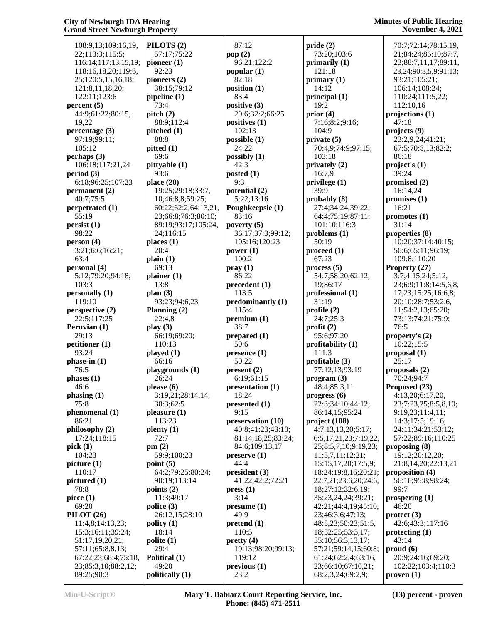108:9,13;109:16,19, 22;113:3;115:5; 116:14;117:13,15,19; 118:16,18,20;119:6, 25;120:5,15,16,18; 121:8,11,18,20; 122:11;123:6 **percent (5)** 44:9;61:22;80:15, 19,22 **percentage (3)** 97:19;99:11; 105:12 **perhaps (3)** 106:18;117:21,24 **period (3)** 6:18;96:25;107:23 **permanent (2)** 40:7;75:5 **perpetrated (1)** 55:19 **persist (1)** 98:22 **person (4)** 3:21;6:6;16:21; 63:4 **personal (4)** 5:12;79:20;94:18; 103:3 **personally (1)** 119:10 **perspective (2)** 22:5;117:25 **Peruvian (1)**  $29.13$ **petitioner (1)** 93:24 **phase-in (1)** 76:5 **phases (1)** 46:6 **phasing (1)** 75:8 **phenomenal (1)** 86:21 **philosophy (2)** 17:24;118:15 **pick (1)** 104:23 **picture (1)** 110:17 **pictured (1)** 78:8 **piece (1)** 69:20 **PILOT (26)** 11:4,8;14:13,23; 15:3;16:11;39:24; 51:17,19,20,21; 57:11;65:8,8,13; 67:22,23;68:4;75:18, 23;85:3,10;88:2,12; 89:25;90:3

**PILOTS (2)** 57:17;75:22 **pioneer (1)** 92:23 **pioneers (2)** 38:15;79:12 **pipeline (1)** 73:4 **pitch (2)** 88:9;112:4 **pitched (1)** 88:8 **pitted (1)** 69:6 **pittyable (1)** 93:6 **place (20)** 19:25;29:18;33:7, 10;46:8,8;59:25; 60:22;62:2;64:13,21, 23;66:8;76:3;80:10; 89:19;93:17;105:24, 24;116:15 **places (1)** 20:4 **plain (1)** 69:13 **plainer (1)** 13:8 **plan (3)** 93:23;94:6,23 **Planning (2)** 22:4,8 **play (3)** 66:19;69:20; 110:13 **played (1)** 66:16 **playgrounds (1)** 26:24 **please (6)** 3:19,21;28:14,14; 30:3;62:5 **pleasure (1)** 113:23 **plenty (1)** 72:7 **pm (2)** 59:9;100:23 **point (5)** 64:2;79:25;80:24; 90:19;113:14 **points (2)** 11:3;49:17 **police (3)** 26:12,15;28:10 **policy (1)** 18:14 **polite (1)** 29:4 **Political (1)** 49:20 **politically (1)**

 87:12 **pop (2)** 96:21;122:2 **popular (1)** 82:18 **position (1)** 83:4 **positive (3)** 20:6;32:2;66:25 **positives (1)** 102:13 **possible (1)** 24:22 **possibly (1)** 42:3 **posted (1)** 9:3 **potential (2)** 5:22;13:16 **Poughkeepsie (1)** 83:16 **poverty (5)** 36:17;37:3;99:12; 105:16;120:23 **power (1)** 100:2 **pray (1)** 86:22 **precedent (1)** 113:5 **predominantly (1)** 115:4 **premium (1)** 38:7 **prepared (1)** 50:6 **presence (1)** 50:22 **present (2)** 6:19;61:15 **presentation (1)** 18:24 **presented (1)** 9:15 **preservation (10)** 40:8;41:23;43:10; 81:14,18,25;83:24; 84:6;109:13,17 **preserve (1)** 44:4 **president (3)** 41:22;42:2;72:21 **press (1)** 3:14 **presume (1)** 49:9 **pretend (1)** 110:5 **pretty (4)** 19:13;98:20;99:13; 119:12 **previous (1)** 23:2

**pride (2)** 73:20;103:6 **primarily (1)** 121:18 **primary (1)** 14:12 **principal (1)** 19:2 **prior (4)** 7:16;8:2;9:16; 104:9 **private (5)** 70:4,9;74:9;97:15; 103:18 **privately (2)** 16:7,9 **privilege (1)** 39:9 **probably (8)** 27:4;34:24;39:22; 64:4;75:19;87:11; 101:10;116:3 **problems (1)** 50:19 **proceed (1)** 67:23 **process (5)** 54:7;58:20;62:12, 19;86:17 **professional (1)** 31:19 **profile (2)** 24:7;25:3 **profit (2)** 95:6;97:20 **profitability (1)** 111:3 **profitable (3)** 77:12,13;93:19 **program (3)** 48:4;85:3,11 **progress (6)** 22:3;34:10;44:12; 86:14,15;95:24 **project (108)** 4:7,13,13,20;5:17; 6:5,17,21,23;7:19,22, 25;8:5,7,10;9:19,23; 11:5,7,11;12:21; 15:15,17,20;17:5,9; 18:24;19:8,16;20:21; 22:7,21;23:6,20;24:6, 18;27:12;32:6,19; 35:23,24,24;39:21; 42:21;44:4,19;45:10, 23;46:3,6;47:13; 48:5,23;50:23;51:5, 18;52:25;53:3,17; 55:10;56:3,13,17; 57:21;59:14,15;60:8; 61:24;62:2,4;63:16, 23;66:10;67:10,21; 68:2,3,24;69:2,9;

 70:7;72:14;78:15,19, 21;84:24;86:10;87:7, 23;88:7,11,17;89:11, 23,24;90:3,5,9;91:13; 93:21;105:21; 106:14;108:24; 110:24;111:5,22; 112:10,16 **projections (1)** 47:18 **projects (9)** 23:2,9,24;41:21; 67:5;70:8,13;82:2; 86:18 **project's (1)** 39:24 **promised (2)** 16:14,24 **promises (1)** 16:21 **promotes (1)** 31:14 **properties (8)** 10:20;37:14;40:15; 56:6;65:11;96:19; 109:8;110:20 **Property (27)** 3:7;4:15,24;5:12, 23;6:9;11:8;14:5,6,8, 17,23;15:25;16:6,8; 20:10;28:7;53:2,6, 11;54:2,13;65:20; 73:13;74:21;75:9; 76:5 **property's (2)** 10:22;15:5 **proposal (1)** 25:17 **proposals (2)** 70:24;94:7 **Proposed (23)** 4:13,20;6:17,20, 23;7:23,25;8:5,8,10; 9:19,23;11:4,11; 14:3;17:5;19:16; 24:11;34:21;53:12; 57:22;89:16;110:25 **proposing (8)** 19:12;20:12,20; 21:8,14,20;22:13,21 **proposition (4)** 56:16;95:8;98:24; 99:7 **prospering (1)** 46:20 **protect (3)** 42:6;43:3;117:16 **protecting (1)** 43:14 **proud (6)** 20:9;24:16;69:20; 102:22;103:4;110:3

**proven (1)**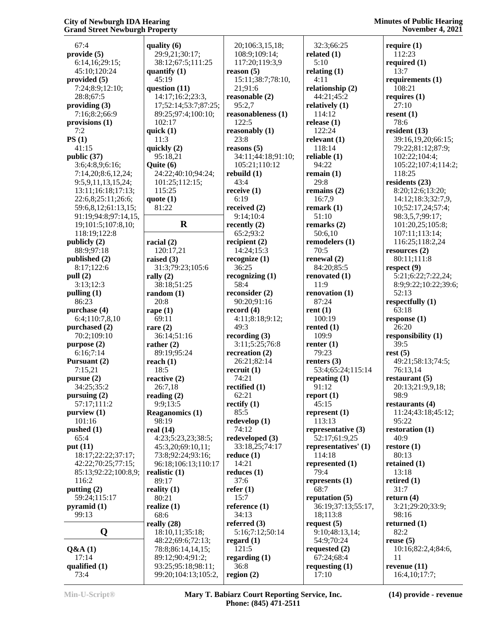67:4 **provide (5)** 6:14,16;29:15; 45:10;120:24 **provided (5)** 7:24;8:9;12:10; 28:8;67:5 **providing (3)** 7:16;8:2;66:9 **provisions (1)** 7:2 **PS (1)** 41:15 **public (37)** 3:6;4:8,9;6:16; 7:14,20;8:6,12,24; 9:5,9,11,13,15,24; 13:11;16:18;17:13; 22:6,8;25:11;26:6; 59:6,8,12;61:13,15; 91:19;94:8;97:14,15, 19;101:5;107:8,10; 118:19;122:8 **publicly (2)** 88:9;97:18 **published (2)** 8:17;122:6 **pull (2)** 3:13;12:3 **pulling (1)** 86:23 **purchase (4)** 6:4;110:7,8,10 **purchased (2)** 70:2;109:10 **purpose (2)** 6:16;7:14 **Pursuant (2)** 7:15,21 **pursue (2)** 34:25;35:2 **pursuing (2)** 57:17;111:2 **purview (1)** 101:16 **pushed (1)** 65:4 **put (11)** 18:17;22:22;37:17; 42:22;70:25;77:15; 85:13;92:22;100:8,9; 116:2 **putting (2)** 59:24;115:17 **pyramid (1)** 99:13 **Q Q&A (1)** 17:14 **qualified (1) rape (1) rare (2)**

**quality (6)** 29:9,21;30:17; 38:12;67:5;111:25 **quantify (1)** 45:19 **question (11)** 14:17;16:2;23:3, 17;52:14;53:7;87:25; 89:25;97:4;100:10; 102:17 **quick (1)** 11:3 **quickly (2)** 95:18,21 **Quite (6)** 24:22;40:10;94:24; 101:25;112:15; 115:25 **quote (1)** 81:22 **R recently (2) racial (2)** 120:17,21 **raised (3)** 31:3;79:23;105:6 **rally (2)** 38:18;51:25 **random (1)** 20:8 69:11 36:14;51:16 **rather (2)** 89:19;95:24 **reach (1)** 18:5 **reactive (2)** 26:7,18 **reading (2)** 9:9;13:5 **Reaganomics (1)** 98:19 **real (14)** 4:23;5:23,23;38:5; 45:3,20;69:10,11; 73:8;92:24;93:16; 96:18;106:13;110:17 **realistic (1)** 89:17 **reality (1)** 80:21 **realize (1)** 68:6 **really (28)** 18:10,11;35:18; 48:22;69:6;72:13; 78:8;86:14,14,15; 89:12;90:4;91:2; 93:25;95:18;98:11; 99:20;104:13;105:2, 20;106:3,15,18; 108:9;109:14; 117:20;119:3,9 **reason (5)** 15:11;38:7;78:10, 21;91:6 **reasonable (2)** 95:2,7 **reasonableness (1)** 122:5 **reasonably (1)** 23:8 **reasons (5)** 34:11;44:18;91:10; 105:21;110:12 **rebuild (1)** 43:4 **receive (1)**  $6.19$ **received (2)** 9:14;10:4 65:2;93:2 **recipient (2)** 14:24;15:3 **recognize (1)** 36:25 **recognizing (1)** 58:4 **reconsider (2)** 90:20;91:16 **record (4)** 4:11;8:18;9:12; 49:3 **recording (3)** 3:11;5:25;76:8 **recreation (2)** 26:21;82:14 **recruit (1)** 74:21 **rectified (1)** 62:21 **rectify (1)** 85:5 **redevelop (1)** 74:12 **redeveloped (3)** 33:18,25;74:17 **reduce (1)** 14:21 **reduces (1)** 37:6 **refer (1)** 15:7 **reference (1)** 34:13 **referred (3)** 5:16;7:12;50:14 **regard (1)** 121:5 **regarding (1)** 36:8 **region (2)**

 32:3;66:25 **related (1)** 5:10 **relating (1)** 4:11 **relationship (2)** 44:21;45:2 **relatively (1)** 114:12 **release (1)** 122:24 **relevant (1)** 118:14 **reliable (1)** 94:22 **remain (1)** 29:8 **remains (2)** 16:7,9 **remark (1)** 51:10 **remarks (2)** 50:6,10 **remodelers (1)** 70:5 **renewal (2)** 84:20;85:5 **renovated (1)** 11:9 **renovation (1)** 87:24 **rent (1)** 100:19 **rented (1)** 109:9 **renter (1)** 79:23 **renters (3)** 53:4;65:24;115:14 **repeating (1)** 91:12 **report (1)** 45:15 **represent (1)** 113:13 **representative (3)** 52:17;61:9,25 **representatives' (1)** 114:18 **represented (1)** 79:4 **represents (1)** 68:7 **reputation (5)** 36:19;37:13;55:17, 18;113:8 **request (5)** 9:10;48:13,14; 54:9;70:24 **requested (2)** 67:24;68:4 **requesting (1)** 17:10

**require (1)** 112:23 **required (1)** 13:7 **requirements (1)** 108:21 **requires (1)** 27:10 **resent (1)** 78:6 **resident (13)** 39:16,19,20;66:15; 79:22;81:12;87:9; 102:22;104:4; 105:22;107:4;114:2; 118:25 **residents (23)** 8:20;12:6;13:20; 14:12;18:3;32:7,9, 10;52:17,24;57:4; 98:3,5,7;99:17; 101:20,25;105:8; 107:11;113:14; 116:25;118:2,24 **resources (2)** 80:11;111:8 **respect (9)** 5:21;6:22;7:22,24; 8:9;9:22;10:22;39:6; 52:13 **respectfully (1)** 63:18 **response (1)** 26:20 **responsibility (1)** 39:5 **rest (5)** 49:21;58:13;74:5; 76:13,14 **restaurant (5)** 20:13;21:9,9,18; 98:9 **restaurants (4)** 11:24;43:18;45:12; 95:22 **restoration (1)** 40:9 **restore (1)** 80:13 **retained (1)** 13:18 **retired (1)** 31:7 **return (4)** 3:21;29:20;33:9; 98:16 **returned (1)** 82:2 **reuse (5)** 10:16;82:2,4;84:6, 11 **revenue (11)** 16:4,10;17:7;

73:4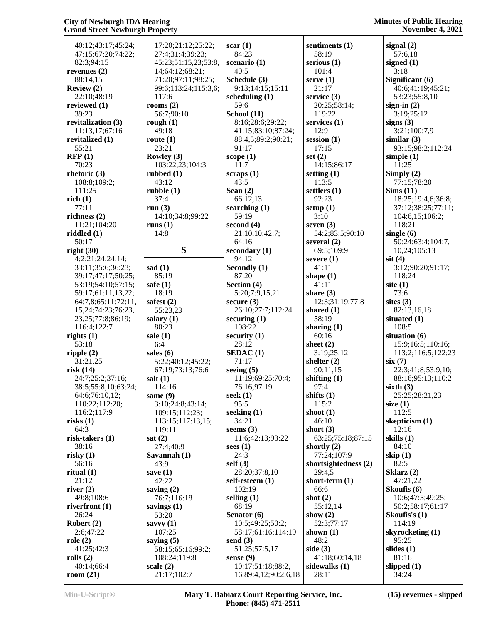| 40:12;43:17;45:24;     | 17:20;21:12;25:22;   | scar(1)              | sentiments (1)            | signal $(2)$                 |
|------------------------|----------------------|----------------------|---------------------------|------------------------------|
| 47:15;67:20;74:22;     | 27:4;31:4;39:23;     | 84:23                | 58:19                     | 57:6,18                      |
| 82:3;94:15             | 45:23;51:15,23;53:8, | scenario (1)         | serious $(1)$             | signed $(1)$                 |
| revenues $(2)$         | 14;64:12;68:21;      | 40:5                 | 101:4                     | 3:18                         |
| 88:14,15               | 71:20;97:11;98:25;   | Schedule (3)         | serve $(1)$               | Significant (6)              |
| Review (2)             | 99:6;113:24;115:3,6; | 9:13;14:15;15:11     | 21:17                     | 40:6;41:19;4                 |
| 22:10;48:19            | 117:6                | scheduling $(1)$     | service $(3)$             | 53:23;55:8,1                 |
| reviewed (1)           | rooms $(2)$          | 59:6                 | 20:25;58:14;              | sign-in $(2)$                |
| 39:23                  | 56:7;90:10           | School (11)          | 119:22                    | 3:19;25:12                   |
| revitalization (3)     | rough $(1)$          | 8:16;28:6;29:22;     | services (1)              | signs $(3)$                  |
| 11:13,17;67:16         | 49:18                | 41:15;83:10;87:24;   | 12:9                      | 3:21;100:7,9                 |
| revitalized (1)        | route $(1)$          | 88:4,5;89:2;90:21;   | session $(1)$             | similar $(3)$                |
| 55:21                  | 23:21                | 91:17                | 17:15                     | 93:15;98:2;1                 |
| RFP(1)                 | Rowley (3)           | scope $(1)$          | set $(2)$                 | simple $(1)$                 |
| 70:23                  | 103:22,23;104:3      | 11:7                 | 14:15;86:17               | 11:25                        |
| rhetoric $(3)$         | rubbed $(1)$         | scraps(1)            | setting $(1)$             | Simply (2)                   |
| 108:8;109:2;           | 43:12                | 43:5                 | 113:5                     | 77:15;78:20                  |
| 111:25                 | rubble(1)            | Sean $(2)$           | settlers $(1)$            | Sims(11)                     |
| rich(1)                | 37:4                 | 66:12,13             | 92:23                     | 18:25;19:4,6                 |
| 77:11                  | run $(3)$            | searching $(1)$      | setup $(1)$               | 37:12;38:25;                 |
| richness $(2)$         | 14:10;34:8;99:22     | 59:19                | 3:10                      | 104:6,15;10                  |
| 11:21;104:20           | runs $(1)$           | second $(4)$         | seven $(3)$               | 118:21                       |
| riddled $(1)$          | 14:8                 | 21:10,10;42:7;       | 54:2;83:5;90:10           | single $(6)$                 |
| 50:17                  |                      | 64:16                | several $(2)$             | 50:24;63:4;1                 |
| right(30)              | S                    | secondary (1)        | 69:5;109:9                | 10,24;105:13                 |
| 4:2;21:24;24:14;       |                      | 94:12                | severe $(1)$              | $s$ it $(4)$                 |
| 33:11;35:6;36:23;      | sad $(1)$            | Secondly (1)         | 41:11                     | 3:12;90:20;9                 |
| 39:17;47:17;50:25;     | 85:19                | 87:20                | shape $(1)$               | 118:24                       |
| 53:19;54:10;57:15;     | safe $(1)$           | Section (4)          | 41:11                     | site $(1)$                   |
| 59:17;61:11,13,22;     | 18:19                | 5:20;7:9,15,21       | share $(3)$               | 73:6                         |
| 64:7,8;65:11;72:11,    | safest $(2)$         | secure $(3)$         | 12:3;31:19;77:8           | sites $(3)$                  |
| 15,24;74:23;76:23,     | 55:23,23             | 26:10;27:7;112:24    | shared $(1)$              | 82:13,16,18                  |
| 23, 25; 77: 8; 86: 19; | salary $(1)$         | securing $(1)$       | 58:19                     | situated $(1)$               |
| 116:4;122:7            | 80:23                | 108:22               | sharing $(1)$             | 108:5                        |
| rights $(1)$           | sale $(1)$<br>6:4    | security $(1)$       | 60:16                     | situation (6)                |
| 53:18<br>ripple(2)     | sales (6)            | 28:12<br>SEDAC(1)    | sheet $(2)$<br>3:19;25:12 | 15:9;16:5;11<br>113:2;116:5; |
| 31:21,25               | 5:22;40:12;45:22;    | 71:17                | shelter $(2)$             | six(7)                       |
| risk(14)               | 67:19;73:13;76:6     | seeing $(5)$         | 90:11,15                  | 22:3;41:8;53                 |
| 24:7;25:2;37:16;       | salt $(1)$           | 11:19:69:25:70:4:    | shifting $(1)$            | 88:16;95:13;                 |
| 38:5;55:8,10;63:24;    | 114:16               | 76:16;97:19          | 97:4                      | sixth $(3)$                  |
| 64:6;76:10,12;         | same (9)             | seek $(1)$           | shifts $(1)$              | 25:25;28:21,                 |
| 110:22;112:20;         | 3:10;24:8;43:14;     | 95:5                 | 115:2                     | size $(1)$                   |
| 116:2;117:9            | 109:15;112:23;       | seeking $(1)$        | shoot $(1)$               | 112:5                        |
| risks(1)               | 113:15;117:13,15;    | 34:21                | 46:10                     | skepticism (1)               |
| 64:3                   | 119:11               | seems $(3)$          | short $(3)$               | 12:16                        |
| risk-takers (1)        | sat(2)               | 11:6;42:13;93:22     | 63:25;75:18;87:15         | skills (1)                   |
| 38:16                  | 27:4;40:9            | sees $(1)$           | shortly $(2)$             | 84:10                        |
| risky(1)               | Savannah (1)         | 24:3                 | 77:24;107:9               | skip $(1)$                   |
| 56:16                  | 43:9                 | self(3)              | shortsightedness (2)      | 82:5                         |
| ritual $(1)$           | save $(1)$           | 28:20;37:8,10        | 29:4,5                    | Sklarz $(2)$                 |
| 21:12                  | 42:22                | self-esteem (1)      | short-term $(1)$          | 47:21,22                     |
| river $(2)$            | saving $(2)$         | 102:19               | 66:6                      | Skoufis (6)                  |
| 49:8;108:6             | 76:7;116:18          | selling $(1)$        | shot $(2)$                | 10:6;47:5;49                 |
| riverfront $(1)$       | savings $(1)$        | 68:19                | 55:12,14                  | 50:2;58:17;6                 |
| 26:24                  | 53:20                | Senator (6)          | show $(2)$                | Skoufis's (1)                |
| Robert $(2)$           | savvy $(1)$          | 10:5;49:25;50:2;     | 52:3;77:17                | 114:19                       |
| 2:6;47:22              | 107:25               | 58:17;61:16;114:19   | shown $(1)$               | skyrocketing (               |
| role(2)                | saying $(5)$         | send $(3)$           | 48:2                      | 95:25                        |
| 41:25;42:3             | 58:15;65:16;99:2;    | 51:25;57:5,17        | side $(3)$                | slides $(1)$                 |
| rolls $(2)$            | 108:24;119:8         | sense $(9)$          | 41:18;60:14,18            | 81:16                        |
| 40:14;66:4             | scale $(2)$          | 10:17;51:18;88:2,    | sidewalks $(1)$           | slipped $(1)$                |
| room $(21)$            | 21:17;102:7          | 16;89:4,12;90:2,6,18 | 28:11                     | 34:24                        |

 57:6,18 **signed (1)** 3:18 **Significant (6)** 40:6;41:19;45:21; 53:23;55:8,10 **sign-in (2)** 3:19;25:12 **signs (3)** 3:21;100:7,9 **similar (3)** 93:15;98:2;112:24 **simple (1)** 11:25 **Simply (2)** 77:15;78:20 **Sims (11)** 18:25;19:4,6;36:8; 37:12;38:25;77:11; 104:6,15;106:2; 118:21 **single (6)** 50:24;63:4;104:7, 10,24;105:13 **sit (4)** 3:12;90:20;91:17; 118:24 **site (1)** 73:6 **sites (3)** 82:13,16,18 **situated (1)** 108:5 **situation (6)** 15:9;16:5;110:16; 113:2;116:5;122:23 **six (7)** 22:3;41:8;53:9,10; 88:16;95:13;110:2 **sixth (3)** 25:25;28:21,23 **size (1)** 112:5 **skepticism (1)** 12:16 84:10 **skip (1)** 82:5 **Sklarz (2)** 47:21,22 **Skoufis (6)** 10:6;47:5;49:25; 50:2;58:17;61:17 **Skoufis's (1)** 114:19 **skyrocketing (1)** 95:25 **slides (1)** 81:16 **slipped (1)** 34:24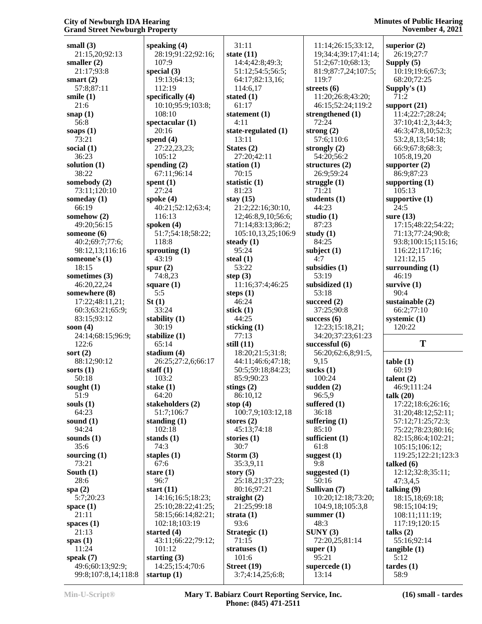**small (3)** 21:15,20;92:13 **smaller (2)** 21:17;93:8 **smart (2)** 57:8;87:11 **smile (1)** 21:6 **snap (1)** 56:8 **soaps (1)** 73:21 **social (1)** 36:23 **solution (1)** 38:22 **somebody (2)** 73:11;120:10 **someday (1)** 66:19 **somehow (2)** 49:20;56:15 **someone (6)** 40:2;69:7;77:6; 98:12,13;116:16 **someone's (1)** 18:15 **sometimes (3)** 46:20,22,24 **somewhere (8)** 17:22;48:11,21; 60:3;63:21;65:9; 83:15;93:12 **soon (4)** 24:14;68:15;96:9; 122:6 **sort (2)** 88:12;90:12 **sorts (1)** 50:18 **sought (1)** 51:9 **souls (1)** 64:23 **sound (1)** 94:24 **sounds (1)** 35:6 **sourcing (1)** 73:21 **South (1)** 28:6 **spa (2)** 5:7;20:23 **space (1)** 21:11 **spaces (1)** 21:13 **spas (1)** 11:24 **speak (7)** 49:6;60:13;92:9; 99:8;107:8,14;118:8 **startup (1)**

**speaking (4)** 28:19;91:22;92:16; 107:9 **special (3)** 19:13;64:13; 112:19 **specifically (4)** 10:10;95:9;103:8; 108:10 **spectacular (1)** 20:16 **spend (4)** 27:22,23,23; 105:12 **spending (2)** 67:11;96:14 **spent (1)** 27:24 **spoke (4)** 40:21;52:12;63:4; 116:13 **spoken (4)** 51:7;54:18;58:22; 118:8 **sprouting (1)** 43:19 **spur (2)** 74:8,23 **square (1)** 5:5 **St (1)** 33:24 **stability (1)** 30:19 **stabilize (1)** 65:14 **stadium (4)** 26:25;27:2,6;66:17 **staff (1)** 103:2 **stake (1)** 64:20 **stakeholders (2)** 51:7;106:7 **standing (1)** 102:18 **stands (1)** 74:3 **staples (1)** 67:6 **stare (1)** 96:7 **start (11)** 14:16;16:5;18:23; 25:10;28:22;41:25; 58:15;66:14;82:21; 102:18;103:19 **started (4)** 43:11;66:22;79:12; 101:12 **starting (3)** 14:25;15:4;70:6

 31:11 **state (11)** 14:4;42:8;49:3; 51:12;54:5;56:5; 64:17;82:13,16; 114:6,17 **stated (1)** 61:17 **statement (1)** 4:11 **state-regulated (1)** 13:11 **States (2)** 27:20;42:11 **station (1)** 70:15 **statistic (1)** 81:23 **stay (15)** 21:2;22:16;30:10, 12;46:8,9,10;56:6; 71:14;83:13;86:2; 105:10,13,25;106:9 **steady (1)** 95:24 **steal (1)** 53:22 **step (3)** 11:16;37:4;46:25 **steps (1)** 46:24 **stick (1)** 44:25 **sticking (1)** 77:13 **still (11)** 18:20;21:5;31:8; 44:11;46:6;47:18; 50:5;59:18;84:23; 85:9;90:23 **stings (2)** 86:10,12 **stop (4)** 100:7,9;103:12,18 **stores (2)** 45:13;74:18 **stories (1)** 30:7 **Storm (3)** 35:3,9,11 **story (5)** 25:18,21;37:23; 80:16;97:21 **straight (2)** 21:25;99:18 **strata (1)** 93:6 **Strategic (1)** 71:15 **stratuses (1)** 101:6 **Street (19)** 3:7;4:14,25;6:8;

 11:14;26:15;33:12, 19;34:4;39:17;41:14; 51:2;67:10;68:13; 81:9;87:7,24;107:5; 119:7 **streets (6)** 11:20;26:8;43:20; 46:15;52:24;119:2 **strengthened (1)** 72:24 **strong (2)** 57:6;110:6 **strongly (2)** 54:20;56:2 **structures (2)** 26:9;59:24 **struggle (1)** 71:21 **students (1)** 44:23 **studio (1)** 87:23 **study (1)** 84:25 **subject (1)** 4:7 **subsidies (1)** 53:19 **subsidized (1)** 53:18 **succeed (2)** 37:25;90:8 **success (6)** 12:23;15:18,21; 34:20;37:23;61:23 **successful (6)** 56:20;62:6,8;91:5, 9,15 **sucks (1)** 100:24 **sudden (2)** 96:5,9 **suffered (1)** 36:18 **suffering (1)** 85:10 **sufficient (1)** 61:8 **suggest (1)** 9:8 **suggested (1)** 50:16 **Sullivan (7)** 10:20;12:18;73:20; 104:9,18;105:3,8 **summer (1)** 48:3 **SUNY (3)** 72:20,25;81:14 **super (1)** 95:21 **supercede (1)** 13:14

**superior (2)** 26:19;27:7 **Supply (5)** 10:19;19:6;67:3; 68:20;72:25 **Supply's (1)** 71:2 **support (21)** 11:4;22:7;28:24; 37:10;41:2,3;44:3; 46:3;47:8,10;52:3; 53:2,8,13;54:18; 66:9;67:8;68:3; 105:8,19,20 **supporter (2)** 86:9;87:23 **supporting (1)** 105:13 **supportive (1)** 24:5 **sure (13)** 17:15;48:22;54:22; 71:13;77:24;90:8; 93:8;100:15;115:16; 116:22;117:16; 121:12,15 **surrounding (1)** 46:19 **survive (1)** 90:4 **sustainable (2)** 66:2;77:10 **systemic (1)** 120:22

## **T**

**table (1)** 60:19 **talent (2)** 46:9;111:24 **talk (20)** 17:22;18:6;26:16; 31:20;48:12;52:11; 57:12;71:25;72:3; 75:22;78:23;80:16; 82:15;86:4;102:21; 105:15;106:12; 119:25;122:21;123:3 **talked (6)** 12:12;32:8;35:11; 47:3,4,5 **talking (9)** 18:15,18;69:18; 98:15;104:19; 108:11;111:19; 117:19;120:15 **talks (2)** 55:16;92:14 **tangible (1)** 5:12 **tardes (1)**

58:9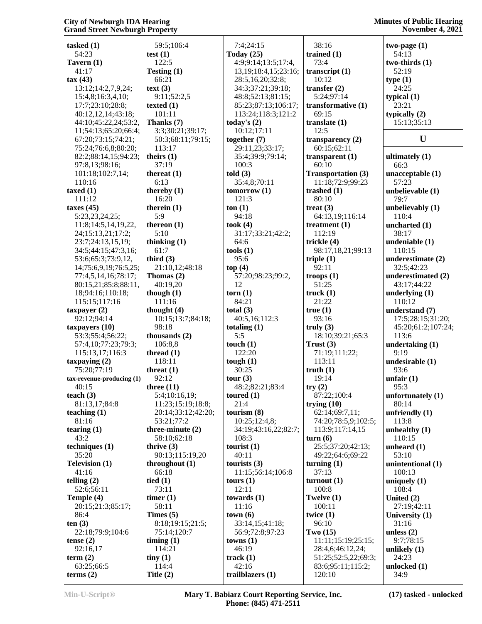| tasked $(1)$                           | 59:5;106:4              | 7:4;24:15                  | 38:16                        | two-page $(1)$          |
|----------------------------------------|-------------------------|----------------------------|------------------------------|-------------------------|
| 54:23                                  | test $(1)$              | Today $(25)$               | trained $(1)$                | 54:13                   |
| Tavern $(1)$                           | 122:5                   | 4:9;9:14;13:5;17:4,        | 73:4                         | two-thirds (1)          |
| 41:17                                  | Testing (1)             | 13, 19; 18: 4, 15; 23: 16; | transcript $(1)$             | 52:19                   |
| tax(43)                                | 66:21                   | 28:5,16,20;32:8;           | 10:12                        | type(1)                 |
| 13:12;14:2,7,9,24;                     | text (3)                | 34:3;37:21;39:18;          | transfer $(2)$               | 24:25                   |
| 15:4,8;16:3,4,10;                      | 9:11;52:2,5             | 48:8;52:13;81:15;          | 5:24;97:14                   | typical $(1)$           |
| 17:7;23:10;28:8;                       | texted $(1)$            | 85:23;87:13;106:17;        | transformative (1)           | 23:21                   |
| 40:12,12,14;43:18;                     | 101:11                  | 113:24;118:3;121:2         | 69:15                        | typically $(2)$         |
| 44:10;45:22,24;53:2,                   | Thanks (7)              | today's $(2)$              | translate $(1)$              | 15:13;35:13             |
| 11;54:13;65:20;66:4;                   | 3:3;30:21;39:17;        | 10:12;17:11                | 12:5                         |                         |
| 67:20;73:15;74:21;                     | 50:3;68:11;79:15;       | together $(7)$             | transparency $(2)$           | U                       |
| 75:24;76:6,8;80:20;                    | 113:17                  | 29:11,23;33:17;            | 60:15;62:11                  |                         |
| 82:2;88:14,15;94:23;                   | theirs $(1)$            | 35:4;39:9;79:14;           | transparent $(1)$            | ultimately $(1)$        |
| 97:8,13;98:16;                         | 37:19                   | 100:3                      | 60:10                        | 66:3                    |
| 101:18;102:7,14;                       | thereat $(1)$           | told(3)                    | <b>Transportation (3)</b>    | unacceptable(1)         |
| 110:16                                 | 6:13                    | 35:4,8;70:11               | 11:18;72:9;99:23             | 57:23                   |
| taxed $(1)$                            | thereby $(1)$           | tomorrow(1)                | trashed $(1)$                | unbelievable (1)        |
| 111:12                                 | 16:20                   | 121:3                      | 80:10                        | 79:7                    |
| taxes $(45)$                           | therein $(1)$           | ton(1)                     | treat $(3)$                  | unbelievably (1)        |
| 5:23,23,24,25;                         | 5:9                     | 94:18                      | 64:13,19;116:14              | 110:4                   |
| 11:8;14:5,14,19,22,                    | thereon $(1)$           | took $(4)$                 | treatment $(1)$              | uncharted (1)           |
| 24;15:13,21;17:2;                      | 5:10                    | 31:17;33:21;42:2;          | 112:19                       | 38:17                   |
| 23:7:24:13,15,19;                      | thinking $(1)$          | 64:6                       | trickle (4)                  | undeniable (1)          |
| 34:5;44:15;47:3,16;                    | 61:7                    | tools(1)                   | 98:17,18,21;99:13            | 110:15                  |
| 53:6;65:3;73:9,12,                     | third $(3)$             | 95:6                       | triple $(1)$                 | underestimate (2)       |
| 14;75:6,9,19;76:5,25;                  | 21:10,12;48:18          | top(4)                     | 92:11                        | 32:5;42:23              |
| 77:4,5,14,16;78:17;                    | Thomas $(2)$            | 57:20;98:23;99:2,          | troops $(1)$                 | underestimated (2)      |
| 80:15,21;85:8;88:11,                   | 40:19,20                | 12                         | 51:25                        | 43:17;44:22             |
| 18;94:16;110:18;                       | though $(1)$            | $\textbf{torn}$ (1)        | truck $(1)$                  | underlying $(1)$        |
| 115:15;117:16                          | 111:16                  | 84:21                      | 21:22                        | 110:12                  |
| $t$ axpayer $(2)$                      | thought $(4)$           | total $(3)$                | true(1)                      | understand (7)          |
| 92:12;94:14                            | 10:15;13:7;84:18;       | 40:5,16;112:3              | 93:16                        | 17:5;28:15;31:20;       |
| taxpayers (10)                         | 98:18                   | totaling $(1)$             | truly $(3)$                  | 45:20;61:2;107:24;      |
| 53:3;55:4;56:22;                       | thousands $(2)$         | 5:5<br>touch $(1)$         | 18:10;39:21;65:3             | 113:6                   |
| 57:4,10;77:23;79:3;<br>115:13,17;116:3 | 106:8,8<br>thread $(1)$ | 122:20                     | Trust $(3)$<br>71:19;111:22; | undertaking (1)<br>9:19 |
| taxpaying $(2)$                        | 118:11                  | tough $(1)$                | 113:11                       | undesirable (1)         |
| 75:20;77:19                            | threat $(1)$            | 30:25                      | truth(1)                     | 93:6                    |
| tax-revenue-producing (1)              | 92:12                   | tour $(3)$                 | 19:14                        | unfair $(1)$            |
| 40:15                                  | three $(11)$            | 48:2;82:21;83:4            | try(2)                       | 95:3                    |
| teach $(3)$                            | 5:4;10:16,19;           | toured $(1)$               | 87:22;100:4                  | unfortunately $(1)$     |
| 81:13,17;84:8                          | 11:23;15:19;18:8;       | 21:4                       | trying $(10)$                | 80:14                   |
| teaching $(1)$                         | 20:14;33:12;42:20;      | tourism $(8)$              | 62:14;69:7,11;               | unfriendly $(1)$        |
| 81:16                                  | 53:21;77:2              | 10:25;12:4,8;              | 74:20;78:5,9;102:5;          | 113:8                   |
| tearing $(1)$                          | three-minute $(2)$      | 34:19;43:16,22;82:7;       | 113:9;117:14,15              | unhealthy $(1)$         |
| 43:2                                   | 58:10;62:18             | 108:3                      | turn(6)                      | 110:15                  |
| techniques $(1)$                       | thrive $(3)$            | tourist $(1)$              | 25:5;37:20;42:13;            | unheard $(1)$           |
| 35:20                                  | 90:13;115:19,20         | 40:11                      | 49:22;64:6;69:22             | 53:10                   |
| <b>Television (1)</b>                  | throughout (1)          | tourists $(3)$             | turning $(1)$                | unintentional (1)       |
| 41:16                                  | 66:18                   | 11:15;56:14;106:8          | 37:13                        | 100:13                  |
| telling $(2)$                          | tied $(1)$              | tours $(1)$                | turnout(1)                   | uniquely $(1)$          |
| 52:6;56:11                             | 73:11                   | 12:11                      | 100:8                        | 108:4                   |
| Temple (4)                             | $time(1)$               | towards $(1)$              | Twelve (1)                   | United $(2)$            |
| 20:15;21:3;85:17;                      | 58:11                   | 11:16                      | 100:11                       | 27:19;42:11             |
| 86:4                                   | Times $(5)$             | town(6)                    | twice $(1)$                  | University $(1)$        |
| ten(3)                                 | 8:18;19:15;21:5;        | 33:14,15;41:18;            | 96:10                        | 31:16                   |
| 22:18;79:9;104:6                       | 75:14;120:7             | 56:9;72:8;97:23            | Two $(15)$                   | unless $(2)$            |
| tense $(2)$                            | $\liminf(1)$            | towns(1)                   | 11:11;15:19;25:15;           | 9:7;78:15               |
| 92:16,17                               | 114:21                  | 46:19                      | 28:4,6;46:12,24;             | unlikely $(1)$          |
| term $(2)$                             | tiny(1)                 | track $(1)$                | 51:25;52:5,22;69:3;          | 24:23                   |
| 63:25;66:5                             | 114:4                   | 42:16                      | 83:6;95:11;115:2;            | unlocked (1)            |
| terms $(2)$                            | Title $(2)$             | trailblazers (1)           | 120:10                       | 34:9                    |

**Min-U-Script® Mary T. Babiarz Court Reporting Service, Inc. Phone: (845) 471-2511**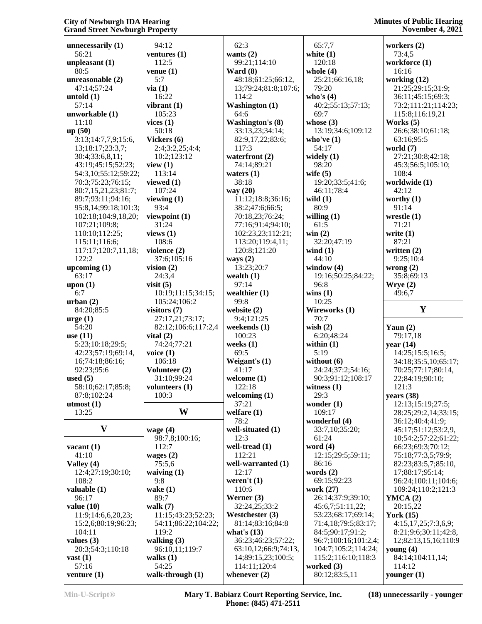| unnecessarily $(1)$                    | 94:12                      | 62:3                  |
|----------------------------------------|----------------------------|-----------------------|
| 56:21                                  | ventures $(1)$             | wants $(2)$           |
| unpleasant $(1)$                       | 112:5                      | 99:21;114:1           |
| 80:5                                   | venue $(1)$                | Ward $(8)$            |
| unreasonable (2)                       | 5:7                        | 48:18;61:25           |
| 47:14;57:24                            | via(1)                     | 13;79:24;81           |
| untold $(1)$                           | 16:22                      | 114:2                 |
| 57:14                                  | vibrant (1)                | <b>Washington</b>     |
| unworkable (1)                         | 105:23                     | 64:6                  |
| 11:10                                  | vices $(1)$                | Washington's          |
| up(50)                                 | 50:18                      | 33:13,23;34           |
| 3:13;14:7,7,9;15:6,                    | Vickers (6)                | 82:9,17,22;           |
| 13;18:17;23:3,7;                       | 2:4;3:2,25;4:4;            | 117:3                 |
| 30:4;33:6,8,11;                        | 10:2;123:12                | waterfront (2         |
| 43:19;45:15;52:23;                     | view(1)                    | 74:14;89:21           |
| 54:3,10;55:12;59:22;                   | 113:14                     | waters $(1)$          |
| 70:3;75:23;76:15;                      | viewed $(1)$               | 38:18                 |
| 80:7,15,21,23;81:7;                    | 107:24                     | way (20)              |
| 89:7;93:11;94:16;                      | viewing $(1)$              | 11:12;18:8;           |
| 95:8,14;99:18;101:3;                   | 93:4                       | 38:2;47:6;6           |
| 102:18;104:9,18,20;                    | viewpoint (1)              | 70:18,23;76           |
| 107:21;109:8;                          | 31:24                      | 77:16;91:4;           |
| 110:10;112:25;                         | views $(1)$                | 102:23,23;1           |
| 115:11;116:6;                          | 108:6                      | 113:20;119            |
| 117:17;120:7,11,18;                    | violence (2)               | 120:8;121:2           |
| 122:2                                  | 37:6;105:16                | ways $(2)$            |
| upcoming $(1)$                         | vision $(2)$               | 13:23;20:7            |
| 63:17                                  | 24:3,4                     | wealth $(1)$          |
| upon (1)                               | visit $(5)$                | 97:14                 |
| 6:7                                    | 10:19;11:15;34:15;         | wealthier (1)         |
| urban(2)                               | 105:24;106:2               | 99:8                  |
| 84:20;85:5                             | visitors (7)               | website (2)           |
| $\arg e(1)$<br>54:20                   | 27:17,21;73:17;            | 9:4;121:25            |
|                                        | 82:12;106:6;117:2,4        | weekends (1)          |
| use $(11)$                             | vital $(2)$                | 100:23<br>weeks $(1)$ |
| 5:23;10:18;29:5;<br>42:23;57:19;69:14, | 74:24;77:21<br>voice $(1)$ | 69:5                  |
| 16;74:18;86:16;                        | 106:18                     | Weigant's (1)         |
| 92:23;95:6                             | Volunteer (2)              | 41:17                 |
| used $(5)$                             | 31:10;99:24                | welcome (1)           |
| 58:10;62:17;85:8;                      | volunteers (1)             | 122:18                |
| 87:8;102:24                            | 100:3                      | welcoming (1          |
| utmost $(1)$                           |                            | 37:21                 |
| 13:25                                  | W                          | welfare $(1)$         |
|                                        |                            | 78:2                  |
| V                                      | wage $(4)$                 | well-situated         |
|                                        | 98:7,8;100:16;             | 12:3                  |
| vacant $(1)$                           | 112:7                      | well-tread (1)        |
| 41:10                                  | wages $(2)$                | 112:21                |
| Valley (4)                             | 75:5,6                     | well-warrant          |
| 12:4;27:19;30:10;                      | waiving $(1)$              | 12:17                 |
| 108:2                                  | 9:8                        | weren't $(1)$         |
| valuable (1)                           | wake $(1)$                 | 110:6                 |
| 96:17                                  | 89:7                       | Werner (3)            |
| value $(10)$                           | walk $(7)$                 | 32:24,25;33           |
| 11:9;14:6,6,20,23;                     | 11:15;43:23;52:23;         | Westchester           |
| 15:2,6;80:19;96:23;                    | 54:11;86:22;104:22;        | 81:14;83:16           |
| 104:11                                 | 119:2                      | what's $(13)$         |
| values $(3)$                           | walking (3)                | 36:23;46:23           |
| 20:3;54:3;110:18                       | 96:10,11;119:7             | 63:10,12;66           |
| $\text{vast}(1)$                       | walks $(1)$                | 14;89:15,23           |
| 57:16                                  | 54:25                      | 114:11;120            |
| venture $(1)$                          | walk-through (1)           | whenever $(2)$        |

| 62:3                                 | 6                    |
|--------------------------------------|----------------------|
| wants $(2)$                          | whi                  |
| 99:21;114:10                         | 1                    |
| Ward (8)                             | wh                   |
| 48:18;61:25;66:12,                   | 2                    |
| 13;79:24;81:8;107:6;                 | 7                    |
| 114:2                                | wh                   |
| <b>Washington</b> (1)<br>64:6        | 4                    |
| <b>Washington's (8)</b>              | 6<br>wh              |
| 33:13,23;34:14;                      | 1                    |
| 82:9,17,22;83:6;                     | wh                   |
| 117:3                                | 5                    |
| waterfront (2)                       | wid                  |
| 74:14;89:21                          | ç                    |
| waters (1)                           | wif                  |
| 38:18                                | 1                    |
| way (20)                             | 4                    |
| 11:12;18:8;36:16;                    | wil                  |
| 38:2;47:6;66:5;                      | 8                    |
| 70:18,23;76:24;<br>77:16;91:4;94:10; | wil                  |
| 102:23,23;112:21;                    | 6<br>wir             |
| 113:20;119:4,11;                     | 3                    |
| 120:8;121:20                         | wir                  |
| ways $(2)$                           | 4                    |
| 13:23;20:7                           | wir                  |
| wealth (1)                           | 1                    |
| 97:14                                | ç                    |
| wealthier (1)                        | wir                  |
| 99:8                                 | 1                    |
| website (2)                          | Wi                   |
| 9:4;121:25                           | 7                    |
| weekends (1)                         | wis                  |
| 100:23<br>weeks (1)                  | 6<br>wit             |
| 69:5                                 | 5                    |
| Weigant's (1)                        | wit                  |
| 41:17                                | 2                    |
| welcome (1)                          | ç                    |
| 122:18                               | wit                  |
| welcoming (1)                        | 2                    |
| 37:21                                | <b>WO</b>            |
| welfare (1)                          | 1                    |
| 78:2                                 | WOI                  |
| well-situated (1)                    | 3                    |
| 12:3<br>well-tread (1)               | 6                    |
| 112:21                               | WO <sub>l</sub><br>1 |
| well-warranted (1)                   | 8                    |
| 12:17                                | WOI                  |
| weren't $(1)$                        | 6                    |
| 110:6                                | WOI                  |
| Werner (3)                           | 2                    |
| 32:24,25;33:2                        | 4                    |
| Westchester (3)                      | 5                    |
| 81:14;83:16;84:8                     | 7                    |
| what's $(13)$                        | 8                    |
| 36:23;46:23;57:22;                   | ç                    |
| 63:10,12;66:9;74:13,                 | 1                    |
| 14;89:15,23;100:5;<br>114:11:120:4   | 1<br><b>WO</b>       |
|                                      |                      |

 65:7,7 **white (1)** 120:18 **whole (4)** 25:21;66:16,18; 79:20 **who's (4)** 40:2;55:13;57:13; 69:7 **whose (3)** 13:19;34:6;109:12 **who've (1)** 54:17 **widely (1)** 98:20 **wife (5)** 19:20;33:5;41:6; 46:11;78:4 **wild (1)** 80:9 **willing (1)** 61:5 **win (2)** 32:20;47:19 **wind (1)** 44:10 **window (4)** 19:16;50:25;84:22; 96:8 **wins (1)** 10:25 **Wireworks (1)** 70:7 **wish (2)** 6:20;48:24 **within (1)** 5:19 **without (6)** 24:24;37:2;54:16; 90:3;91:12;108:17 **witness (1)** 29:3 **wonder (1)** 109:17 **wonderful (4)** 33:7,10;35:20; 61:24 **word (4)** 12:15;29:5;59:11; 86:16 **words (2)** 69:15;92:23 **work (27)** 26:14;37:9;39:10; 45:6,7;51:11,22; 53:23;68:17;69:14; 71:4,18;79:5;83:17; 84:5;90:17;91:2; 96:7;100:16;101:2,4; 104:7;105:2;114:24; 115:2;116:10;118:3 **worked (3)** 80:12;83:5,11

**workers (2)** 73:4,5 **workforce (1)** 16:16 **working (12)** 21:25;29:15;31:9; 36:11;45:15;69:3; 73:2;111:21;114:23; 115:8;116:19,21 **Works (5)** 26:6;38:10;61:18; 63:16;95:5 **world (7)** 27:21;30:8;42:18; 45:3;56:5;105:10; 108:4 **worldwide (1)** 42:12 **worthy (1)** 91:14 **wrestle (1)** 71:21 **write (1)** 87:21 **written (2)** 9:25;10:4 **wrong (2)** 35:8;69:13 **Wrye (2)** 49:6,7 **Y Yaun (2)** 79:17,18 **year (14)** 14:25;15:5;16:5; 34:18;35:5,10;65:17; 70:25;77:17;80:14, 22;84:19;90:10; 121:3 **years (38)** 12:13;15:19;27:5; 28:25;29:2,14;33:15; 36:12;40:4;41:9; 45:17;51:12;53:2,9, 10;54:2;57:22;61:22; 66:23;69:3;70:12; 75:18;77:3,5;79:9; 82:23;83:5,7;85:10, 17;88:17;95:14; 96:24;100:11;104:6; 109:24;110:2;121:3 **YMCA (2)** 20:15,22 **York (15)** 4:15,17,25;7:3,6,9; 8:21;9:6;30:11;42:8, 12;82:13,15,16;110:9 **young (4)**

 84:14;104:11,14; 114:12 **younger (1)**

**Min-U-Script® Mary T. Babiarz Court Reporting Service, Inc. Phone: (845) 471-2511**

**(18) unnecessarily - younger**